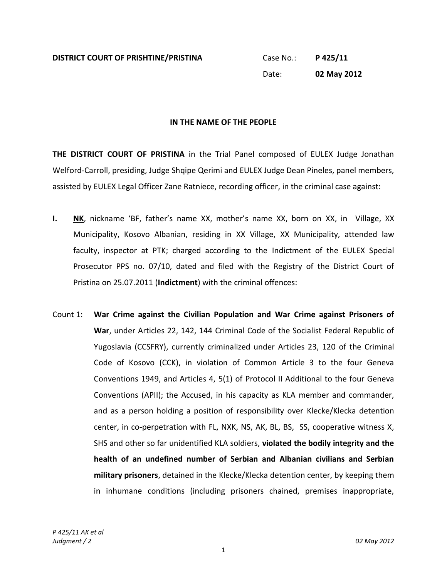| Case No.: | P425/11     |
|-----------|-------------|
| Date:     | 02 May 2012 |

#### **IN THE NAME OF THE PEOPLE**

**THE DISTRICT COURT OF PRISTINA** in the Trial Panel composed of EULEX Judge Jonathan Welford-Carroll, presiding, Judge Shqipe Qerimi and EULEX Judge Dean Pineles, panel members, assisted by EULEX Legal Officer Zane Ratniece, recording officer, in the criminal case against:

- **I. NK**, nickname 'BF, father's name XX, mother's name XX, born on XX, in Village, XX Municipality, Kosovo Albanian, residing in XX Village, XX Municipality, attended law faculty, inspector at PTK; charged according to the Indictment of the EULEX Special Prosecutor PPS no. 07/10, dated and filed with the Registry of the District Court of Pristina on 25.07.2011 (**Indictment**) with the criminal offences:
- Count 1: **War Crime against the Civilian Population and War Crime against Prisoners of War**, under Articles 22, 142, 144 Criminal Code of the Socialist Federal Republic of Yugoslavia (CCSFRY), currently criminalized under Articles 23, 120 of the Criminal Code of Kosovo (CCK), in violation of Common Article 3 to the four Geneva Conventions 1949, and Articles 4, 5(1) of Protocol II Additional to the four Geneva Conventions (APII); the Accused, in his capacity as KLA member and commander, and as a person holding a position of responsibility over Klecke/Klecka detention center, in co-perpetration with FL, NXK, NS, AK, BL, BS, SS, cooperative witness X, SHS and other so far unidentified KLA soldiers, **violated the bodily integrity and the health of an undefined number of Serbian and Albanian civilians and Serbian military prisoners**, detained in the Klecke/Klecka detention center, by keeping them in inhumane conditions (including prisoners chained, premises inappropriate,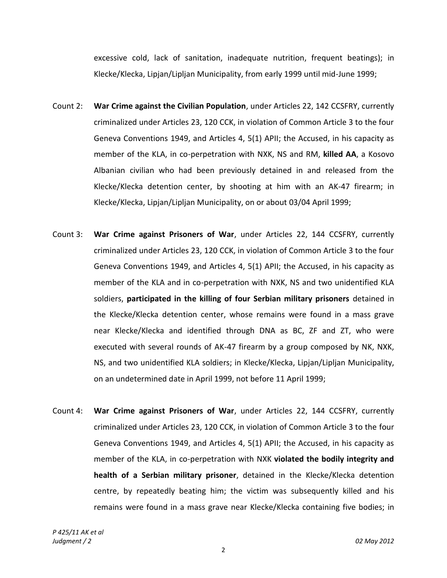excessive cold, lack of sanitation, inadequate nutrition, frequent beatings); in Klecke/Klecka, Lipjan/Lipljan Municipality, from early 1999 until mid-June 1999;

- Count 2: **War Crime against the Civilian Population**, under Articles 22, 142 CCSFRY, currently criminalized under Articles 23, 120 CCK, in violation of Common Article 3 to the four Geneva Conventions 1949, and Articles 4, 5(1) APII; the Accused, in his capacity as member of the KLA, in co-perpetration with NXK, NS and RM, **killed AA**, a Kosovo Albanian civilian who had been previously detained in and released from the Klecke/Klecka detention center, by shooting at him with an AK-47 firearm; in Klecke/Klecka, Lipjan/Lipljan Municipality, on or about 03/04 April 1999;
- Count 3: **War Crime against Prisoners of War**, under Articles 22, 144 CCSFRY, currently criminalized under Articles 23, 120 CCK, in violation of Common Article 3 to the four Geneva Conventions 1949, and Articles 4, 5(1) APII; the Accused, in his capacity as member of the KLA and in co-perpetration with NXK, NS and two unidentified KLA soldiers, **participated in the killing of four Serbian military prisoners** detained in the Klecke/Klecka detention center, whose remains were found in a mass grave near Klecke/Klecka and identified through DNA as BC, ZF and ZT, who were executed with several rounds of AK-47 firearm by a group composed by NK, NXK, NS, and two unidentified KLA soldiers; in Klecke/Klecka, Lipjan/Lipljan Municipality, on an undetermined date in April 1999, not before 11 April 1999;
- Count 4: **War Crime against Prisoners of War**, under Articles 22, 144 CCSFRY, currently criminalized under Articles 23, 120 CCK, in violation of Common Article 3 to the four Geneva Conventions 1949, and Articles 4, 5(1) APII; the Accused, in his capacity as member of the KLA, in co-perpetration with NXK **violated the bodily integrity and health of a Serbian military prisoner**, detained in the Klecke/Klecka detention centre, by repeatedly beating him; the victim was subsequently killed and his remains were found in a mass grave near Klecke/Klecka containing five bodies; in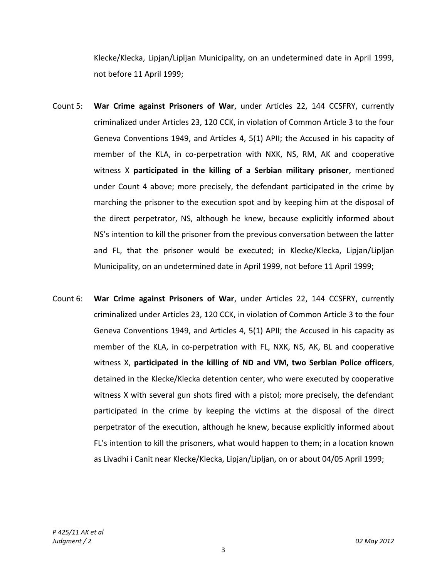Klecke/Klecka, Lipjan/Lipljan Municipality, on an undetermined date in April 1999, not before 11 April 1999;

- Count 5: **War Crime against Prisoners of War**, under Articles 22, 144 CCSFRY, currently criminalized under Articles 23, 120 CCK, in violation of Common Article 3 to the four Geneva Conventions 1949, and Articles 4, 5(1) APII; the Accused in his capacity of member of the KLA, in co-perpetration with NXK, NS, RM, AK and cooperative witness X **participated in the killing of a Serbian military prisoner**, mentioned under Count 4 above; more precisely, the defendant participated in the crime by marching the prisoner to the execution spot and by keeping him at the disposal of the direct perpetrator, NS, although he knew, because explicitly informed about NS's intention to kill the prisoner from the previous conversation between the latter and FL, that the prisoner would be executed; in Klecke/Klecka, Lipjan/Lipljan Municipality, on an undetermined date in April 1999, not before 11 April 1999;
- Count 6: **War Crime against Prisoners of War**, under Articles 22, 144 CCSFRY, currently criminalized under Articles 23, 120 CCK, in violation of Common Article 3 to the four Geneva Conventions 1949, and Articles 4, 5(1) APII; the Accused in his capacity as member of the KLA, in co-perpetration with FL, NXK, NS, AK, BL and cooperative witness X, **participated in the killing of ND and VM, two Serbian Police officers**, detained in the Klecke/Klecka detention center, who were executed by cooperative witness X with several gun shots fired with a pistol; more precisely, the defendant participated in the crime by keeping the victims at the disposal of the direct perpetrator of the execution, although he knew, because explicitly informed about FL's intention to kill the prisoners, what would happen to them; in a location known as Livadhi i Canit near Klecke/Klecka, Lipjan/Lipljan, on or about 04/05 April 1999;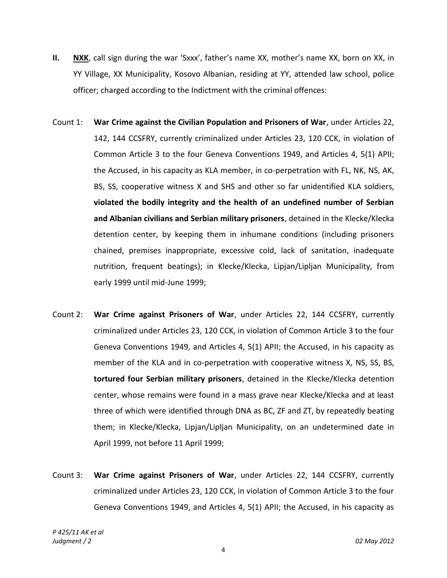- **II. NXK**, call sign during the war 'Sxxx', father's name XX, mother's name XX, born on XX, in YY Village, XX Municipality, Kosovo Albanian, residing at YY, attended law school, police officer; charged according to the Indictment with the criminal offences:
- Count 1: **War Crime against the Civilian Population and Prisoners of War**, under Articles 22, 142, 144 CCSFRY, currently criminalized under Articles 23, 120 CCK, in violation of Common Article 3 to the four Geneva Conventions 1949, and Articles 4, 5(1) APII; the Accused, in his capacity as KLA member, in co-perpetration with FL, NK, NS, AK, BS, SS, cooperative witness X and SHS and other so far unidentified KLA soldiers, **violated the bodily integrity and the health of an undefined number of Serbian and Albanian civilians and Serbian military prisoners**, detained in the Klecke/Klecka detention center, by keeping them in inhumane conditions (including prisoners chained, premises inappropriate, excessive cold, lack of sanitation, inadequate nutrition, frequent beatings); in Klecke/Klecka, Lipjan/Lipljan Municipality, from early 1999 until mid-June 1999;
- Count 2: **War Crime against Prisoners of War**, under Articles 22, 144 CCSFRY, currently criminalized under Articles 23, 120 CCK, in violation of Common Article 3 to the four Geneva Conventions 1949, and Articles 4, 5(1) APII; the Accused, in his capacity as member of the KLA and in co-perpetration with cooperative witness X, NS, SS, BS, **tortured four Serbian military prisoners**, detained in the Klecke/Klecka detention center, whose remains were found in a mass grave near Klecke/Klecka and at least three of which were identified through DNA as BC, ZF and ZT, by repeatedly beating them; in Klecke/Klecka, Lipjan/Lipljan Municipality, on an undetermined date in April 1999, not before 11 April 1999;
- Count 3: **War Crime against Prisoners of War**, under Articles 22, 144 CCSFRY, currently criminalized under Articles 23, 120 CCK, in violation of Common Article 3 to the four Geneva Conventions 1949, and Articles 4, 5(1) APII; the Accused, in his capacity as

*P 425/11 AK et al Judgment / 2 02 May 2012*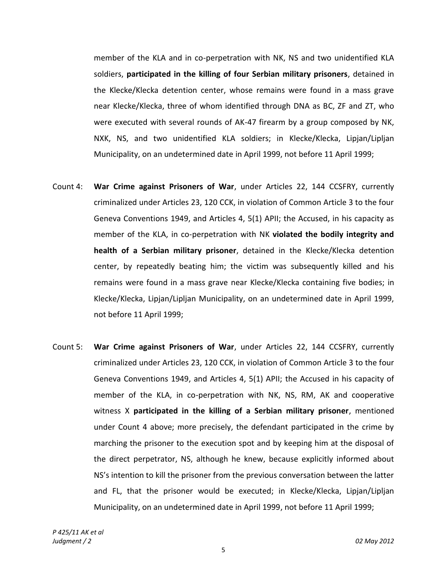member of the KLA and in co-perpetration with NK, NS and two unidentified KLA soldiers, **participated in the killing of four Serbian military prisoners**, detained in the Klecke/Klecka detention center, whose remains were found in a mass grave near Klecke/Klecka, three of whom identified through DNA as BC, ZF and ZT, who were executed with several rounds of AK-47 firearm by a group composed by NK, NXK, NS, and two unidentified KLA soldiers; in Klecke/Klecka, Lipjan/Lipljan Municipality, on an undetermined date in April 1999, not before 11 April 1999;

- Count 4: **War Crime against Prisoners of War**, under Articles 22, 144 CCSFRY, currently criminalized under Articles 23, 120 CCK, in violation of Common Article 3 to the four Geneva Conventions 1949, and Articles 4, 5(1) APII; the Accused, in his capacity as member of the KLA, in co-perpetration with NK **violated the bodily integrity and health of a Serbian military prisoner**, detained in the Klecke/Klecka detention center, by repeatedly beating him; the victim was subsequently killed and his remains were found in a mass grave near Klecke/Klecka containing five bodies; in Klecke/Klecka, Lipjan/Lipljan Municipality, on an undetermined date in April 1999, not before 11 April 1999;
- Count 5: **War Crime against Prisoners of War**, under Articles 22, 144 CCSFRY, currently criminalized under Articles 23, 120 CCK, in violation of Common Article 3 to the four Geneva Conventions 1949, and Articles 4, 5(1) APII; the Accused in his capacity of member of the KLA, in co-perpetration with NK, NS, RM, AK and cooperative witness X **participated in the killing of a Serbian military prisoner**, mentioned under Count 4 above; more precisely, the defendant participated in the crime by marching the prisoner to the execution spot and by keeping him at the disposal of the direct perpetrator, NS, although he knew, because explicitly informed about NS's intention to kill the prisoner from the previous conversation between the latter and FL, that the prisoner would be executed; in Klecke/Klecka, Lipjan/Lipljan Municipality, on an undetermined date in April 1999, not before 11 April 1999;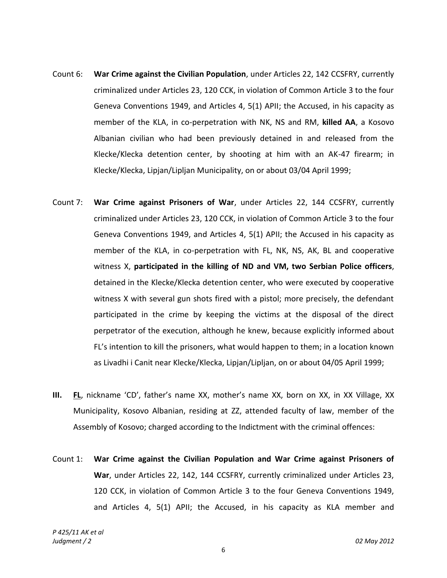- Count 6: **War Crime against the Civilian Population**, under Articles 22, 142 CCSFRY, currently criminalized under Articles 23, 120 CCK, in violation of Common Article 3 to the four Geneva Conventions 1949, and Articles 4, 5(1) APII; the Accused, in his capacity as member of the KLA, in co-perpetration with NK, NS and RM, **killed AA**, a Kosovo Albanian civilian who had been previously detained in and released from the Klecke/Klecka detention center, by shooting at him with an AK-47 firearm; in Klecke/Klecka, Lipjan/Lipljan Municipality, on or about 03/04 April 1999;
- Count 7: **War Crime against Prisoners of War**, under Articles 22, 144 CCSFRY, currently criminalized under Articles 23, 120 CCK, in violation of Common Article 3 to the four Geneva Conventions 1949, and Articles 4, 5(1) APII; the Accused in his capacity as member of the KLA, in co-perpetration with FL, NK, NS, AK, BL and cooperative witness X, **participated in the killing of ND and VM, two Serbian Police officers**, detained in the Klecke/Klecka detention center, who were executed by cooperative witness X with several gun shots fired with a pistol; more precisely, the defendant participated in the crime by keeping the victims at the disposal of the direct perpetrator of the execution, although he knew, because explicitly informed about FL's intention to kill the prisoners, what would happen to them; in a location known as Livadhi i Canit near Klecke/Klecka, Lipjan/Lipljan, on or about 04/05 April 1999;
- **III. FL**, nickname 'CD', father's name XX, mother's name XX, born on XX, in XX Village, XX Municipality, Kosovo Albanian, residing at ZZ, attended faculty of law, member of the Assembly of Kosovo; charged according to the Indictment with the criminal offences:
- Count 1: **War Crime against the Civilian Population and War Crime against Prisoners of War**, under Articles 22, 142, 144 CCSFRY, currently criminalized under Articles 23, 120 CCK, in violation of Common Article 3 to the four Geneva Conventions 1949, and Articles 4, 5(1) APII; the Accused, in his capacity as KLA member and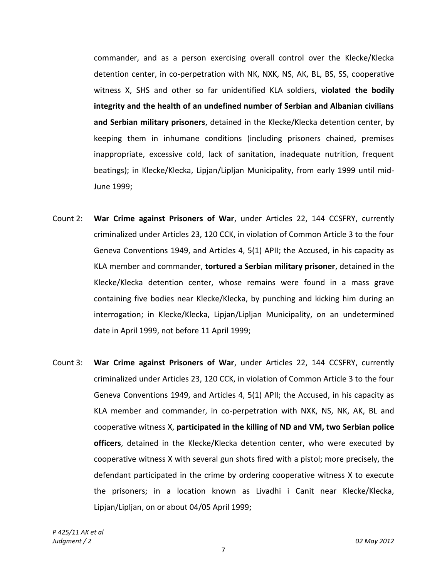commander, and as a person exercising overall control over the Klecke/Klecka detention center, in co-perpetration with NK, NXK, NS, AK, BL, BS, SS, cooperative witness X, SHS and other so far unidentified KLA soldiers, **violated the bodily integrity and the health of an undefined number of Serbian and Albanian civilians and Serbian military prisoners**, detained in the Klecke/Klecka detention center, by keeping them in inhumane conditions (including prisoners chained, premises inappropriate, excessive cold, lack of sanitation, inadequate nutrition, frequent beatings); in Klecke/Klecka, Lipjan/Lipljan Municipality, from early 1999 until mid-June 1999;

- Count 2: **War Crime against Prisoners of War**, under Articles 22, 144 CCSFRY, currently criminalized under Articles 23, 120 CCK, in violation of Common Article 3 to the four Geneva Conventions 1949, and Articles 4, 5(1) APII; the Accused, in his capacity as KLA member and commander, **tortured a Serbian military prisoner**, detained in the Klecke/Klecka detention center, whose remains were found in a mass grave containing five bodies near Klecke/Klecka, by punching and kicking him during an interrogation; in Klecke/Klecka, Lipjan/Lipljan Municipality, on an undetermined date in April 1999, not before 11 April 1999;
- Count 3: **War Crime against Prisoners of War**, under Articles 22, 144 CCSFRY, currently criminalized under Articles 23, 120 CCK, in violation of Common Article 3 to the four Geneva Conventions 1949, and Articles 4, 5(1) APII; the Accused, in his capacity as KLA member and commander, in co-perpetration with NXK, NS, NK, AK, BL and cooperative witness X, **participated in the killing of ND and VM, two Serbian police officers**, detained in the Klecke/Klecka detention center, who were executed by cooperative witness X with several gun shots fired with a pistol; more precisely, the defendant participated in the crime by ordering cooperative witness X to execute the prisoners; in a location known as Livadhi i Canit near Klecke/Klecka, Lipjan/Lipljan, on or about 04/05 April 1999;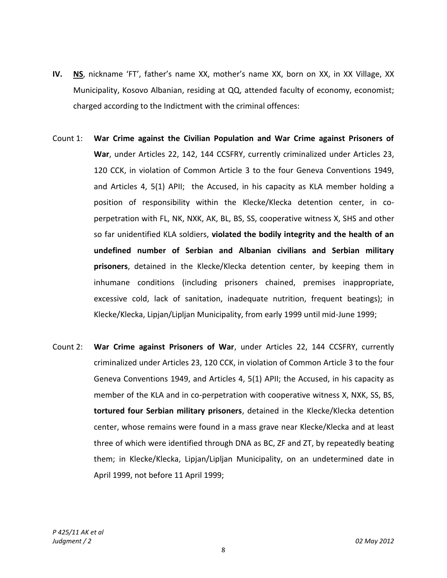- **IV. NS**, nickname 'FT', father's name XX, mother's name XX, born on XX, in XX Village, XX Municipality, Kosovo Albanian, residing at QQ, attended faculty of economy, economist; charged according to the Indictment with the criminal offences:
- Count 1: **War Crime against the Civilian Population and War Crime against Prisoners of War**, under Articles 22, 142, 144 CCSFRY, currently criminalized under Articles 23, 120 CCK, in violation of Common Article 3 to the four Geneva Conventions 1949, and Articles 4, 5(1) APII; the Accused, in his capacity as KLA member holding a position of responsibility within the Klecke/Klecka detention center, in coperpetration with FL, NK, NXK, AK, BL, BS, SS, cooperative witness X, SHS and other so far unidentified KLA soldiers, **violated the bodily integrity and the health of an undefined number of Serbian and Albanian civilians and Serbian military prisoners**, detained in the Klecke/Klecka detention center, by keeping them in inhumane conditions (including prisoners chained, premises inappropriate, excessive cold, lack of sanitation, inadequate nutrition, frequent beatings); in Klecke/Klecka, Lipjan/Lipljan Municipality, from early 1999 until mid-June 1999;
- Count 2: **War Crime against Prisoners of War**, under Articles 22, 144 CCSFRY, currently criminalized under Articles 23, 120 CCK, in violation of Common Article 3 to the four Geneva Conventions 1949, and Articles 4, 5(1) APII; the Accused, in his capacity as member of the KLA and in co-perpetration with cooperative witness X, NXK, SS, BS, **tortured four Serbian military prisoners**, detained in the Klecke/Klecka detention center, whose remains were found in a mass grave near Klecke/Klecka and at least three of which were identified through DNA as BC, ZF and ZT, by repeatedly beating them; in Klecke/Klecka, Lipjan/Lipljan Municipality, on an undetermined date in April 1999, not before 11 April 1999;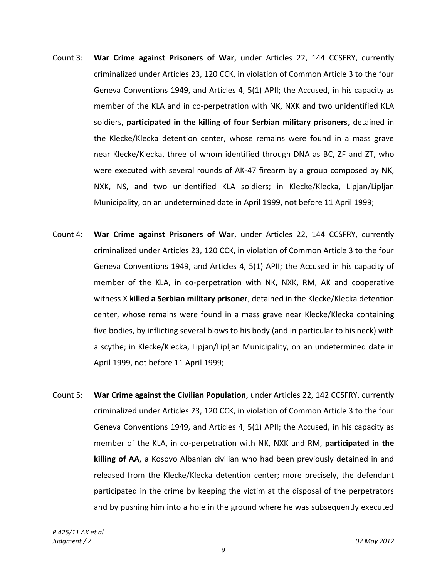- Count 3: **War Crime against Prisoners of War**, under Articles 22, 144 CCSFRY, currently criminalized under Articles 23, 120 CCK, in violation of Common Article 3 to the four Geneva Conventions 1949, and Articles 4, 5(1) APII; the Accused, in his capacity as member of the KLA and in co-perpetration with NK, NXK and two unidentified KLA soldiers, **participated in the killing of four Serbian military prisoners**, detained in the Klecke/Klecka detention center, whose remains were found in a mass grave near Klecke/Klecka, three of whom identified through DNA as BC, ZF and ZT, who were executed with several rounds of AK-47 firearm by a group composed by NK, NXK, NS, and two unidentified KLA soldiers; in Klecke/Klecka, Lipjan/Lipljan Municipality, on an undetermined date in April 1999, not before 11 April 1999;
- Count 4: **War Crime against Prisoners of War**, under Articles 22, 144 CCSFRY, currently criminalized under Articles 23, 120 CCK, in violation of Common Article 3 to the four Geneva Conventions 1949, and Articles 4, 5(1) APII; the Accused in his capacity of member of the KLA, in co-perpetration with NK, NXK, RM, AK and cooperative witness X **killed a Serbian military prisoner**, detained in the Klecke/Klecka detention center, whose remains were found in a mass grave near Klecke/Klecka containing five bodies, by inflicting several blows to his body (and in particular to his neck) with a scythe; in Klecke/Klecka, Lipjan/Lipljan Municipality, on an undetermined date in April 1999, not before 11 April 1999;
- Count 5: **War Crime against the Civilian Population**, under Articles 22, 142 CCSFRY, currently criminalized under Articles 23, 120 CCK, in violation of Common Article 3 to the four Geneva Conventions 1949, and Articles 4, 5(1) APII; the Accused, in his capacity as member of the KLA, in co-perpetration with NK, NXK and RM, **participated in the killing of AA**, a Kosovo Albanian civilian who had been previously detained in and released from the Klecke/Klecka detention center; more precisely, the defendant participated in the crime by keeping the victim at the disposal of the perpetrators and by pushing him into a hole in the ground where he was subsequently executed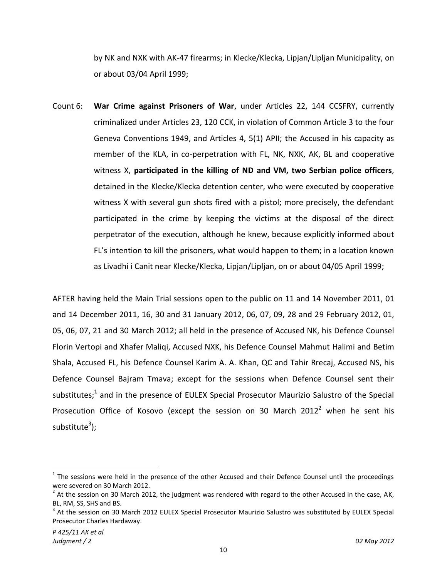by NK and NXK with AK-47 firearms; in Klecke/Klecka, Lipjan/Lipljan Municipality, on or about 03/04 April 1999;

Count 6: **War Crime against Prisoners of War**, under Articles 22, 144 CCSFRY, currently criminalized under Articles 23, 120 CCK, in violation of Common Article 3 to the four Geneva Conventions 1949, and Articles 4, 5(1) APII; the Accused in his capacity as member of the KLA, in co-perpetration with FL, NK, NXK, AK, BL and cooperative witness X, **participated in the killing of ND and VM, two Serbian police officers**, detained in the Klecke/Klecka detention center, who were executed by cooperative witness X with several gun shots fired with a pistol; more precisely, the defendant participated in the crime by keeping the victims at the disposal of the direct perpetrator of the execution, although he knew, because explicitly informed about FL's intention to kill the prisoners, what would happen to them; in a location known as Livadhi i Canit near Klecke/Klecka, Lipjan/Lipljan, on or about 04/05 April 1999;

AFTER having held the Main Trial sessions open to the public on 11 and 14 November 2011, 01 and 14 December 2011, 16, 30 and 31 January 2012, 06, 07, 09, 28 and 29 February 2012, 01, 05, 06, 07, 21 and 30 March 2012; all held in the presence of Accused NK, his Defence Counsel Florin Vertopi and Xhafer Maliqi, Accused NXK, his Defence Counsel Mahmut Halimi and Betim Shala, Accused FL, his Defence Counsel Karim A. A. Khan, QC and Tahir Rrecaj, Accused NS, his Defence Counsel Bajram Tmava; except for the sessions when Defence Counsel sent their substitutes;<sup>1</sup> and in the presence of EULEX Special Prosecutor Maurizio Salustro of the Special Prosecution Office of Kosovo (except the session on 30 March 2012<sup>2</sup> when he sent his substitute<sup>3</sup>);

 $\overline{a}$ 

 $1$  The sessions were held in the presence of the other Accused and their Defence Counsel until the proceedings were severed on 30 March 2012.

 $^2$  At the session on 30 March 2012, the judgment was rendered with regard to the other Accused in the case, AK, BL, RM, SS, SHS and BS.

 $3$  At the session on 30 March 2012 EULEX Special Prosecutor Maurizio Salustro was substituted by EULEX Special Prosecutor Charles Hardaway.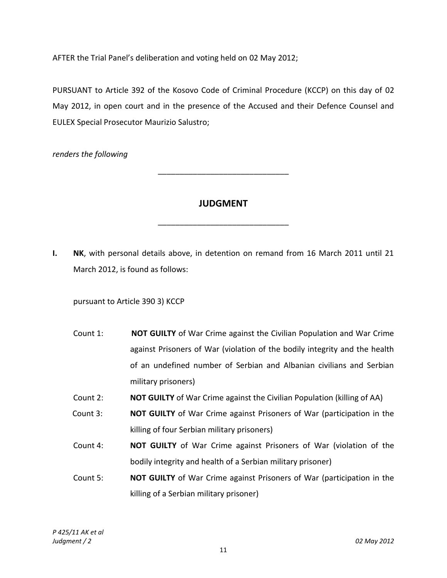AFTER the Trial Panel's deliberation and voting held on 02 May 2012;

PURSUANT to Article 392 of the Kosovo Code of Criminal Procedure (KCCP) on this day of 02 May 2012, in open court and in the presence of the Accused and their Defence Counsel and EULEX Special Prosecutor Maurizio Salustro;

*renders the following*

## **JUDGMENT**

\_\_\_\_\_\_\_\_\_\_\_\_\_\_\_\_\_\_\_\_\_\_\_\_\_\_\_\_\_\_

\_\_\_\_\_\_\_\_\_\_\_\_\_\_\_\_\_\_\_\_\_\_\_\_\_\_\_\_\_\_

**I. NK**, with personal details above, in detention on remand from 16 March 2011 until 21 March 2012, is found as follows:

pursuant to Article 390 3) KCCP

- Count 1: **NOT GUILTY** of War Crime against the Civilian Population and War Crime against Prisoners of War (violation of the bodily integrity and the health of an undefined number of Serbian and Albanian civilians and Serbian military prisoners)
- Count 2: **NOT GUILTY** of War Crime against the Civilian Population (killing of AA)
- Count 3: **NOT GUILTY** of War Crime against Prisoners of War (participation in the killing of four Serbian military prisoners)
- Count 4: **NOT GUILTY** of War Crime against Prisoners of War (violation of the bodily integrity and health of a Serbian military prisoner)
- Count 5: **NOT GUILTY** of War Crime against Prisoners of War (participation in the killing of a Serbian military prisoner)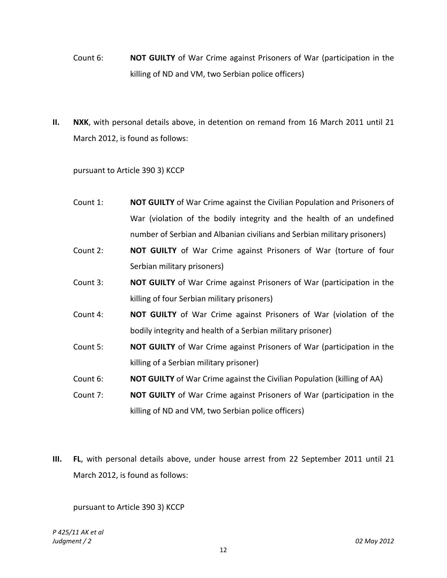- Count 6: **NOT GUILTY** of War Crime against Prisoners of War (participation in the killing of ND and VM, two Serbian police officers)
- **II. NXK**, with personal details above, in detention on remand from 16 March 2011 until 21 March 2012, is found as follows:

pursuant to Article 390 3) KCCP

- Count 1: **NOT GUILTY** of War Crime against the Civilian Population and Prisoners of War (violation of the bodily integrity and the health of an undefined number of Serbian and Albanian civilians and Serbian military prisoners)
- Count 2: **NOT GUILTY** of War Crime against Prisoners of War (torture of four Serbian military prisoners)
- Count 3: **NOT GUILTY** of War Crime against Prisoners of War (participation in the killing of four Serbian military prisoners)
- Count 4: **NOT GUILTY** of War Crime against Prisoners of War (violation of the bodily integrity and health of a Serbian military prisoner)
- Count 5: **NOT GUILTY** of War Crime against Prisoners of War (participation in the killing of a Serbian military prisoner)
- Count 6: **NOT GUILTY** of War Crime against the Civilian Population (killing of AA)
- Count 7: **NOT GUILTY** of War Crime against Prisoners of War (participation in the killing of ND and VM, two Serbian police officers)
- **III. FL**, with personal details above, under house arrest from 22 September 2011 until 21 March 2012, is found as follows:

pursuant to Article 390 3) KCCP

*P 425/11 AK et al Judgment / 2 02 May 2012*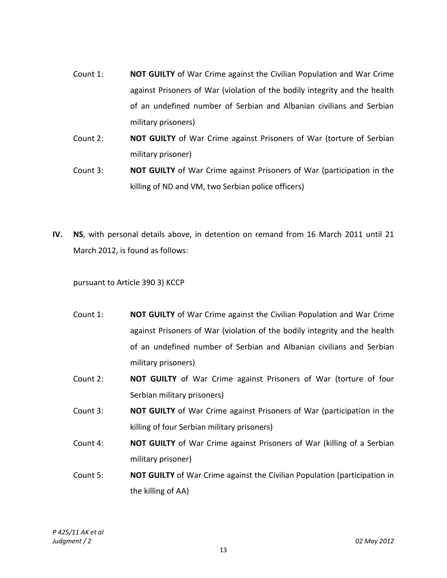- Count 1: **NOT GUILTY** of War Crime against the Civilian Population and War Crime against Prisoners of War (violation of the bodily integrity and the health of an undefined number of Serbian and Albanian civilians and Serbian military prisoners)
- Count 2: **NOT GUILTY** of War Crime against Prisoners of War (torture of Serbian military prisoner)
- Count 3: **NOT GUILTY** of War Crime against Prisoners of War (participation in the killing of ND and VM, two Serbian police officers)
- **IV. NS**, with personal details above, in detention on remand from 16 March 2011 until 21 March 2012, is found as follows:

pursuant to Article 390 3) KCCP

- Count 1: **NOT GUILTY** of War Crime against the Civilian Population and War Crime against Prisoners of War (violation of the bodily integrity and the health of an undefined number of Serbian and Albanian civilians and Serbian military prisoners)
- Count 2: **NOT GUILTY** of War Crime against Prisoners of War (torture of four Serbian military prisoners)
- Count 3: **NOT GUILTY** of War Crime against Prisoners of War (participation in the killing of four Serbian military prisoners)
- Count 4: **NOT GUILTY** of War Crime against Prisoners of War (killing of a Serbian military prisoner)
- Count 5: **NOT GUILTY** of War Crime against the Civilian Population (participation in the killing of AA)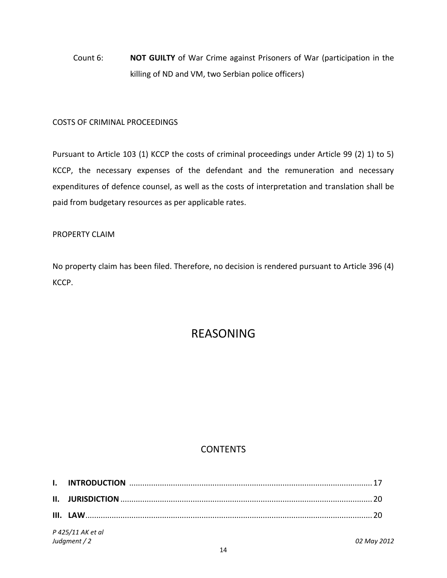# Count 6: **NOT GUILTY** of War Crime against Prisoners of War (participation in the killing of ND and VM, two Serbian police officers)

#### COSTS OF CRIMINAL PROCEEDINGS

Pursuant to Article 103 (1) KCCP the costs of criminal proceedings under Article 99 (2) 1) to 5) KCCP, the necessary expenses of the defendant and the remuneration and necessary expenditures of defence counsel, as well as the costs of interpretation and translation shall be paid from budgetary resources as per applicable rates.

#### PROPERTY CLAIM

No property claim has been filed. Therefore, no decision is rendered pursuant to Article 396 (4) KCCP.

## REASONING

## **CONTENTS**

*P 425/11 AK et al Judgment / 2 02 May 2012*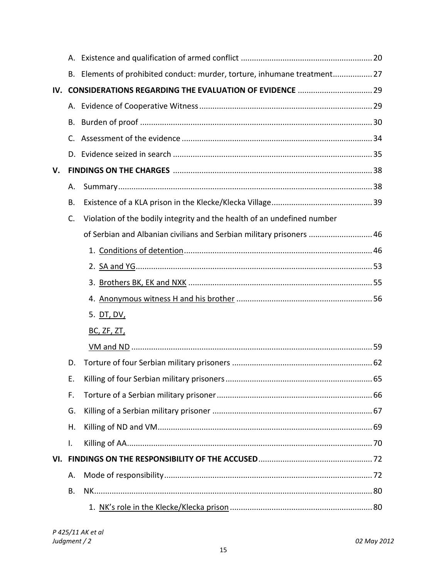|     |    | B. Elements of prohibited conduct: murder, torture, inhumane treatment27 |  |
|-----|----|--------------------------------------------------------------------------|--|
| IV. |    | <b>CONSIDERATIONS REGARDING THE EVALUATION OF EVIDENCE  29</b>           |  |
|     |    |                                                                          |  |
|     | В. |                                                                          |  |
|     |    |                                                                          |  |
|     |    |                                                                          |  |
| v.  |    |                                                                          |  |
|     | А. |                                                                          |  |
|     | В. |                                                                          |  |
|     | C. | Violation of the bodily integrity and the health of an undefined number  |  |
|     |    | of Serbian and Albanian civilians and Serbian military prisoners  46     |  |
|     |    |                                                                          |  |
|     |    |                                                                          |  |
|     |    |                                                                          |  |
|     |    |                                                                          |  |
|     |    | 5. <u>DT, DV,</u>                                                        |  |
|     |    | <b>BC, ZF, ZT,</b>                                                       |  |
|     |    |                                                                          |  |
|     | D. |                                                                          |  |
|     | Е. |                                                                          |  |
|     | F. |                                                                          |  |
|     | G. |                                                                          |  |
|     | Η. |                                                                          |  |
|     | I. |                                                                          |  |
|     |    |                                                                          |  |
|     | Α. |                                                                          |  |
|     | В. |                                                                          |  |
|     |    |                                                                          |  |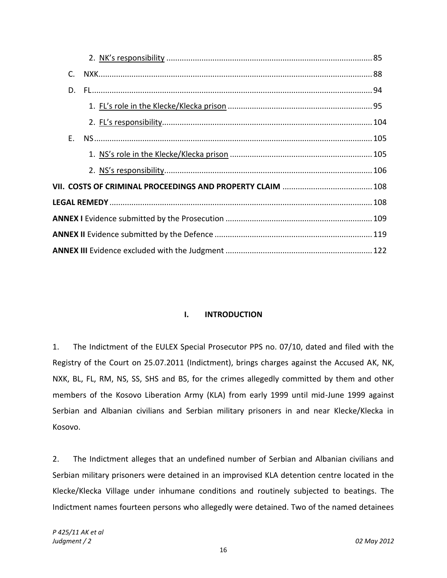| C. |  |  |  |
|----|--|--|--|
|    |  |  |  |
|    |  |  |  |
|    |  |  |  |
| E. |  |  |  |
|    |  |  |  |
|    |  |  |  |
|    |  |  |  |
|    |  |  |  |
|    |  |  |  |
|    |  |  |  |
|    |  |  |  |

## **I. INTRODUCTION**

1. The Indictment of the EULEX Special Prosecutor PPS no. 07/10, dated and filed with the Registry of the Court on 25.07.2011 (Indictment), brings charges against the Accused AK, NK, NXK, BL, FL, RM, NS, SS, SHS and BS, for the crimes allegedly committed by them and other members of the Kosovo Liberation Army (KLA) from early 1999 until mid-June 1999 against Serbian and Albanian civilians and Serbian military prisoners in and near Klecke/Klecka in Kosovo.

2. The Indictment alleges that an undefined number of Serbian and Albanian civilians and Serbian military prisoners were detained in an improvised KLA detention centre located in the Klecke/Klecka Village under inhumane conditions and routinely subjected to beatings. The Indictment names fourteen persons who allegedly were detained. Two of the named detainees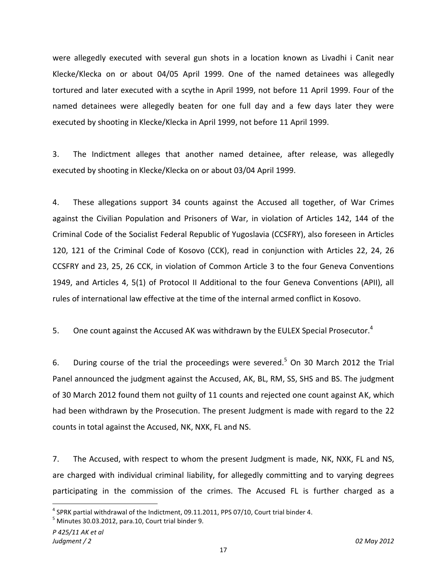were allegedly executed with several gun shots in a location known as Livadhi i Canit near Klecke/Klecka on or about 04/05 April 1999. One of the named detainees was allegedly tortured and later executed with a scythe in April 1999, not before 11 April 1999. Four of the named detainees were allegedly beaten for one full day and a few days later they were executed by shooting in Klecke/Klecka in April 1999, not before 11 April 1999.

3. The Indictment alleges that another named detainee, after release, was allegedly executed by shooting in Klecke/Klecka on or about 03/04 April 1999.

4. These allegations support 34 counts against the Accused all together, of War Crimes against the Civilian Population and Prisoners of War, in violation of Articles 142, 144 of the Criminal Code of the Socialist Federal Republic of Yugoslavia (CCSFRY), also foreseen in Articles 120, 121 of the Criminal Code of Kosovo (CCK), read in conjunction with Articles 22, 24, 26 CCSFRY and 23, 25, 26 CCK, in violation of Common Article 3 to the four Geneva Conventions 1949, and Articles 4, 5(1) of Protocol II Additional to the four Geneva Conventions (APII), all rules of international law effective at the time of the internal armed conflict in Kosovo.

5. One count against the Accused AK was withdrawn by the EULEX Special Prosecutor.<sup>4</sup>

6. During course of the trial the proceedings were severed.<sup>5</sup> On 30 March 2012 the Trial Panel announced the judgment against the Accused, AK, BL, RM, SS, SHS and BS. The judgment of 30 March 2012 found them not guilty of 11 counts and rejected one count against AK, which had been withdrawn by the Prosecution. The present Judgment is made with regard to the 22 counts in total against the Accused, NK, NXK, FL and NS.

7. The Accused, with respect to whom the present Judgment is made, NK, NXK, FL and NS, are charged with individual criminal liability, for allegedly committing and to varying degrees participating in the commission of the crimes. The Accused FL is further charged as a

l  $^4$  SPRK partial withdrawal of the Indictment, 09.11.2011, PPS 07/10, Court trial binder 4.

 $<sup>5</sup>$  Minutes 30.03.2012, para.10, Court trial binder 9.</sup>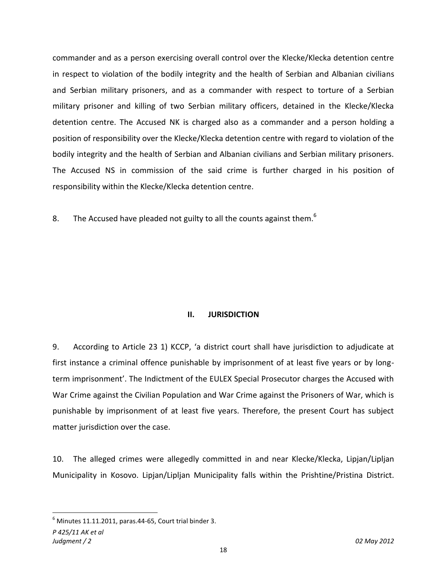commander and as a person exercising overall control over the Klecke/Klecka detention centre in respect to violation of the bodily integrity and the health of Serbian and Albanian civilians and Serbian military prisoners, and as a commander with respect to torture of a Serbian military prisoner and killing of two Serbian military officers, detained in the Klecke/Klecka detention centre. The Accused NK is charged also as a commander and a person holding a position of responsibility over the Klecke/Klecka detention centre with regard to violation of the bodily integrity and the health of Serbian and Albanian civilians and Serbian military prisoners. The Accused NS in commission of the said crime is further charged in his position of responsibility within the Klecke/Klecka detention centre.

8. The Accused have pleaded not guilty to all the counts against them.<sup>6</sup>

## **II. JURISDICTION**

9. According to Article 23 1) KCCP, 'a district court shall have jurisdiction to adjudicate at first instance a criminal offence punishable by imprisonment of at least five years or by longterm imprisonment'. The Indictment of the EULEX Special Prosecutor charges the Accused with War Crime against the Civilian Population and War Crime against the Prisoners of War, which is punishable by imprisonment of at least five years. Therefore, the present Court has subject matter jurisdiction over the case.

10. The alleged crimes were allegedly committed in and near Klecke/Klecka, Lipjan/Lipljan Municipality in Kosovo. Lipjan/Lipljan Municipality falls within the Prishtine/Pristina District.

 $6$  Minutes 11.11.2011, paras.44-65, Court trial binder 3.

*P 425/11 AK et al*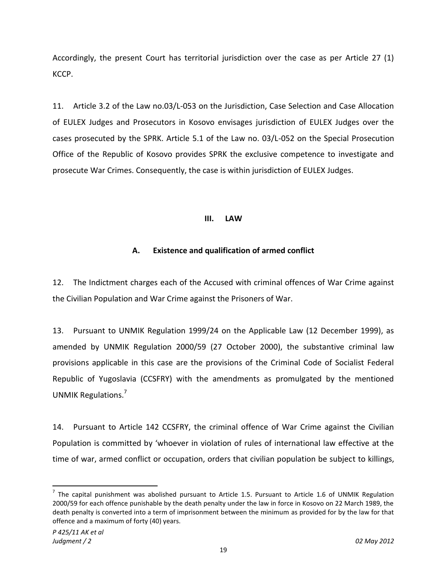Accordingly, the present Court has territorial jurisdiction over the case as per Article 27 (1) KCCP.

11. Article 3.2 of the Law no.03/L-053 on the Jurisdiction, Case Selection and Case Allocation of EULEX Judges and Prosecutors in Kosovo envisages jurisdiction of EULEX Judges over the cases prosecuted by the SPRK. Article 5.1 of the Law no. 03/L-052 on the Special Prosecution Office of the Republic of Kosovo provides SPRK the exclusive competence to investigate and prosecute War Crimes. Consequently, the case is within jurisdiction of EULEX Judges.

#### **III. LAW**

## **A. Existence and qualification of armed conflict**

12. The Indictment charges each of the Accused with criminal offences of War Crime against the Civilian Population and War Crime against the Prisoners of War.

13. Pursuant to UNMIK Regulation 1999/24 on the Applicable Law (12 December 1999), as amended by UNMIK Regulation 2000/59 (27 October 2000), the substantive criminal law provisions applicable in this case are the provisions of the Criminal Code of Socialist Federal Republic of Yugoslavia (CCSFRY) with the amendments as promulgated by the mentioned UNMIK Regulations.<sup>7</sup>

14. Pursuant to Article 142 CCSFRY, the criminal offence of War Crime against the Civilian Population is committed by 'whoever in violation of rules of international law effective at the time of war, armed conflict or occupation, orders that civilian population be subject to killings,

 $\overline{a}$ 

 $^7$  The capital punishment was abolished pursuant to Article 1.5. Pursuant to Article 1.6 of UNMIK Regulation 2000/59 for each offence punishable by the death penalty under the law in force in Kosovo on 22 March 1989, the death penalty is converted into a term of imprisonment between the minimum as provided for by the law for that offence and a maximum of forty (40) years.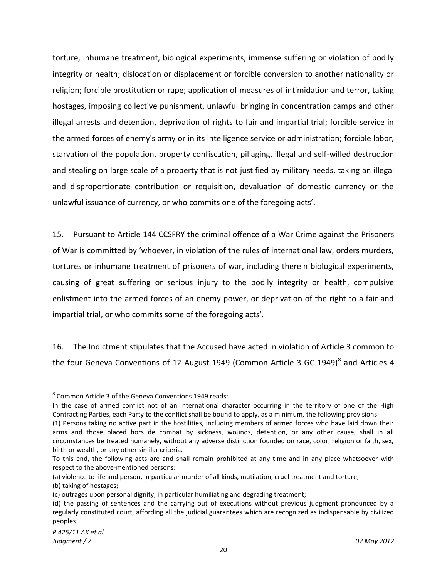torture, inhumane treatment, biological experiments, immense suffering or violation of bodily integrity or health; dislocation or displacement or forcible conversion to another nationality or religion; forcible prostitution or rape; application of measures of intimidation and terror, taking hostages, imposing collective punishment, unlawful bringing in concentration camps and other illegal arrests and detention, deprivation of rights to fair and impartial trial; forcible service in the armed forces of enemy's army or in its intelligence service or administration; forcible labor, starvation of the population, property confiscation, pillaging, illegal and self-willed destruction and stealing on large scale of a property that is not justified by military needs, taking an illegal and disproportionate contribution or requisition, devaluation of domestic currency or the unlawful issuance of currency, or who commits one of the foregoing acts'.

15. Pursuant to Article 144 CCSFRY the criminal offence of a War Crime against the Prisoners of War is committed by 'whoever, in violation of the rules of international law, orders murders, tortures or inhumane treatment of prisoners of war, including therein biological experiments, causing of great suffering or serious injury to the bodily integrity or health, compulsive enlistment into the armed forces of an enemy power, or deprivation of the right to a fair and impartial trial, or who commits some of the foregoing acts'.

16. The Indictment stipulates that the Accused have acted in violation of Article 3 common to the four Geneva Conventions of 12 August 1949 (Common Article 3 GC 1949) $^8$  and Articles 4

 $^8$  Common Article 3 of the Geneva Conventions 1949 reads:

In the case of armed conflict not of an international character occurring in the territory of one of the High Contracting Parties, each Party to the conflict shall be bound to apply, as a minimum, the following provisions:

<sup>(1)</sup> Persons taking no active part in the hostilities, including members of armed forces who have laid down their arms and those placed hors de combat by sickness, wounds, detention, or any other cause, shall in all circumstances be treated humanely, without any adverse distinction founded on race, color, religion or faith, sex, birth or wealth, or any other similar criteria.

To this end, the following acts are and shall remain prohibited at any time and in any place whatsoever with respect to the above-mentioned persons:

<sup>(</sup>a) violence to life and person, in particular murder of all kinds, mutilation, cruel treatment and torture;

<sup>(</sup>b) taking of hostages;

<sup>(</sup>c) outrages upon personal dignity, in particular humiliating and degrading treatment;

<sup>(</sup>d) the passing of sentences and the carrying out of executions without previous judgment pronounced by a regularly constituted court, affording all the judicial guarantees which are recognized as indispensable by civilized peoples.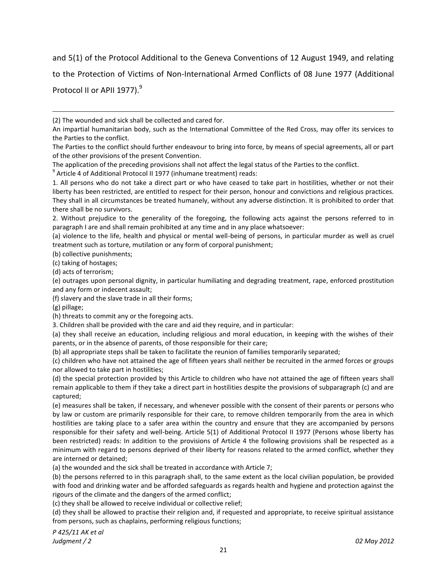and 5(1) of the Protocol Additional to the Geneva Conventions of 12 August 1949, and relating

to the Protection of Victims of Non-International Armed Conflicts of 08 June 1977 (Additional

Protocol II or APII 1977).<sup>9</sup>

 $\overline{\phantom{a}}$ 

<sup>9</sup> Article 4 of Additional Protocol II 1977 (inhumane treatment) reads:

(a) violence to the life, health and physical or mental well-being of persons, in particular murder as well as cruel treatment such as torture, mutilation or any form of corporal punishment;

(b) collective punishments;

(c) taking of hostages;

(d) acts of terrorism;

(e) outrages upon personal dignity, in particular humiliating and degrading treatment, rape, enforced prostitution and any form or indecent assault;

(f) slavery and the slave trade in all their forms;

(g) pillage;

(h) threats to commit any or the foregoing acts.

3. Children shall be provided with the care and aid they require, and in particular:

(a) they shall receive an education, including religious and moral education, in keeping with the wishes of their parents, or in the absence of parents, of those responsible for their care;

(b) all appropriate steps shall be taken to facilitate the reunion of families temporarily separated;

(c) children who have not attained the age of fifteen years shall neither be recruited in the armed forces or groups nor allowed to take part in hostilities;

(d) the special protection provided by this Article to children who have not attained the age of fifteen years shall remain applicable to them if they take a direct part in hostilities despite the provisions of subparagraph (c) and are captured;

(e) measures shall be taken, if necessary, and whenever possible with the consent of their parents or persons who by law or custom are primarily responsible for their care, to remove children temporarily from the area in which hostilities are taking place to a safer area within the country and ensure that they are accompanied by persons responsible for their safety and well-being. Article 5(1) of Additional Protocol II 1977 (Persons whose liberty has been restricted) reads: In addition to the provisions of Article 4 the following provisions shall be respected as a minimum with regard to persons deprived of their liberty for reasons related to the armed conflict, whether they are interned or detained;

(a) the wounded and the sick shall be treated in accordance with Article 7;

(b) the persons referred to in this paragraph shall, to the same extent as the local civilian population, be provided with food and drinking water and be afforded safeguards as regards health and hygiene and protection against the rigours of the climate and the dangers of the armed conflict;

(c) they shall be allowed to receive individual or collective relief;

(d) they shall be allowed to practise their religion and, if requested and appropriate, to receive spiritual assistance from persons, such as chaplains, performing religious functions;

*P 425/11 AK et al Judgment / 2 02 May 2012*

<sup>(2)</sup> The wounded and sick shall be collected and cared for.

An impartial humanitarian body, such as the International Committee of the Red Cross, may offer its services to the Parties to the conflict.

The Parties to the conflict should further endeavour to bring into force, by means of special agreements, all or part of the other provisions of the present Convention.

The application of the preceding provisions shall not affect the legal status of the Parties to the conflict.

<sup>1.</sup> All persons who do not take a direct part or who have ceased to take part in hostilities, whether or not their liberty has been restricted, are entitled to respect for their person, honour and convictions and religious practices. They shall in all circumstances be treated humanely, without any adverse distinction. It is prohibited to order that there shall be no survivors.

<sup>2.</sup> Without prejudice to the generality of the foregoing, the following acts against the persons referred to in paragraph I are and shall remain prohibited at any time and in any place whatsoever: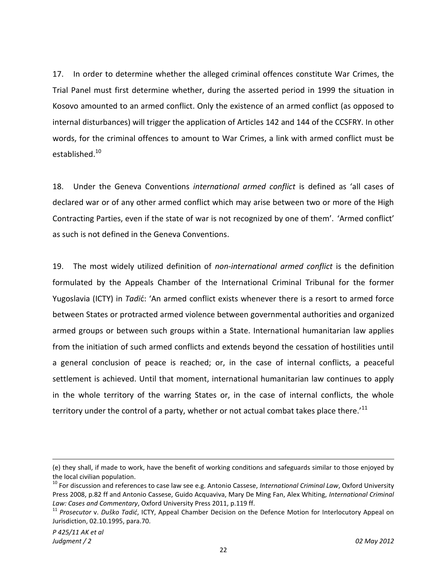17. In order to determine whether the alleged criminal offences constitute War Crimes, the Trial Panel must first determine whether, during the asserted period in 1999 the situation in Kosovo amounted to an armed conflict. Only the existence of an armed conflict (as opposed to internal disturbances) will trigger the application of Articles 142 and 144 of the CCSFRY. In other words, for the criminal offences to amount to War Crimes, a link with armed conflict must be established.<sup>10</sup>

18. Under the Geneva Conventions *international armed conflict* is defined as 'all cases of declared war or of any other armed conflict which may arise between two or more of the High Contracting Parties, even if the state of war is not recognized by one of them'. 'Armed conflict' as such is not defined in the Geneva Conventions.

19. The most widely utilized definition of *non-international armed conflict* is the definition formulated by the Appeals Chamber of the International Criminal Tribunal for the former Yugoslavia (ICTY) in *Tadi*ć: 'An armed conflict exists whenever there is a resort to armed force between States or protracted armed violence between governmental authorities and organized armed groups or between such groups within a State. International humanitarian law applies from the initiation of such armed conflicts and extends beyond the cessation of hostilities until a general conclusion of peace is reached; or, in the case of internal conflicts, a peaceful settlement is achieved. Until that moment, international humanitarian law continues to apply in the whole territory of the warring States or, in the case of internal conflicts, the whole territory under the control of a party, whether or not actual combat takes place there.'<sup>11</sup>

<sup>(</sup>e) they shall, if made to work, have the benefit of working conditions and safeguards similar to those enjoyed by the local civilian population.

<sup>10</sup> For discussion and references to case law see e.g. Antonio Cassese, *International Criminal Law*, Oxford University Press 2008, p.82 ff and Antonio Cassese, Guido Acquaviva, Mary De Ming Fan, Alex Whiting, *International Criminal Law: Cases and Commentary*, Oxford University Press 2011, p.119 ff.

<sup>11</sup> *Prosecutor* v. *Duško Tadić*, ICTY, Appeal Chamber Decision on the Defence Motion for Interlocutory Appeal on Jurisdiction, 02.10.1995, para.70.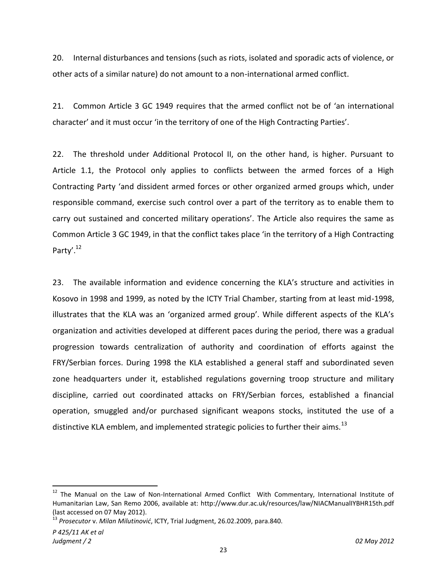20. Internal disturbances and tensions (such as riots, isolated and sporadic acts of violence, or other acts of a similar nature) do not amount to a non-international armed conflict.

21. Common Article 3 GC 1949 requires that the armed conflict not be of 'an international character' and it must occur 'in the territory of one of the High Contracting Parties'.

22. The threshold under Additional Protocol II, on the other hand, is higher. Pursuant to Article 1.1, the Protocol only applies to conflicts between the armed forces of a High Contracting Party 'and dissident armed forces or other organized armed groups which, under responsible command, exercise such control over a part of the territory as to enable them to carry out sustained and concerted military operations'. The Article also requires the same as Common Article 3 GC 1949, in that the conflict takes place 'in the territory of a High Contracting Party'.<sup>12</sup>

23. The available information and evidence concerning the KLA's structure and activities in Kosovo in 1998 and 1999, as noted by the ICTY Trial Chamber, starting from at least mid-1998, illustrates that the KLA was an 'organized armed group'. While different aspects of the KLA's organization and activities developed at different paces during the period, there was a gradual progression towards centralization of authority and coordination of efforts against the FRY/Serbian forces. During 1998 the KLA established a general staff and subordinated seven zone headquarters under it, established regulations governing troop structure and military discipline, carried out coordinated attacks on FRY/Serbian forces, established a financial operation, smuggled and/or purchased significant weapons stocks, instituted the use of a distinctive KLA emblem, and implemented strategic policies to further their aims.<sup>13</sup>

 $\overline{a}$ 

<sup>&</sup>lt;sup>12</sup> The Manual on the Law of Non-International Armed Conflict With Commentary, International Institute of Humanitarian Law, San Remo 2006, available at:<http://www.dur.ac.uk/resources/law/NIACManualIYBHR15th.pdf> (last accessed on 07 May 2012).

<sup>13</sup> *Prosecutor* v. *Milan Milutinović*, ICTY, Trial Judgment, 26.02.2009, para.840.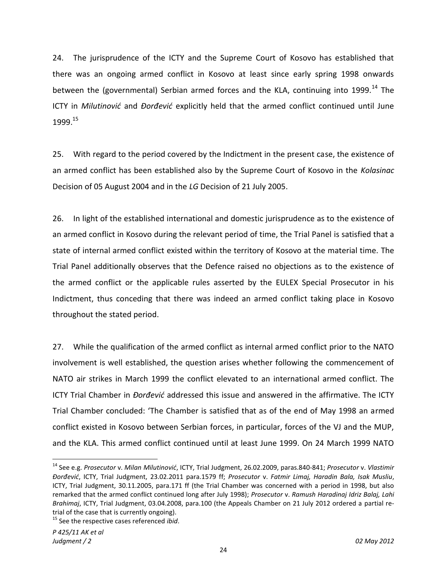24. The jurisprudence of the ICTY and the Supreme Court of Kosovo has established that there was an ongoing armed conflict in Kosovo at least since early spring 1998 onwards between the (governmental) Serbian armed forces and the KLA, continuing into 1999.<sup>14</sup> The ICTY in *Milutinović* and *Đorđević* explicitly held that the armed conflict continued until June 1999.<sup>15</sup>

25. With regard to the period covered by the Indictment in the present case, the existence of an armed conflict has been established also by the Supreme Court of Kosovo in the *Kolasinac* Decision of 05 August 2004 and in the *LG* Decision of 21 July 2005.

26. In light of the established international and domestic jurisprudence as to the existence of an armed conflict in Kosovo during the relevant period of time, the Trial Panel is satisfied that a state of internal armed conflict existed within the territory of Kosovo at the material time. The Trial Panel additionally observes that the Defence raised no objections as to the existence of the armed conflict or the applicable rules asserted by the EULEX Special Prosecutor in his Indictment, thus conceding that there was indeed an armed conflict taking place in Kosovo throughout the stated period.

27. While the qualification of the armed conflict as internal armed conflict prior to the NATO involvement is well established, the question arises whether following the commencement of NATO air strikes in March 1999 the conflict elevated to an international armed conflict. The ICTY Trial Chamber in *Đorđević* addressed this issue and answered in the affirmative. The ICTY Trial Chamber concluded: 'The Chamber is satisfied that as of the end of May 1998 an armed conflict existed in Kosovo between Serbian forces, in particular, forces of the VJ and the MUP, and the KLA. This armed conflict continued until at least June 1999. On 24 March 1999 NATO

<sup>14</sup> See e.g. *Prosecutor* v. *Milan Milutinović*, ICTY, Trial Judgment, 26.02.2009, paras.840-841; *Prosecutor* v. *Vlastimir Đorđević*, ICTY, Trial Judgment, 23.02.2011 para.1579 ff; *Prosecutor* v. *Fatmir Limaj, Haradin Bala, Isak Musliu*, ICTY, Trial Judgment, 30.11.2005, para.171 ff (the Trial Chamber was concerned with a period in 1998, but also remarked that the armed conflict continued long after July 1998); *Prosecutor* v. *Ramush Haradinaj Idriz Balaj, Lahi Brahimaj*, ICTY, Trial Judgment, 03.04.2008, para.100 (the Appeals Chamber on 21 July 2012 ordered a partial retrial of the case that is currently ongoing).

<sup>15</sup> See the respective cases referenced *ibid*.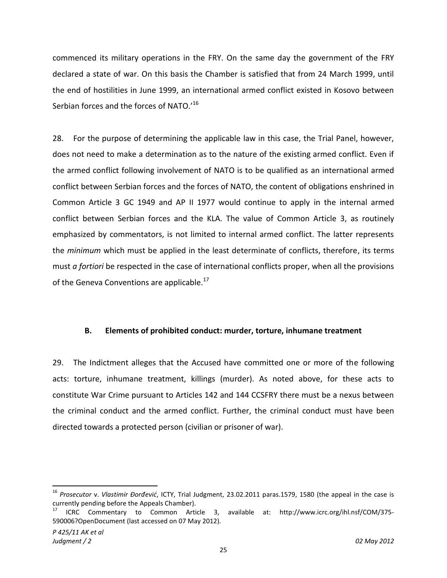commenced its military operations in the FRY. On the same day the government of the FRY declared a state of war. On this basis the Chamber is satisfied that from 24 March 1999, until the end of hostilities in June 1999, an international armed conflict existed in Kosovo between Serbian forces and the forces of NATO.'<sup>16</sup>

28. For the purpose of determining the applicable law in this case, the Trial Panel, however, does not need to make a determination as to the nature of the existing armed conflict. Even if the armed conflict following involvement of NATO is to be qualified as an international armed conflict between Serbian forces and the forces of NATO, the content of obligations enshrined in Common Article 3 GC 1949 and AP II 1977 would continue to apply in the internal armed conflict between Serbian forces and the KLA. The value of Common Article 3, as routinely emphasized by commentators, is not limited to internal armed conflict. The latter represents the *minimum* which must be applied in the least determinate of conflicts, therefore, its terms must *a fortiori* be respected in the case of international conflicts proper, when all the provisions of the Geneva Conventions are applicable.<sup>17</sup>

## **B. Elements of prohibited conduct: murder, torture, inhumane treatment**

29. The Indictment alleges that the Accused have committed one or more of the following acts: torture, inhumane treatment, killings (murder). As noted above, for these acts to constitute War Crime pursuant to Articles 142 and 144 CCSFRY there must be a nexus between the criminal conduct and the armed conflict. Further, the criminal conduct must have been directed towards a protected person (civilian or prisoner of war).

 $\overline{a}$ 

<sup>16</sup> *Prosecutor* v. *Vlastimir Đorđević*, ICTY, Trial Judgment, 23.02.2011 paras.1579, 1580 (the appeal in the case is currently pending before the Appeals Chamber).

<sup>&</sup>lt;sup>17</sup> ICRC Commentary to Common Article 3, available at: [http://www.icrc.org/ihl.nsf/COM/375-](http://www.icrc.org/ihl.nsf/COM/375-590006?OpenDocument) [590006?OpenDocument](http://www.icrc.org/ihl.nsf/COM/375-590006?OpenDocument) (last accessed on 07 May 2012).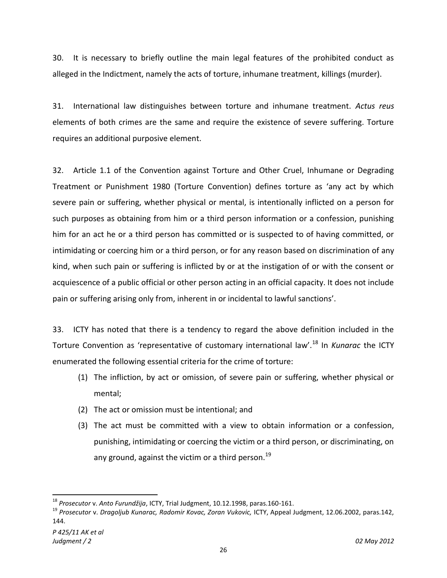30. It is necessary to briefly outline the main legal features of the prohibited conduct as alleged in the Indictment, namely the acts of torture, inhumane treatment, killings (murder).

31. International law distinguishes between torture and inhumane treatment. *Actus reus* elements of both crimes are the same and require the existence of severe suffering. Torture requires an additional purposive element.

32. Article 1.1 of the Convention against Torture and Other Cruel, Inhumane or Degrading Treatment or Punishment 1980 (Torture Convention) defines torture as 'any act by which severe pain or suffering, whether physical or mental, is intentionally inflicted on a person for such purposes as obtaining from him or a third person information or a confession, punishing him for an act he or a third person has committed or is suspected to of having committed, or intimidating or coercing him or a third person, or for any reason based on discrimination of any kind, when such pain or suffering is inflicted by or at the instigation of or with the consent or acquiescence of a public official or other person acting in an official capacity. It does not include pain or suffering arising only from, inherent in or incidental to lawful sanctions'.

33. ICTY has noted that there is a tendency to regard the above definition included in the Torture Convention as 'representative of customary international law'.<sup>18</sup> In *Kunarac* the ICTY enumerated the following essential criteria for the crime of torture:

- (1) The infliction, by act or omission, of severe pain or suffering, whether physical or mental;
- (2) The act or omission must be intentional; and
- (3) The act must be committed with a view to obtain information or a confession, punishing, intimidating or coercing the victim or a third person, or discriminating, on any ground, against the victim or a third person.<sup>19</sup>

<sup>18</sup> *Prosecutor* v. *Anto Furundžija*, ICTY, Trial Judgment, 10.12.1998, paras.160-161.

<sup>19</sup> *Prosecutor* v. *Dragoljub Kunarac, Radomir Kovac, Zoran Vukovic,* ICTY, Appeal Judgment, 12.06.2002, paras.142, 144.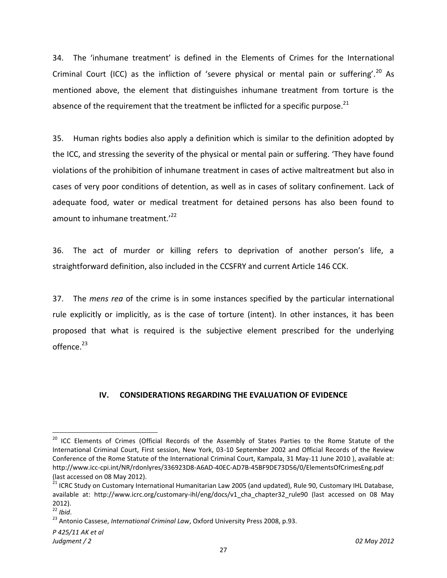34. The 'inhumane treatment' is defined in the Elements of Crimes for the International Criminal Court (ICC) as the infliction of 'severe physical or mental pain or suffering'.<sup>20</sup> As mentioned above, the element that distinguishes inhumane treatment from torture is the absence of the requirement that the treatment be inflicted for a specific purpose. $^{21}$ 

35. Human rights bodies also apply a definition which is similar to the definition adopted by the ICC, and stressing the severity of the physical or mental pain or suffering. 'They have found violations of the prohibition of inhumane treatment in cases of active maltreatment but also in cases of very poor conditions of detention, as well as in cases of solitary confinement. Lack of adequate food, water or medical treatment for detained persons has also been found to amount to inhumane treatment.<sup>'22</sup>

36. The act of murder or killing refers to deprivation of another person's life, a straightforward definition, also included in the CCSFRY and current Article 146 CCK.

37. The *mens rea* of the crime is in some instances specified by the particular international rule explicitly or implicitly, as is the case of torture (intent). In other instances, it has been proposed that what is required is the subjective element prescribed for the underlying offence.<sup>23</sup>

## **IV. CONSIDERATIONS REGARDING THE EVALUATION OF EVIDENCE**

<sup>&</sup>lt;sup>20</sup> ICC Elements of Crimes (Official Records of the Assembly of States Parties to the Rome Statute of the International Criminal Court, First session, New York, 03-10 September 2002 and Official Records of the Review Conference of the Rome Statute of the International Criminal Court, Kampala, 31 May-11 June 2010 ), available at: <http://www.icc-cpi.int/NR/rdonlyres/336923D8-A6AD-40EC-AD7B-45BF9DE73D56/0/ElementsOfCrimesEng.pdf> (last accessed on 08 May 2012).

<sup>&</sup>lt;sup>21</sup> ICRC Study on Customary International Humanitarian Law 2005 (and updated), Rule 90, Customary IHL Database, available at: http://www.icrc.org/customary-ihl/eng/docs/v1 cha chapter32 rule90 (last accessed on 08 May 2012).

 $22$  *Ibid* 

<sup>23</sup> Antonio Cassese, *International Criminal Law*, Oxford University Press 2008, p.93.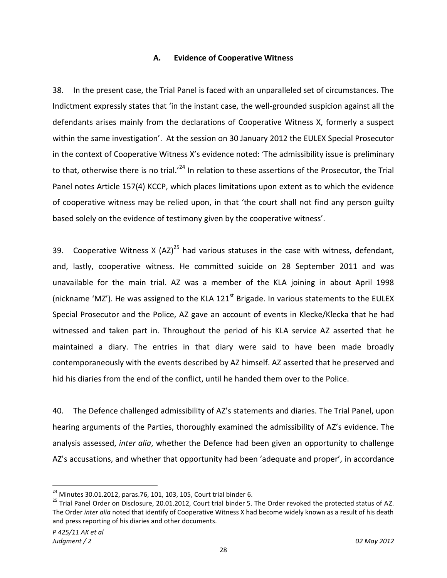#### **A. Evidence of Cooperative Witness**

38. In the present case, the Trial Panel is faced with an unparalleled set of circumstances. The Indictment expressly states that 'in the instant case, the well-grounded suspicion against all the defendants arises mainly from the declarations of Cooperative Witness X, formerly a suspect within the same investigation'. At the session on 30 January 2012 the EULEX Special Prosecutor in the context of Cooperative Witness X's evidence noted: 'The admissibility issue is preliminary to that, otherwise there is no trial.<sup>'24</sup> In relation to these assertions of the Prosecutor, the Trial Panel notes Article 157(4) KCCP, which places limitations upon extent as to which the evidence of cooperative witness may be relied upon, in that 'the court shall not find any person guilty based solely on the evidence of testimony given by the cooperative witness'.

39. Cooperative Witness X (AZ)<sup>25</sup> had various statuses in the case with witness, defendant, and, lastly, cooperative witness. He committed suicide on 28 September 2011 and was unavailable for the main trial. AZ was a member of the KLA joining in about April 1998 (nickname 'MZ'). He was assigned to the KLA  $121<sup>st</sup>$  Brigade. In various statements to the EULEX Special Prosecutor and the Police, AZ gave an account of events in Klecke/Klecka that he had witnessed and taken part in. Throughout the period of his KLA service AZ asserted that he maintained a diary. The entries in that diary were said to have been made broadly contemporaneously with the events described by AZ himself. AZ asserted that he preserved and hid his diaries from the end of the conflict, until he handed them over to the Police.

40. The Defence challenged admissibility of AZ's statements and diaries. The Trial Panel, upon hearing arguments of the Parties, thoroughly examined the admissibility of AZ's evidence. The analysis assessed, *inter alia*, whether the Defence had been given an opportunity to challenge AZ's accusations, and whether that opportunity had been 'adequate and proper', in accordance

 $\overline{a}$ 

 $^{24}$  Minutes 30.01.2012, paras.76, 101, 103, 105, Court trial binder 6.

<sup>&</sup>lt;sup>25</sup> Trial Panel Order on Disclosure, 20.01.2012, Court trial binder 5. The Order revoked the protected status of AZ. The Order *inter alia* noted that identify of Cooperative Witness X had become widely known as a result of his death and press reporting of his diaries and other documents.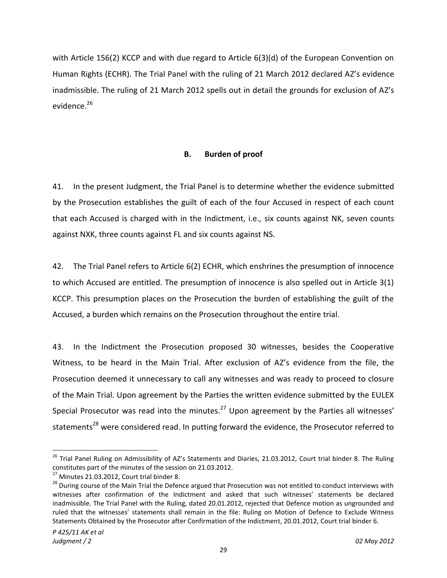with Article 156(2) KCCP and with due regard to Article 6(3)(d) of the European Convention on Human Rights (ECHR). The Trial Panel with the ruling of 21 March 2012 declared AZ's evidence inadmissible. The ruling of 21 March 2012 spells out in detail the grounds for exclusion of AZ's evidence.<sup>26</sup>

## **B. Burden of proof**

41. In the present Judgment, the Trial Panel is to determine whether the evidence submitted by the Prosecution establishes the guilt of each of the four Accused in respect of each count that each Accused is charged with in the Indictment, i.e., six counts against NK, seven counts against NXK, three counts against FL and six counts against NS.

42. The Trial Panel refers to Article 6(2) ECHR, which enshrines the presumption of innocence to which Accused are entitled. The presumption of innocence is also spelled out in Article 3(1) KCCP. This presumption places on the Prosecution the burden of establishing the guilt of the Accused, a burden which remains on the Prosecution throughout the entire trial.

43. In the Indictment the Prosecution proposed 30 witnesses, besides the Cooperative Witness, to be heard in the Main Trial. After exclusion of AZ's evidence from the file, the Prosecution deemed it unnecessary to call any witnesses and was ready to proceed to closure of the Main Trial. Upon agreement by the Parties the written evidence submitted by the EULEX Special Prosecutor was read into the minutes.<sup>27</sup> Upon agreement by the Parties all witnesses' statements<sup>28</sup> were considered read. In putting forward the evidence, the Prosecutor referred to

<sup>&</sup>lt;sup>26</sup> Trial Panel Ruling on Admissibility of AZ's Statements and Diaries, 21.03.2012, Court trial binder 8. The Ruling constitutes part of the minutes of the session on 21.03.2012.

 $^{27}$  Minutes 21.03.2012, Court trial binder 8.

<sup>&</sup>lt;sup>28</sup> During course of the Main Trial the Defence argued that Prosecution was not entitled to conduct interviews with witnesses after confirmation of the Indictment and asked that such witnesses' statements be declared inadmissible. The Trial Panel with the Ruling, dated 20.01.2012, rejected that Defence motion as ungrounded and ruled that the witnesses' statements shall remain in the file: Ruling on Motion of Defence to Exclude Witness Statements Obtained by the Prosecutor after Confirmation of the Indictment, 20.01.2012, Court trial binder 6.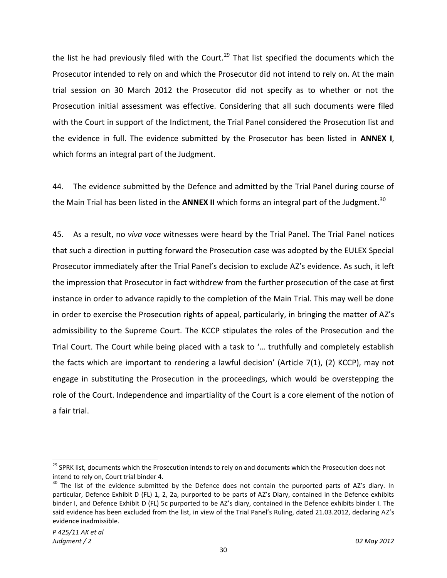the list he had previously filed with the Court.<sup>29</sup> That list specified the documents which the Prosecutor intended to rely on and which the Prosecutor did not intend to rely on. At the main trial session on 30 March 2012 the Prosecutor did not specify as to whether or not the Prosecution initial assessment was effective. Considering that all such documents were filed with the Court in support of the Indictment, the Trial Panel considered the Prosecution list and the evidence in full. The evidence submitted by the Prosecutor has been listed in **ANNEX I**, which forms an integral part of the Judgment.

44. The evidence submitted by the Defence and admitted by the Trial Panel during course of the Main Trial has been listed in the **ANNEX II** which forms an integral part of the Judgment.<sup>30</sup>

45. As a result, no *viva voce* witnesses were heard by the Trial Panel. The Trial Panel notices that such a direction in putting forward the Prosecution case was adopted by the EULEX Special Prosecutor immediately after the Trial Panel's decision to exclude AZ's evidence. As such, it left the impression that Prosecutor in fact withdrew from the further prosecution of the case at first instance in order to advance rapidly to the completion of the Main Trial. This may well be done in order to exercise the Prosecution rights of appeal, particularly, in bringing the matter of AZ's admissibility to the Supreme Court. The KCCP stipulates the roles of the Prosecution and the Trial Court. The Court while being placed with a task to '… truthfully and completely establish the facts which are important to rendering a lawful decision' (Article 7(1), (2) KCCP), may not engage in substituting the Prosecution in the proceedings, which would be overstepping the role of the Court. Independence and impartiality of the Court is a core element of the notion of a fair trial.

<sup>&</sup>lt;sup>29</sup> SPRK list, documents which the Prosecution intends to rely on and documents which the Prosecution does not intend to rely on, Court trial binder 4.

<sup>&</sup>lt;sup>30</sup> The list of the evidence submitted by the Defence does not contain the purported parts of AZ's diary. In particular, Defence Exhibit D (FL) 1, 2, 2a, purported to be parts of AZ's Diary, contained in the Defence exhibits binder I, and Defence Exhibit D (FL) 5c purported to be AZ's diary, contained in the Defence exhibits binder I. The said evidence has been excluded from the list, in view of the Trial Panel's Ruling, dated 21.03.2012, declaring AZ's evidence inadmissible.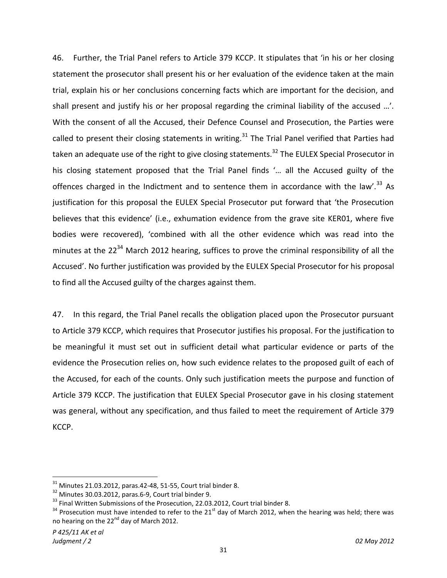46. Further, the Trial Panel refers to Article 379 KCCP. It stipulates that 'in his or her closing statement the prosecutor shall present his or her evaluation of the evidence taken at the main trial, explain his or her conclusions concerning facts which are important for the decision, and shall present and justify his or her proposal regarding the criminal liability of the accused …'. With the consent of all the Accused, their Defence Counsel and Prosecution, the Parties were called to present their closing statements in writing. $31$  The Trial Panel verified that Parties had taken an adequate use of the right to give closing statements.<sup>32</sup> The EULEX Special Prosecutor in his closing statement proposed that the Trial Panel finds '… all the Accused guilty of the offences charged in the Indictment and to sentence them in accordance with the law'.<sup>33</sup> As justification for this proposal the EULEX Special Prosecutor put forward that 'the Prosecution believes that this evidence' (i.e., exhumation evidence from the grave site KER01, where five bodies were recovered), 'combined with all the other evidence which was read into the minutes at the 22<sup>34</sup> March 2012 hearing, suffices to prove the criminal responsibility of all the Accused'. No further justification was provided by the EULEX Special Prosecutor for his proposal to find all the Accused guilty of the charges against them.

47. In this regard, the Trial Panel recalls the obligation placed upon the Prosecutor pursuant to Article 379 KCCP, which requires that Prosecutor justifies his proposal. For the justification to be meaningful it must set out in sufficient detail what particular evidence or parts of the evidence the Prosecution relies on, how such evidence relates to the proposed guilt of each of the Accused, for each of the counts. Only such justification meets the purpose and function of Article 379 KCCP. The justification that EULEX Special Prosecutor gave in his closing statement was general, without any specification, and thus failed to meet the requirement of Article 379 KCCP.

l

 $31$  Minutes 21.03.2012, paras.42-48, 51-55, Court trial binder 8.

<sup>32</sup> Minutes 30.03.2012, paras.6-9, Court trial binder 9.

<sup>&</sup>lt;sup>33</sup> Final Written Submissions of the Prosecution, 22.03.2012, Court trial binder 8.

 $34$  Prosecution must have intended to refer to the 21<sup>st</sup> day of March 2012, when the hearing was held; there was no hearing on the 22<sup>nd</sup> day of March 2012.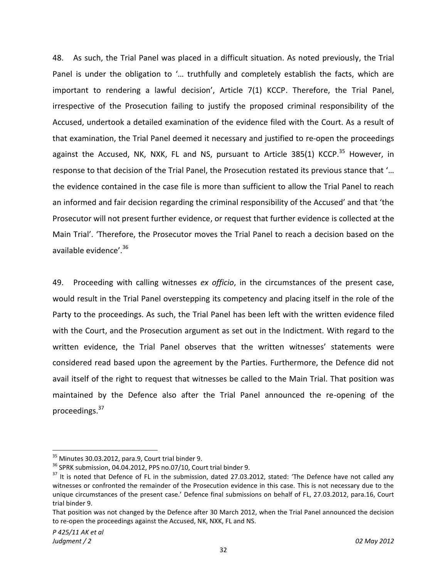48. As such, the Trial Panel was placed in a difficult situation. As noted previously, the Trial Panel is under the obligation to '… truthfully and completely establish the facts, which are important to rendering a lawful decision', Article 7(1) KCCP. Therefore, the Trial Panel, irrespective of the Prosecution failing to justify the proposed criminal responsibility of the Accused, undertook a detailed examination of the evidence filed with the Court. As a result of that examination, the Trial Panel deemed it necessary and justified to re-open the proceedings against the Accused, NK, NXK, FL and NS, pursuant to Article 385(1) KCCP.<sup>35</sup> However, in response to that decision of the Trial Panel, the Prosecution restated its previous stance that '… the evidence contained in the case file is more than sufficient to allow the Trial Panel to reach an informed and fair decision regarding the criminal responsibility of the Accused' and that 'the Prosecutor will not present further evidence, or request that further evidence is collected at the Main Trial'. 'Therefore, the Prosecutor moves the Trial Panel to reach a decision based on the available evidence'. 36

49. Proceeding with calling witnesses *ex officio*, in the circumstances of the present case, would result in the Trial Panel overstepping its competency and placing itself in the role of the Party to the proceedings. As such, the Trial Panel has been left with the written evidence filed with the Court, and the Prosecution argument as set out in the Indictment. With regard to the written evidence, the Trial Panel observes that the written witnesses' statements were considered read based upon the agreement by the Parties. Furthermore, the Defence did not avail itself of the right to request that witnesses be called to the Main Trial. That position was maintained by the Defence also after the Trial Panel announced the re-opening of the proceedings.<sup>37</sup>

<sup>&</sup>lt;sup>35</sup> Minutes 30.03.2012, para.9, Court trial binder 9.

 $36$  SPRK submission, 04.04.2012, PPS no.07/10, Court trial binder 9.

<sup>&</sup>lt;sup>37</sup> It is noted that Defence of FL in the submission, dated 27.03.2012, stated: 'The Defence have not called any witnesses or confronted the remainder of the Prosecution evidence in this case. This is not necessary due to the unique circumstances of the present case.' Defence final submissions on behalf of FL, 27.03.2012, para.16, Court trial binder 9.

That position was not changed by the Defence after 30 March 2012, when the Trial Panel announced the decision to re-open the proceedings against the Accused, NK, NXK, FL and NS.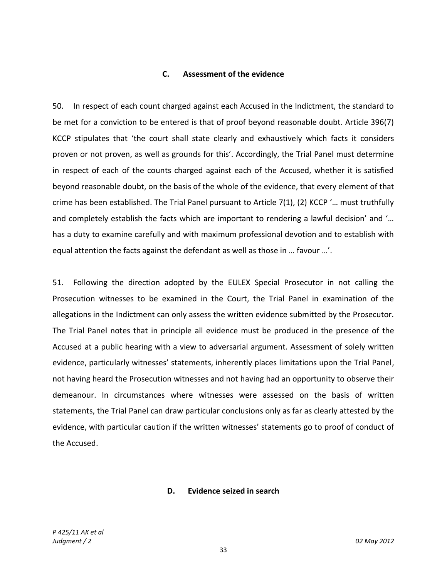#### **C. Assessment of the evidence**

50. In respect of each count charged against each Accused in the Indictment, the standard to be met for a conviction to be entered is that of proof beyond reasonable doubt. Article 396(7) KCCP stipulates that 'the court shall state clearly and exhaustively which facts it considers proven or not proven, as well as grounds for this'. Accordingly, the Trial Panel must determine in respect of each of the counts charged against each of the Accused, whether it is satisfied beyond reasonable doubt, on the basis of the whole of the evidence, that every element of that crime has been established. The Trial Panel pursuant to Article 7(1), (2) KCCP '… must truthfully and completely establish the facts which are important to rendering a lawful decision' and '… has a duty to examine carefully and with maximum professional devotion and to establish with equal attention the facts against the defendant as well as those in … favour …'.

51. Following the direction adopted by the EULEX Special Prosecutor in not calling the Prosecution witnesses to be examined in the Court, the Trial Panel in examination of the allegations in the Indictment can only assess the written evidence submitted by the Prosecutor. The Trial Panel notes that in principle all evidence must be produced in the presence of the Accused at a public hearing with a view to adversarial argument. Assessment of solely written evidence, particularly witnesses' statements, inherently places limitations upon the Trial Panel, not having heard the Prosecution witnesses and not having had an opportunity to observe their demeanour. In circumstances where witnesses were assessed on the basis of written statements, the Trial Panel can draw particular conclusions only as far as clearly attested by the evidence, with particular caution if the written witnesses' statements go to proof of conduct of the Accused.

#### **D. Evidence seized in search**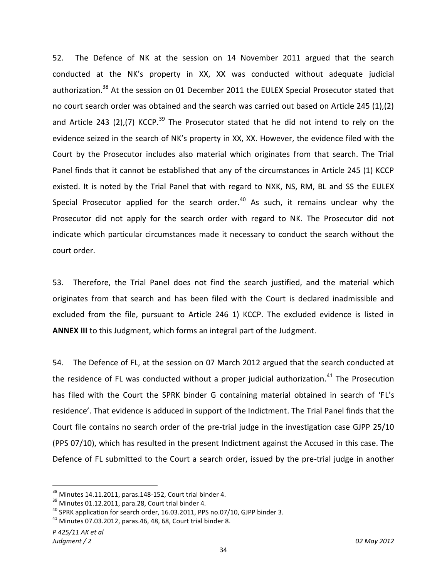52. The Defence of NK at the session on 14 November 2011 argued that the search conducted at the NK's property in XX, XX was conducted without adequate judicial authorization.<sup>38</sup> At the session on 01 December 2011 the EULEX Special Prosecutor stated that no court search order was obtained and the search was carried out based on Article 245 (1),(2) and Article 243 (2),(7) KCCP.<sup>39</sup> The Prosecutor stated that he did not intend to rely on the evidence seized in the search of NK's property in XX, XX. However, the evidence filed with the Court by the Prosecutor includes also material which originates from that search. The Trial Panel finds that it cannot be established that any of the circumstances in Article 245 (1) KCCP existed. It is noted by the Trial Panel that with regard to NXK, NS, RM, BL and SS the EULEX Special Prosecutor applied for the search order.<sup>40</sup> As such, it remains unclear why the Prosecutor did not apply for the search order with regard to NK. The Prosecutor did not indicate which particular circumstances made it necessary to conduct the search without the court order.

53. Therefore, the Trial Panel does not find the search justified, and the material which originates from that search and has been filed with the Court is declared inadmissible and excluded from the file, pursuant to Article 246 1) KCCP. The excluded evidence is listed in **ANNEX III** to this Judgment, which forms an integral part of the Judgment.

54. The Defence of FL, at the session on 07 March 2012 argued that the search conducted at the residence of FL was conducted without a proper judicial authorization.<sup>41</sup> The Prosecution has filed with the Court the SPRK binder G containing material obtained in search of 'FL's residence'. That evidence is adduced in support of the Indictment. The Trial Panel finds that the Court file contains no search order of the pre-trial judge in the investigation case GJPP 25/10 (PPS 07/10), which has resulted in the present Indictment against the Accused in this case. The Defence of FL submitted to the Court a search order, issued by the pre-trial judge in another

 $\overline{a}$ 

<sup>&</sup>lt;sup>38</sup> Minutes 14.11.2011, paras.148-152, Court trial binder 4.

<sup>&</sup>lt;sup>39</sup> Minutes 01.12.2011, para.28, Court trial binder 4.

 $^{40}$  SPRK application for search order, 16.03.2011, PPS no.07/10, GJPP binder 3.

 $41$  Minutes 07.03.2012, paras.46, 48, 68, Court trial binder 8.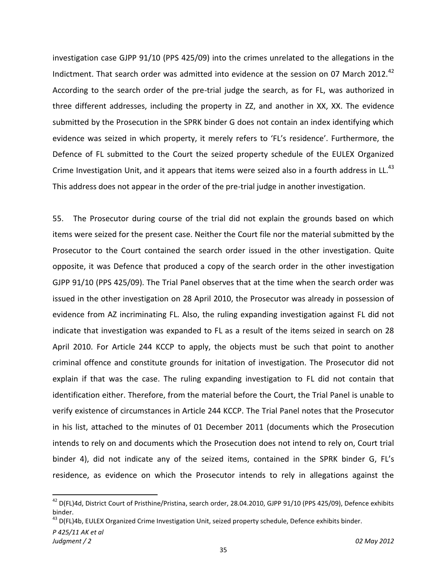investigation case GJPP 91/10 (PPS 425/09) into the crimes unrelated to the allegations in the Indictment. That search order was admitted into evidence at the session on 07 March 2012.<sup>42</sup> According to the search order of the pre-trial judge the search, as for FL, was authorized in three different addresses, including the property in ZZ, and another in XX, XX. The evidence submitted by the Prosecution in the SPRK binder G does not contain an index identifying which evidence was seized in which property, it merely refers to 'FL's residence'. Furthermore, the Defence of FL submitted to the Court the seized property schedule of the EULEX Organized Crime Investigation Unit, and it appears that items were seized also in a fourth address in LL.<sup>43</sup> This address does not appear in the order of the pre-trial judge in another investigation.

55. The Prosecutor during course of the trial did not explain the grounds based on which items were seized for the present case. Neither the Court file nor the material submitted by the Prosecutor to the Court contained the search order issued in the other investigation. Quite opposite, it was Defence that produced a copy of the search order in the other investigation GJPP 91/10 (PPS 425/09). The Trial Panel observes that at the time when the search order was issued in the other investigation on 28 April 2010, the Prosecutor was already in possession of evidence from AZ incriminating FL. Also, the ruling expanding investigation against FL did not indicate that investigation was expanded to FL as a result of the items seized in search on 28 April 2010. For Article 244 KCCP to apply, the objects must be such that point to another criminal offence and constitute grounds for initation of investigation. The Prosecutor did not explain if that was the case. The ruling expanding investigation to FL did not contain that identification either. Therefore, from the material before the Court, the Trial Panel is unable to verify existence of circumstances in Article 244 KCCP. The Trial Panel notes that the Prosecutor in his list, attached to the minutes of 01 December 2011 (documents which the Prosecution intends to rely on and documents which the Prosecution does not intend to rely on, Court trial binder 4), did not indicate any of the seized items, contained in the SPRK binder G, FL's residence, as evidence on which the Prosecutor intends to rely in allegations against the

<sup>&</sup>lt;sup>42</sup> D(FL)4d, District Court of Pristhine/Pristina, search order, 28.04.2010, GJPP 91/10 (PPS 425/09), Defence exhibits binder.

 $^{43}$  D(FL)4b, EULEX Organized Crime Investigation Unit, seized property schedule, Defence exhibits binder.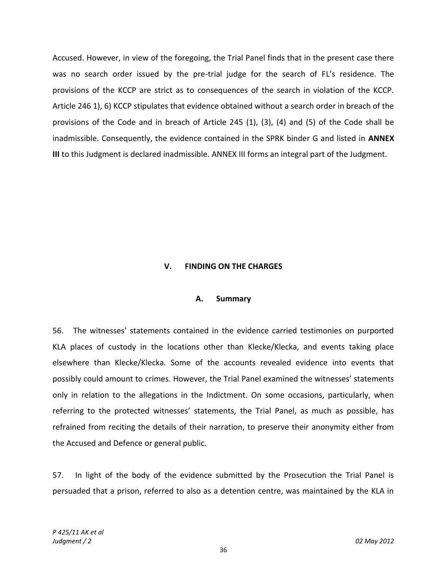Accused. However, in view of the foregoing, the Trial Panel finds that in the present case there was no search order issued by the pre-trial judge for the search of FL's residence. The provisions of the KCCP are strict as to consequences of the search in violation of the KCCP. Article 246 1), 6) KCCP stipulates that evidence obtained without a search order in breach of the provisions of the Code and in breach of Article 245 (1), (3), (4) and (5) of the Code shall be inadmissible. Consequently, the evidence contained in the SPRK binder G and listed in **ANNEX III** to this Judgment is declared inadmissible. ANNEX III forms an integral part of the Judgment.

## **V. FINDING ON THE CHARGES**

#### **A. Summary**

56. The witnesses' statements contained in the evidence carried testimonies on purported KLA places of custody in the locations other than Klecke/Klecka, and events taking place elsewhere than Klecke/Klecka. Some of the accounts revealed evidence into events that possibly could amount to crimes. However, the Trial Panel examined the witnesses' statements only in relation to the allegations in the Indictment. On some occasions, particularly, when referring to the protected witnesses' statements, the Trial Panel, as much as possible, has refrained from reciting the details of their narration, to preserve their anonymity either from the Accused and Defence or general public.

57. In light of the body of the evidence submitted by the Prosecution the Trial Panel is persuaded that a prison, referred to also as a detention centre, was maintained by the KLA in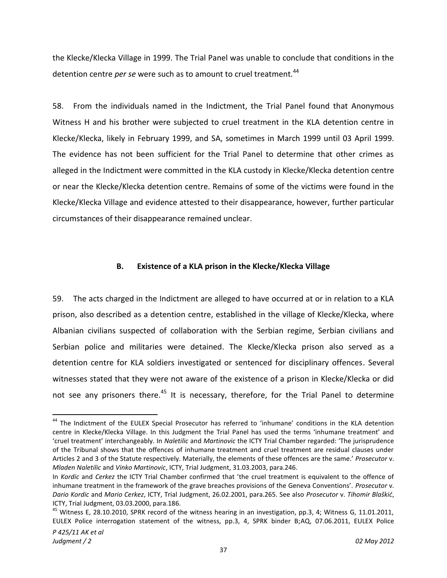the Klecke/Klecka Village in 1999. The Trial Panel was unable to conclude that conditions in the detention centre *per se* were such as to amount to cruel treatment.<sup>44</sup>

58. From the individuals named in the Indictment, the Trial Panel found that Anonymous Witness H and his brother were subjected to cruel treatment in the KLA detention centre in Klecke/Klecka, likely in February 1999, and SA, sometimes in March 1999 until 03 April 1999. The evidence has not been sufficient for the Trial Panel to determine that other crimes as alleged in the Indictment were committed in the KLA custody in Klecke/Klecka detention centre or near the Klecke/Klecka detention centre. Remains of some of the victims were found in the Klecke/Klecka Village and evidence attested to their disappearance, however, further particular circumstances of their disappearance remained unclear.

# **B. Existence of a KLA prison in the Klecke/Klecka Village**

59. The acts charged in the Indictment are alleged to have occurred at or in relation to a KLA prison, also described as a detention centre, established in the village of Klecke/Klecka, where Albanian civilians suspected of collaboration with the Serbian regime, Serbian civilians and Serbian police and militaries were detained. The Klecke/Klecka prison also served as a detention centre for KLA soldiers investigated or sentenced for disciplinary offences. Several witnesses stated that they were not aware of the existence of a prison in Klecke/Klecka or did not see any prisoners there.<sup>45</sup> It is necessary, therefore, for the Trial Panel to determine

<sup>&</sup>lt;sup>44</sup> The Indictment of the EULEX Special Prosecutor has referred to 'inhumane' conditions in the KLA detention centre in Klecke/Klecka Village. In this Judgment the Trial Panel has used the terms 'inhumane treatment' and 'cruel treatment' interchangeably. In *Naletilic* and *Martinovic* the ICTY Trial Chamber regarded: 'The jurisprudence of the Tribunal shows that the offences of inhumane treatment and cruel treatment are residual clauses under Articles 2 and 3 of the Statute respectively. Materially, the elements of these offences are the same.' *Prosecutor* v. *Mladen Naletilic* and *Vinko Martinovic*, ICTY, Trial Judgment, 31.03.2003, para.246.

In *Kordic* and *Cerkez* the ICTY Trial Chamber confirmed that 'the cruel treatment is equivalent to the offence of inhumane treatment in the framework of the grave breaches provisions of the Geneva Conventions'. *Prosecutor* v. *Dario Kordic* and *Mario Cerkez*, ICTY, Trial Judgment, 26.02.2001, para.265. See also *Prosecutor* v. *Tihomir Blaškić*, ICTY, Trial Judgment, 03.03.2000, para.186.

 $45$  Witness E, 28.10.2010, SPRK record of the witness hearing in an investigation, pp.3, 4; Witness G, 11.01.2011, EULEX Police interrogation statement of the witness, pp.3, 4, SPRK binder B;AQ, 07.06.2011, EULEX Police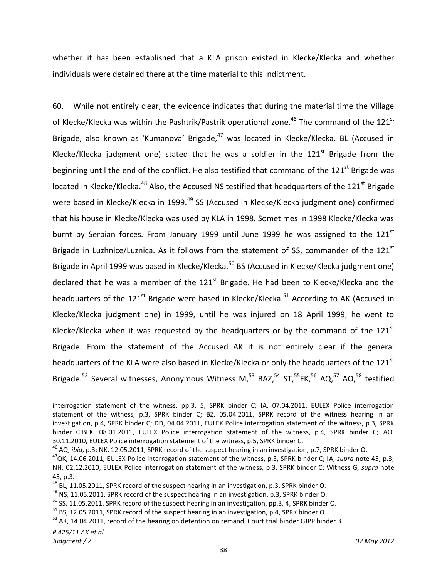whether it has been established that a KLA prison existed in Klecke/Klecka and whether individuals were detained there at the time material to this Indictment.

60. While not entirely clear, the evidence indicates that during the material time the Village of Klecke/Klecka was within the Pashtrik/Pastrik operational zone.<sup>46</sup> The command of the 121<sup>st</sup> Brigade, also known as 'Kumanova' Brigade, $47$  was located in Klecke/Klecka. BL (Accused in Klecke/Klecka judgment one) stated that he was a soldier in the  $121<sup>st</sup>$  Brigade from the beginning until the end of the conflict. He also testified that command of the 121<sup>st</sup> Brigade was located in Klecke/Klecka.<sup>48</sup> Also, the Accused NS testified that headquarters of the 121<sup>st</sup> Brigade were based in Klecke/Klecka in 1999.<sup>49</sup> SS (Accused in Klecke/Klecka judgment one) confirmed that his house in Klecke/Klecka was used by KLA in 1998. Sometimes in 1998 Klecke/Klecka was burnt by Serbian forces. From January 1999 until June 1999 he was assigned to the  $121<sup>st</sup>$ Brigade in Luzhnice/Luznica. As it follows from the statement of SS, commander of the  $121<sup>st</sup>$ Brigade in April 1999 was based in Klecke/Klecka.<sup>50</sup> BS (Accused in Klecke/Klecka judgment one) declared that he was a member of the  $121<sup>st</sup>$  Brigade. He had been to Klecke/Klecka and the headquarters of the 121<sup>st</sup> Brigade were based in Klecke/Klecka.<sup>51</sup> According to AK (Accused in Klecke/Klecka judgment one) in 1999, until he was injured on 18 April 1999, he went to Klecke/Klecka when it was requested by the headquarters or by the command of the  $121<sup>st</sup>$ Brigade. From the statement of the Accused AK it is not entirely clear if the general headquarters of the KLA were also based in Klecke/Klecka or only the headquarters of the 121<sup>st</sup> Brigade.<sup>52</sup> Several witnesses, Anonymous Witness M,<sup>53</sup> BAZ,<sup>54</sup> ST,<sup>55</sup>FK,<sup>56</sup> AQ,<sup>57</sup> AO,<sup>58</sup> testified

interrogation statement of the witness, pp.3, 5, SPRK binder C; IA, 07.04.2011, EULEX Police interrogation statement of the witness, p.3, SPRK binder C; BZ, 05.04.2011, SPRK record of the witness hearing in an investigation, p.4, SPRK binder C; DD, 04.04.2011, EULEX Police interrogation statement of the witness, p.3, SPRK binder C;BEK, 08.01.2011, EULEX Police interrogation statement of the witness, p.4, SPRK binder C; AO, 30.11.2010, EULEX Police interrogation statement of the witness, p.5, SPRK binder C.

<sup>46</sup> AQ, *ibid*, p.3; NK, 12.05.2011, SPRK record of the suspect hearing in an investigation, p.7, SPRK binder O.

<sup>47</sup>QK, 14.06.2011, EULEX Police interrogation statement of the witness, p.3, SPRK binder C; IA, *supra* note 45, p.3; NH, 02.12.2010, EULEX Police interrogation statement of the witness, p.3, SPRK binder C; Witness G, *supra* note 45, p.3.

 $^{48}$  BL, 11.05.2011, SPRK record of the suspect hearing in an investigation, p.3, SPRK binder O.

 $49$  NS, 11.05.2011, SPRK record of the suspect hearing in an investigation, p.3, SPRK binder O.

<sup>&</sup>lt;sup>50</sup> SS. 11.05.2011, SPRK record of the suspect hearing in an investigation, pp.3, 4, SPRK binder O.

 $<sup>51</sup>$  BS, 12.05.2011, SPRK record of the suspect hearing in an investigation, p.4, SPRK binder O.</sup>

 $52$  AK, 14.04.2011, record of the hearing on detention on remand, Court trial binder GJPP binder 3.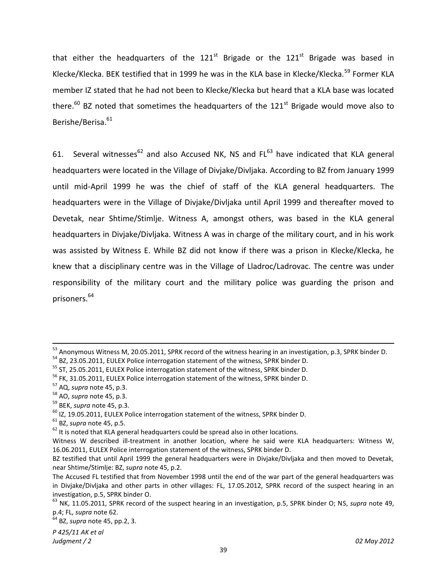that either the headquarters of the  $121<sup>st</sup>$  Brigade or the  $121<sup>st</sup>$  Brigade was based in Klecke/Klecka. BEK testified that in 1999 he was in the KLA base in Klecke/Klecka.<sup>59</sup> Former KLA member IZ stated that he had not been to Klecke/Klecka but heard that a KLA base was located there. $^{60}$  BZ noted that sometimes the headquarters of the 121 $^{st}$  Brigade would move also to Berishe/Berisa.<sup>61</sup>

61. Several witnesses<sup>62</sup> and also Accused NK, NS and  $FL^{63}$  have indicated that KLA general headquarters were located in the Village of Divjake/Divljaka. According to BZ from January 1999 until mid-April 1999 he was the chief of staff of the KLA general headquarters. The headquarters were in the Village of Divjake/Divljaka until April 1999 and thereafter moved to Devetak, near Shtime/Stimlje. Witness A, amongst others, was based in the KLA general headquarters in Divjake/Divljaka. Witness A was in charge of the military court, and in his work was assisted by Witness E. While BZ did not know if there was a prison in Klecke/Klecka, he knew that a disciplinary centre was in the Village of Lladroc/Ladrovac. The centre was under responsibility of the military court and the military police was guarding the prison and prisoners.<sup>64</sup>

l

<sup>59</sup> BEK, *supra* note 45, p.3.

*P 425/11 AK et al Judgment / 2 02 May 2012*

<sup>&</sup>lt;sup>53</sup> Anonymous Witness M, 20.05.2011, SPRK record of the witness hearing in an investigation, p.3, SPRK binder D.

<sup>&</sup>lt;sup>54</sup> BZ, 23.05.2011, EULEX Police interrogation statement of the witness, SPRK binder D.

<sup>&</sup>lt;sup>55</sup> ST, 25.05.2011, EULEX Police interrogation statement of the witness, SPRK binder D.

<sup>&</sup>lt;sup>56</sup> FK, 31.05.2011, EULEX Police interrogation statement of the witness, SPRK binder D.

<sup>57</sup> AQ, *supra* note 45, p.3.

<sup>58</sup> AO, *supra* note 45, p.3.

 $^{60}$  IZ, 19.05.2011, EULEX Police interrogation statement of the witness, SPRK binder D.

<sup>61</sup> BZ, *supra* note 45, p.5.

 $62$  It is noted that KLA general headquarters could be spread also in other locations.

Witness W described ill-treatment in another location, where he said were KLA headquarters: Witness W, 16.06.2011, EULEX Police interrogation statement of the witness, SPRK binder D.

BZ testified that until April 1999 the general headquarters were in Divjake/Divljaka and then moved to Devetak, near Shtime/Stimlje: BZ, *supra* note 45, p.2.

The Accused FL testified that from November 1998 until the end of the war part of the general headquarters was in Divjake/Divljaka and other parts in other villages: FL, 17.05.2012, SPRK record of the suspect hearing in an investigation, p.5, SPRK binder O.

<sup>63</sup> NK, 11.05.2011, SPRK record of the suspect hearing in an investigation, p.5, SPRK binder O; NS, *supra* note 49, p.4; FL, *supra* note 62.

<sup>64</sup> BZ, *supra* note 45, pp.2, 3.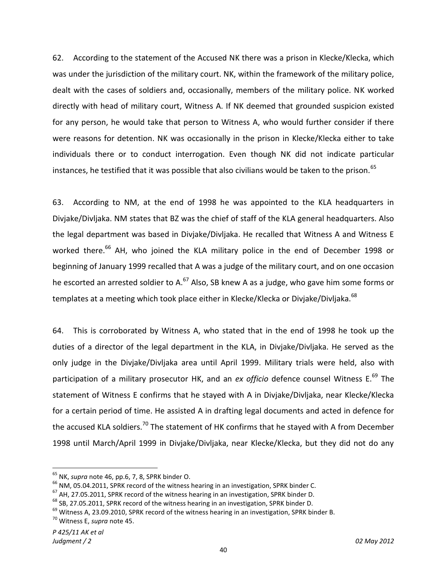62. According to the statement of the Accused NK there was a prison in Klecke/Klecka, which was under the jurisdiction of the military court. NK, within the framework of the military police, dealt with the cases of soldiers and, occasionally, members of the military police. NK worked directly with head of military court, Witness A. If NK deemed that grounded suspicion existed for any person, he would take that person to Witness A, who would further consider if there were reasons for detention. NK was occasionally in the prison in Klecke/Klecka either to take individuals there or to conduct interrogation. Even though NK did not indicate particular instances, he testified that it was possible that also civilians would be taken to the prison.<sup>65</sup>

63. According to NM, at the end of 1998 he was appointed to the KLA headquarters in Divjake/Divljaka. NM states that BZ was the chief of staff of the KLA general headquarters. Also the legal department was based in Divjake/Divljaka. He recalled that Witness A and Witness E worked there.<sup>66</sup> AH, who joined the KLA military police in the end of December 1998 or beginning of January 1999 recalled that A was a judge of the military court, and on one occasion he escorted an arrested soldier to A.<sup>67</sup> Also, SB knew A as a judge, who gave him some forms or templates at a meeting which took place either in Klecke/Klecka or Divjake/Divljaka.<sup>68</sup>

64. This is corroborated by Witness A, who stated that in the end of 1998 he took up the duties of a director of the legal department in the KLA, in Divjake/Divljaka. He served as the only judge in the Divjake/Divljaka area until April 1999. Military trials were held, also with participation of a military prosecutor HK, and an *ex officio* defence counsel Witness E.<sup>69</sup> The statement of Witness E confirms that he stayed with A in Divjake/Divljaka, near Klecke/Klecka for a certain period of time. He assisted A in drafting legal documents and acted in defence for the accused KLA soldiers.<sup>70</sup> The statement of HK confirms that he stayed with A from December 1998 until March/April 1999 in Divjake/Divljaka, near Klecke/Klecka, but they did not do any

 $\overline{a}$ 

<sup>65</sup> NK, *supra* note 46, pp.6, 7, 8, SPRK binder O.

 $<sup>66</sup>$  NM, 05.04.2011, SPRK record of the witness hearing in an investigation, SPRK binder C.</sup>

 $67$  AH, 27.05.2011, SPRK record of the witness hearing in an investigation, SPRK binder D.

<sup>&</sup>lt;sup>68</sup> SB, 27.05.2011, SPRK record of the witness hearing in an investigation, SPRK binder D.

 $^{69}$  Witness A, 23.09.2010, SPRK record of the witness hearing in an investigation, SPRK binder B.

<sup>70</sup> Witness E, *supra* note 45.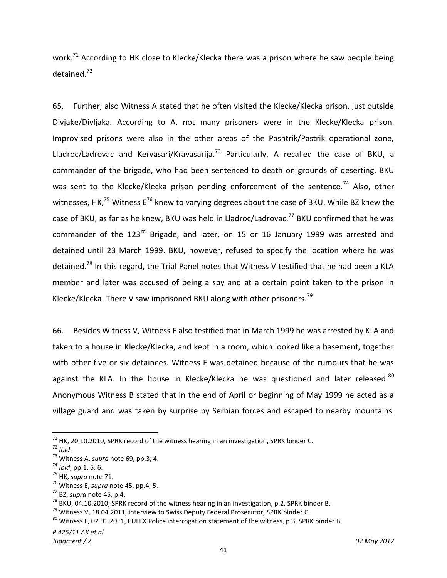work.<sup>71</sup> According to HK close to Klecke/Klecka there was a prison where he saw people being detained.<sup>72</sup>

65. Further, also Witness A stated that he often visited the Klecke/Klecka prison, just outside Divjake/Divljaka. According to A, not many prisoners were in the Klecke/Klecka prison. Improvised prisons were also in the other areas of the Pashtrik/Pastrik operational zone, Lladroc/Ladrovac and Kervasari/Kravasarija.<sup>73</sup> Particularly, A recalled the case of BKU, a commander of the brigade, who had been sentenced to death on grounds of deserting. BKU was sent to the Klecke/Klecka prison pending enforcement of the sentence.<sup>74</sup> Also, other witnesses, HK,<sup>75</sup> Witness E<sup>76</sup> knew to varying degrees about the case of BKU. While BZ knew the case of BKU, as far as he knew, BKU was held in Lladroc/Ladrovac.<sup>77</sup> BKU confirmed that he was commander of the 123<sup>rd</sup> Brigade, and later, on 15 or 16 January 1999 was arrested and detained until 23 March 1999. BKU, however, refused to specify the location where he was detained.<sup>78</sup> In this regard, the Trial Panel notes that Witness V testified that he had been a KLA member and later was accused of being a spy and at a certain point taken to the prison in Klecke/Klecka. There V saw imprisoned BKU along with other prisoners.<sup>79</sup>

66. Besides Witness V, Witness F also testified that in March 1999 he was arrested by KLA and taken to a house in Klecke/Klecka, and kept in a room, which looked like a basement, together with other five or six detainees. Witness F was detained because of the rumours that he was against the KLA. In the house in Klecke/Klecka he was questioned and later released. $80$ Anonymous Witness B stated that in the end of April or beginning of May 1999 he acted as a village guard and was taken by surprise by Serbian forces and escaped to nearby mountains.

 $\overline{\phantom{a}}$ 

*P 425/11 AK et al Judgment / 2 02 May 2012*

 $71$  HK, 20.10.2010, SPRK record of the witness hearing in an investigation, SPRK binder C.

<sup>72</sup> *Ibid*.

<sup>73</sup> Witness A, *supra* note 69, pp.3, 4.

<sup>74</sup> *Ibid*, pp.1, 5, 6.

<sup>75</sup> HK, *supra* note 71.

<sup>76</sup> Witness E, *supra* note 45, pp.4, 5.

<sup>77</sup> BZ, *supra* note 45, p.4.

 $^{78}$  BKU, 04.10.2010, SPRK record of the witness hearing in an investigation, p.2, SPRK binder B.

 $^{79}$  Witness V, 18.04.2011, interview to Swiss Deputy Federal Prosecutor, SPRK binder C.

<sup>&</sup>lt;sup>80</sup> Witness F, 02.01.2011, EULEX Police interrogation statement of the witness, p.3, SPRK binder B.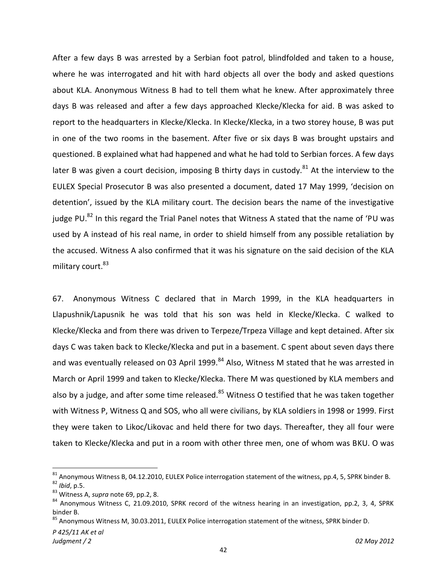After a few days B was arrested by a Serbian foot patrol, blindfolded and taken to a house, where he was interrogated and hit with hard objects all over the body and asked questions about KLA. Anonymous Witness B had to tell them what he knew. After approximately three days B was released and after a few days approached Klecke/Klecka for aid. B was asked to report to the headquarters in Klecke/Klecka. In Klecke/Klecka, in a two storey house, B was put in one of the two rooms in the basement. After five or six days B was brought upstairs and questioned. B explained what had happened and what he had told to Serbian forces. A few days later B was given a court decision, imposing B thirty days in custody.<sup>81</sup> At the interview to the EULEX Special Prosecutor B was also presented a document, dated 17 May 1999, 'decision on detention', issued by the KLA military court. The decision bears the name of the investigative judge PU.<sup>82</sup> In this regard the Trial Panel notes that Witness A stated that the name of 'PU was used by A instead of his real name, in order to shield himself from any possible retaliation by the accused. Witness A also confirmed that it was his signature on the said decision of the KLA military court.<sup>83</sup>

67. Anonymous Witness C declared that in March 1999, in the KLA headquarters in Llapushnik/Lapusnik he was told that his son was held in Klecke/Klecka. C walked to Klecke/Klecka and from there was driven to Terpeze/Trpeza Village and kept detained. After six days C was taken back to Klecke/Klecka and put in a basement. C spent about seven days there and was eventually released on 03 April 1999.<sup>84</sup> Also, Witness M stated that he was arrested in March or April 1999 and taken to Klecke/Klecka. There M was questioned by KLA members and also by a judge, and after some time released.<sup>85</sup> Witness O testified that he was taken together with Witness P, Witness Q and SOS, who all were civilians, by KLA soldiers in 1998 or 1999. First they were taken to Likoc/Likovac and held there for two days. Thereafter, they all four were taken to Klecke/Klecka and put in a room with other three men, one of whom was BKU. O was

 $\overline{a}$ 

 $81$  Anonymous Witness B, 04.12.2010, EULEX Police interrogation statement of the witness, pp.4, 5, SPRK binder B. <sup>82</sup> *Ibid*, p.5.

<sup>83</sup> Witness A, *supra* note 69, pp.2, 8.

<sup>84</sup> Anonymous Witness C, 21.09.2010, SPRK record of the witness hearing in an investigation, pp.2, 3, 4, SPRK binder B.

<sup>&</sup>lt;sup>85</sup> Anonymous Witness M, 30.03.2011, EULEX Police interrogation statement of the witness, SPRK binder D.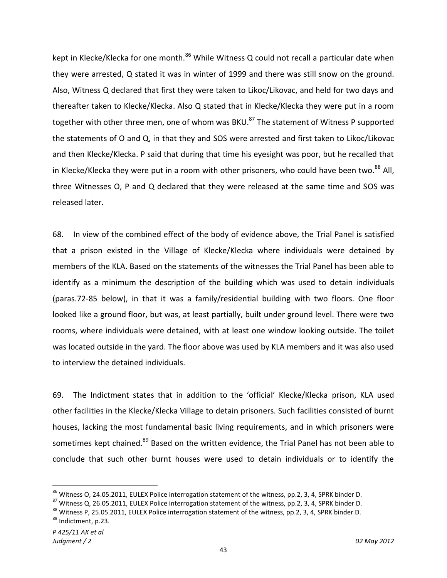kept in Klecke/Klecka for one month.<sup>86</sup> While Witness Q could not recall a particular date when they were arrested, Q stated it was in winter of 1999 and there was still snow on the ground. Also, Witness Q declared that first they were taken to Likoc/Likovac, and held for two days and thereafter taken to Klecke/Klecka. Also Q stated that in Klecke/Klecka they were put in a room together with other three men, one of whom was BKU.<sup>87</sup> The statement of Witness P supported the statements of O and Q, in that they and SOS were arrested and first taken to Likoc/Likovac and then Klecke/Klecka. P said that during that time his eyesight was poor, but he recalled that in Klecke/Klecka they were put in a room with other prisoners, who could have been two.<sup>88</sup> All, three Witnesses O, P and Q declared that they were released at the same time and SOS was released later.

68. In view of the combined effect of the body of evidence above, the Trial Panel is satisfied that a prison existed in the Village of Klecke/Klecka where individuals were detained by members of the KLA. Based on the statements of the witnesses the Trial Panel has been able to identify as a minimum the description of the building which was used to detain individuals (paras.72-85 below), in that it was a family/residential building with two floors. One floor looked like a ground floor, but was, at least partially, built under ground level. There were two rooms, where individuals were detained, with at least one window looking outside. The toilet was located outside in the yard. The floor above was used by KLA members and it was also used to interview the detained individuals.

69. The Indictment states that in addition to the 'official' Klecke/Klecka prison, KLA used other facilities in the Klecke/Klecka Village to detain prisoners. Such facilities consisted of burnt houses, lacking the most fundamental basic living requirements, and in which prisoners were sometimes kept chained.<sup>89</sup> Based on the written evidence, the Trial Panel has not been able to conclude that such other burnt houses were used to detain individuals or to identify the

 $\overline{a}$ 

 $^{86}$  Witness O, 24.05.2011, EULEX Police interrogation statement of the witness, pp.2, 3, 4, SPRK binder D.

<sup>&</sup>lt;sup>87</sup> Witness Q, 26.05.2011, EULEX Police interrogation statement of the witness, pp.2, 3, 4, SPRK binder D.

<sup>88</sup> Witness P, 25.05.2011, EULEX Police interrogation statement of the witness, pp.2, 3, 4, SPRK binder D.

<sup>89</sup> Indictment, p.23.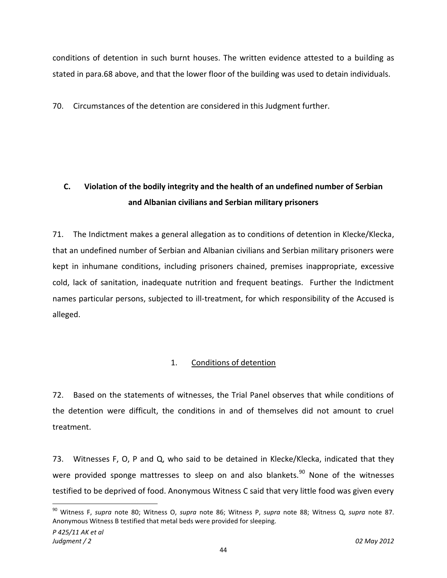conditions of detention in such burnt houses. The written evidence attested to a building as stated in para.68 above, and that the lower floor of the building was used to detain individuals.

70. Circumstances of the detention are considered in this Judgment further.

# **C. Violation of the bodily integrity and the health of an undefined number of Serbian and Albanian civilians and Serbian military prisoners**

71. The Indictment makes a general allegation as to conditions of detention in Klecke/Klecka, that an undefined number of Serbian and Albanian civilians and Serbian military prisoners were kept in inhumane conditions, including prisoners chained, premises inappropriate, excessive cold, lack of sanitation, inadequate nutrition and frequent beatings. Further the Indictment names particular persons, subjected to ill-treatment, for which responsibility of the Accused is alleged.

# 1. Conditions of detention

72. Based on the statements of witnesses, the Trial Panel observes that while conditions of the detention were difficult, the conditions in and of themselves did not amount to cruel treatment.

73. Witnesses F, O, P and Q, who said to be detained in Klecke/Klecka, indicated that they were provided sponge mattresses to sleep on and also blankets.<sup>90</sup> None of the witnesses testified to be deprived of food. Anonymous Witness C said that very little food was given every

l

<sup>90</sup> Witness F, *supra* note 80; Witness O, *supra* note 86; Witness P, *supra* note 88; Witness Q, *supra* note 87. Anonymous Witness B testified that metal beds were provided for sleeping.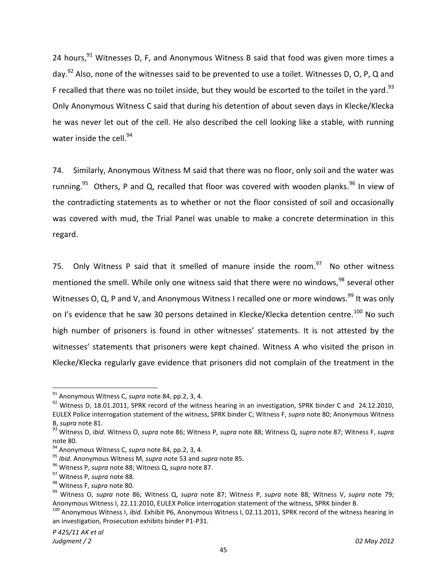24 hours, $91$  Witnesses D, F, and Anonymous Witness B said that food was given more times a day.<sup>92</sup> Also, none of the witnesses said to be prevented to use a toilet. Witnesses D, O, P, Q and F recalled that there was no toilet inside, but they would be escorted to the toilet in the yard.<sup>93</sup> Only Anonymous Witness C said that during his detention of about seven days in Klecke/Klecka he was never let out of the cell. He also described the cell looking like a stable, with running water inside the cell.<sup>94</sup>

74. Similarly, Anonymous Witness M said that there was no floor, only soil and the water was running.<sup>95</sup> Others, P and Q, recalled that floor was covered with wooden planks.<sup>96</sup> In view of the contradicting statements as to whether or not the floor consisted of soil and occasionally was covered with mud, the Trial Panel was unable to make a concrete determination in this regard.

75. Only Witness P said that it smelled of manure inside the room. $97$  No other witness mentioned the smell. While only one witness said that there were no windows,  $98$  several other Witnesses O, Q, P and V, and Anonymous Witness I recalled one or more windows.<sup>99</sup> It was only on I's evidence that he saw 30 persons detained in Klecke/Klecka detention centre.<sup>100</sup> No such high number of prisoners is found in other witnesses' statements. It is not attested by the witnesses' statements that prisoners were kept chained. Witness A who visited the prison in Klecke/Klecka regularly gave evidence that prisoners did not complain of the treatment in the

<sup>91</sup> Anonymous Witness C, *supra* note 84, pp.2, 3, 4.

<sup>&</sup>lt;sup>92</sup> Witness D, 18.01.2011, SPRK record of the witness hearing in an investigation, SPRK binder C and 24.12.2010, EULEX Police interrogation statement of the witness, SPRK binder C; Witness F, *supra* note 80; Anonymous Witness B, *supra* note 81.

<sup>93</sup> Witness D, *ibid.* Witness O, *supra* note 86; Witness P, *supra* note 88; Witness Q, *supra* note 87; Witness F, *supra* note 80.

<sup>94</sup> Anonymous Witness C, *supra* note 84, pp.2, 3, 4.

<sup>95</sup> *Ibid*. Anonymous Witness M, *supra* note 53 and *supra* note 85.

<sup>96</sup> Witness P, *supra* note 88; Witness Q, *supra* note 87.

<sup>97</sup> Witness P, *supra* note 88.

<sup>98</sup> Witness F, *supra* note 80.

<sup>99</sup> Witness O, *supra* note 86; Witness Q, *supra* note 87; Witness P, *supra* note 88; Witness V, *supra* note 79; Anonymous Witness I, 22.11.2010, EULEX Police interrogation statement of the witness, SPRK binder B.

<sup>100</sup> Anonymous Witness I, *ibid*. Exhibit P6, Anonymous Witness I, 02.11.2011, SPRK record of the witness hearing in an investigation, Prosecution exhibits binder P1-P31.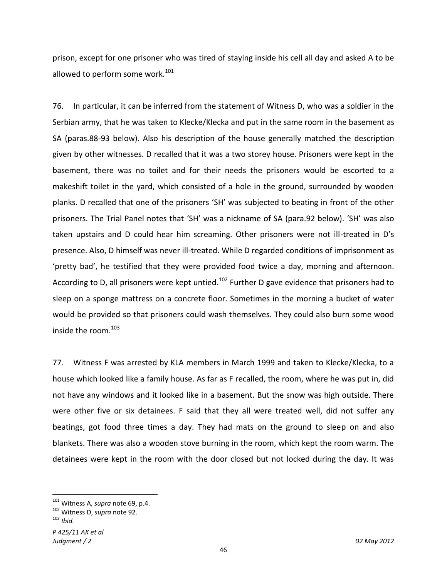prison, except for one prisoner who was tired of staying inside his cell all day and asked A to be allowed to perform some work. $^{101}$ 

76. In particular, it can be inferred from the statement of Witness D, who was a soldier in the Serbian army, that he was taken to Klecke/Klecka and put in the same room in the basement as SA (paras.88-93 below). Also his description of the house generally matched the description given by other witnesses. D recalled that it was a two storey house. Prisoners were kept in the basement, there was no toilet and for their needs the prisoners would be escorted to a makeshift toilet in the yard, which consisted of a hole in the ground, surrounded by wooden planks. D recalled that one of the prisoners 'SH' was subjected to beating in front of the other prisoners. The Trial Panel notes that 'SH' was a nickname of SA (para.92 below). 'SH' was also taken upstairs and D could hear him screaming. Other prisoners were not ill-treated in D's presence. Also, D himself was never ill-treated. While D regarded conditions of imprisonment as 'pretty bad', he testified that they were provided food twice a day, morning and afternoon. According to D, all prisoners were kept untied.<sup>102</sup> Further D gave evidence that prisoners had to sleep on a sponge mattress on a concrete floor. Sometimes in the morning a bucket of water would be provided so that prisoners could wash themselves. They could also burn some wood inside the room.<sup>103</sup>

77. Witness F was arrested by KLA members in March 1999 and taken to Klecke/Klecka, to a house which looked like a family house. As far as F recalled, the room, where he was put in, did not have any windows and it looked like in a basement. But the snow was high outside. There were other five or six detainees. F said that they all were treated well, did not suffer any beatings, got food three times a day. They had mats on the ground to sleep on and also blankets. There was also a wooden stove burning in the room, which kept the room warm. The detainees were kept in the room with the door closed but not locked during the day. It was

<sup>101</sup> Witness A, *supra* note 69, p.4.

<sup>102</sup> Witness D, *supra* note 92.

<sup>103</sup> *Ibid.*

*P 425/11 AK et al Judgment / 2 02 May 2012*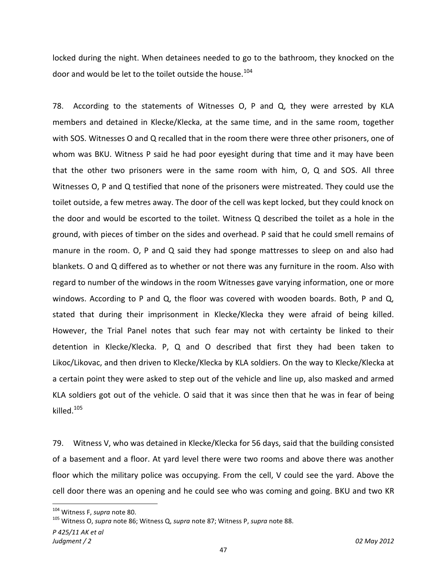locked during the night. When detainees needed to go to the bathroom, they knocked on the door and would be let to the toilet outside the house.<sup>104</sup>

78. According to the statements of Witnesses O, P and Q, they were arrested by KLA members and detained in Klecke/Klecka, at the same time, and in the same room, together with SOS. Witnesses O and Q recalled that in the room there were three other prisoners, one of whom was BKU. Witness P said he had poor eyesight during that time and it may have been that the other two prisoners were in the same room with him, O, Q and SOS. All three Witnesses O, P and Q testified that none of the prisoners were mistreated. They could use the toilet outside, a few metres away. The door of the cell was kept locked, but they could knock on the door and would be escorted to the toilet. Witness Q described the toilet as a hole in the ground, with pieces of timber on the sides and overhead. P said that he could smell remains of manure in the room. O, P and Q said they had sponge mattresses to sleep on and also had blankets. O and Q differed as to whether or not there was any furniture in the room. Also with regard to number of the windows in the room Witnesses gave varying information, one or more windows. According to P and Q, the floor was covered with wooden boards. Both, P and Q, stated that during their imprisonment in Klecke/Klecka they were afraid of being killed. However, the Trial Panel notes that such fear may not with certainty be linked to their detention in Klecke/Klecka. P, Q and O described that first they had been taken to Likoc/Likovac, and then driven to Klecke/Klecka by KLA soldiers. On the way to Klecke/Klecka at a certain point they were asked to step out of the vehicle and line up, also masked and armed KLA soldiers got out of the vehicle. O said that it was since then that he was in fear of being killed.<sup>105</sup>

79. Witness V, who was detained in Klecke/Klecka for 56 days, said that the building consisted of a basement and a floor. At yard level there were two rooms and above there was another floor which the military police was occupying. From the cell, V could see the yard. Above the cell door there was an opening and he could see who was coming and going. BKU and two KR

l

<sup>104</sup> Witness F, *supra* note 80.

<sup>105</sup> Witness O, *supra* note 86; Witness Q, *supra* note 87; Witness P, *supra* note 88.

*P 425/11 AK et al*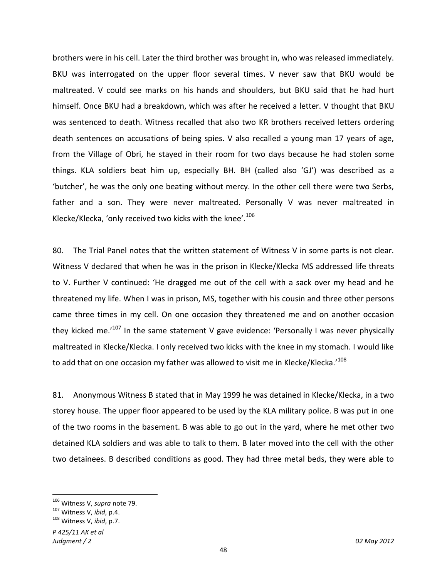brothers were in his cell. Later the third brother was brought in, who was released immediately. BKU was interrogated on the upper floor several times. V never saw that BKU would be maltreated. V could see marks on his hands and shoulders, but BKU said that he had hurt himself. Once BKU had a breakdown, which was after he received a letter. V thought that BKU was sentenced to death. Witness recalled that also two KR brothers received letters ordering death sentences on accusations of being spies. V also recalled a young man 17 years of age, from the Village of Obri, he stayed in their room for two days because he had stolen some things. KLA soldiers beat him up, especially BH. BH (called also 'GJ') was described as a 'butcher', he was the only one beating without mercy. In the other cell there were two Serbs, father and a son. They were never maltreated. Personally V was never maltreated in Klecke/Klecka, 'only received two kicks with the knee'.<sup>106</sup>

80. The Trial Panel notes that the written statement of Witness V in some parts is not clear. Witness V declared that when he was in the prison in Klecke/Klecka MS addressed life threats to V. Further V continued: 'He dragged me out of the cell with a sack over my head and he threatened my life. When I was in prison, MS, together with his cousin and three other persons came three times in my cell. On one occasion they threatened me and on another occasion they kicked me.<sup> $107$ </sup> In the same statement V gave evidence: 'Personally I was never physically maltreated in Klecke/Klecka. I only received two kicks with the knee in my stomach. I would like to add that on one occasion my father was allowed to visit me in Klecke/Klecka.<sup>108</sup>

81. Anonymous Witness B stated that in May 1999 he was detained in Klecke/Klecka, in a two storey house. The upper floor appeared to be used by the KLA military police. B was put in one of the two rooms in the basement. B was able to go out in the yard, where he met other two detained KLA soldiers and was able to talk to them. B later moved into the cell with the other two detainees. B described conditions as good. They had three metal beds, they were able to

<sup>106</sup> Witness V, *supra* note 79.

<sup>107</sup> Witness V, *ibid*, p.4.

<sup>108</sup> Witness V, *ibid*, p.7.

*P 425/11 AK et al*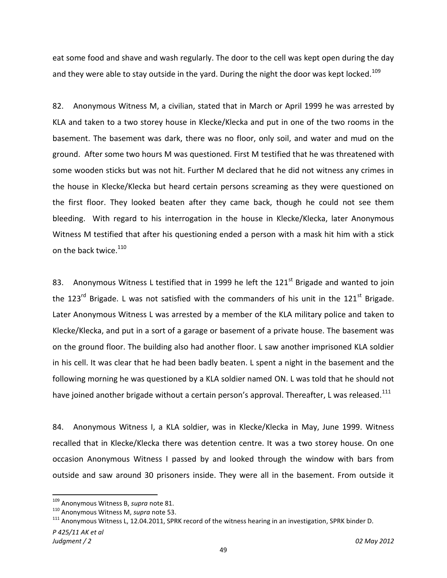eat some food and shave and wash regularly. The door to the cell was kept open during the day and they were able to stay outside in the yard. During the night the door was kept locked.<sup>109</sup>

82. Anonymous Witness M, a civilian, stated that in March or April 1999 he was arrested by KLA and taken to a two storey house in Klecke/Klecka and put in one of the two rooms in the basement. The basement was dark, there was no floor, only soil, and water and mud on the ground. After some two hours M was questioned. First M testified that he was threatened with some wooden sticks but was not hit. Further M declared that he did not witness any crimes in the house in Klecke/Klecka but heard certain persons screaming as they were questioned on the first floor. They looked beaten after they came back, though he could not see them bleeding. With regard to his interrogation in the house in Klecke/Klecka, later Anonymous Witness M testified that after his questioning ended a person with a mask hit him with a stick on the back twice. $^{110}$ 

83. Anonymous Witness L testified that in 1999 he left the  $121<sup>st</sup>$  Brigade and wanted to join the 123<sup>rd</sup> Brigade. L was not satisfied with the commanders of his unit in the 121<sup>st</sup> Brigade. Later Anonymous Witness L was arrested by a member of the KLA military police and taken to Klecke/Klecka, and put in a sort of a garage or basement of a private house. The basement was on the ground floor. The building also had another floor. L saw another imprisoned KLA soldier in his cell. It was clear that he had been badly beaten. L spent a night in the basement and the following morning he was questioned by a KLA soldier named ON. L was told that he should not have joined another brigade without a certain person's approval. Thereafter, L was released.<sup>111</sup>

84. Anonymous Witness I, a KLA soldier, was in Klecke/Klecka in May, June 1999. Witness recalled that in Klecke/Klecka there was detention centre. It was a two storey house. On one occasion Anonymous Witness I passed by and looked through the window with bars from outside and saw around 30 prisoners inside. They were all in the basement. From outside it

<sup>109</sup> Anonymous Witness B, *supra* note 81.

<sup>110</sup> Anonymous Witness M, *supra* note 53.

<sup>&</sup>lt;sup>111</sup> Anonymous Witness L, 12.04.2011, SPRK record of the witness hearing in an investigation, SPRK binder D.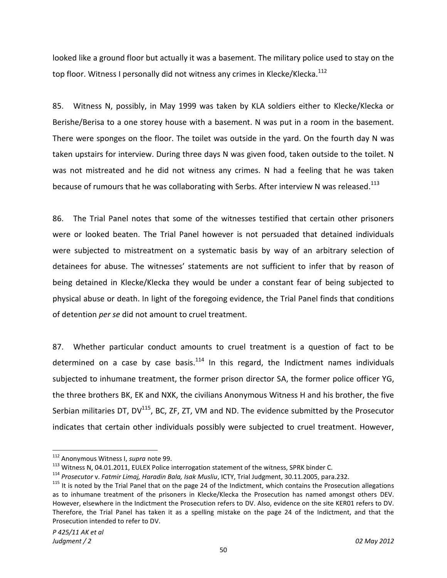looked like a ground floor but actually it was a basement. The military police used to stay on the top floor. Witness I personally did not witness any crimes in Klecke/Klecka. $^{112}$ 

85. Witness N, possibly, in May 1999 was taken by KLA soldiers either to Klecke/Klecka or Berishe/Berisa to a one storey house with a basement. N was put in a room in the basement. There were sponges on the floor. The toilet was outside in the yard. On the fourth day N was taken upstairs for interview. During three days N was given food, taken outside to the toilet. N was not mistreated and he did not witness any crimes. N had a feeling that he was taken because of rumours that he was collaborating with Serbs. After interview N was released.<sup>113</sup>

86. The Trial Panel notes that some of the witnesses testified that certain other prisoners were or looked beaten. The Trial Panel however is not persuaded that detained individuals were subjected to mistreatment on a systematic basis by way of an arbitrary selection of detainees for abuse. The witnesses' statements are not sufficient to infer that by reason of being detained in Klecke/Klecka they would be under a constant fear of being subjected to physical abuse or death. In light of the foregoing evidence, the Trial Panel finds that conditions of detention *per se* did not amount to cruel treatment.

87. Whether particular conduct amounts to cruel treatment is a question of fact to be determined on a case by case basis. $114$  In this regard, the Indictment names individuals subjected to inhumane treatment, the former prison director SA, the former police officer YG, the three brothers BK, EK and NXK, the civilians Anonymous Witness H and his brother, the five Serbian militaries DT, DV<sup>115</sup>, BC, ZF, ZT, VM and ND. The evidence submitted by the Prosecutor indicates that certain other individuals possibly were subjected to cruel treatment. However,

<sup>112</sup> Anonymous Witness I, *supra* note 99.

<sup>&</sup>lt;sup>113</sup> Witness N, 04.01.2011, EULEX Police interrogation statement of the witness, SPRK binder C.

<sup>114</sup> *Prosecutor* v. *Fatmir Limaj, Haradin Bala, Isak Musliu*, ICTY, Trial Judgment, 30.11.2005, para.232.

<sup>&</sup>lt;sup>115</sup> It is noted by the Trial Panel that on the page 24 of the Indictment, which contains the Prosecution allegations as to inhumane treatment of the prisoners in Klecke/Klecka the Prosecution has named amongst others DEV. However, elsewhere in the Indictment the Prosecution refers to DV. Also, evidence on the site KER01 refers to DV. Therefore, the Trial Panel has taken it as a spelling mistake on the page 24 of the Indictment, and that the Prosecution intended to refer to DV.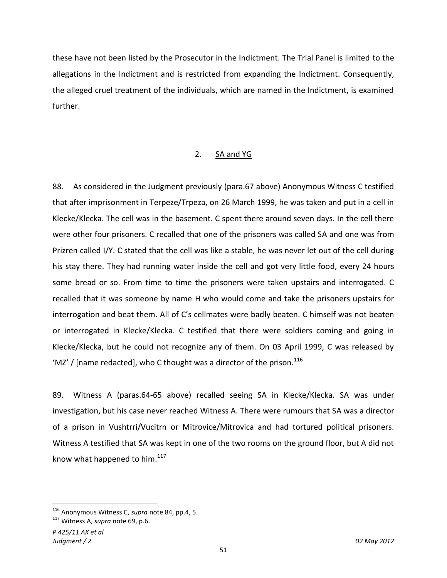these have not been listed by the Prosecutor in the Indictment. The Trial Panel is limited to the allegations in the Indictment and is restricted from expanding the Indictment. Consequently, the alleged cruel treatment of the individuals, which are named in the Indictment, is examined further.

#### 2. SA and YG

88. As considered in the Judgment previously (para.67 above) Anonymous Witness C testified that after imprisonment in Terpeze/Trpeza, on 26 March 1999, he was taken and put in a cell in Klecke/Klecka. The cell was in the basement. C spent there around seven days. In the cell there were other four prisoners. C recalled that one of the prisoners was called SA and one was from Prizren called I/Y. C stated that the cell was like a stable, he was never let out of the cell during his stay there. They had running water inside the cell and got very little food, every 24 hours some bread or so. From time to time the prisoners were taken upstairs and interrogated. C recalled that it was someone by name H who would come and take the prisoners upstairs for interrogation and beat them. All of C's cellmates were badly beaten. C himself was not beaten or interrogated in Klecke/Klecka. C testified that there were soldiers coming and going in Klecke/Klecka, but he could not recognize any of them. On 03 April 1999, C was released by 'MZ' / [name redacted], who C thought was a director of the prison. $116$ 

89. Witness A (paras.64-65 above) recalled seeing SA in Klecke/Klecka. SA was under investigation, but his case never reached Witness A. There were rumours that SA was a director of a prison in Vushtrri/Vucitrn or Mitrovice/Mitrovica and had tortured political prisoners. Witness A testified that SA was kept in one of the two rooms on the ground floor, but A did not know what happened to him.<sup>117</sup>

l

<sup>116</sup> Anonymous Witness C, *supra* note 84, pp.4, 5.

<sup>117</sup> Witness A, *supra* note 69, p.6.

*P 425/11 AK et al Judgment / 2 02 May 2012*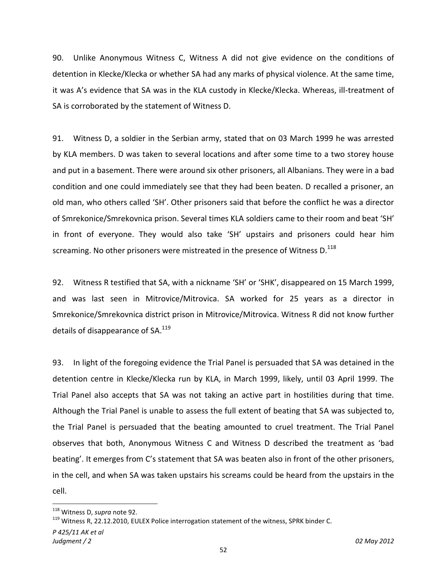90. Unlike Anonymous Witness C, Witness A did not give evidence on the conditions of detention in Klecke/Klecka or whether SA had any marks of physical violence. At the same time, it was A's evidence that SA was in the KLA custody in Klecke/Klecka. Whereas, ill-treatment of SA is corroborated by the statement of Witness D.

91. Witness D, a soldier in the Serbian army, stated that on 03 March 1999 he was arrested by KLA members. D was taken to several locations and after some time to a two storey house and put in a basement. There were around six other prisoners, all Albanians. They were in a bad condition and one could immediately see that they had been beaten. D recalled a prisoner, an old man, who others called 'SH'. Other prisoners said that before the conflict he was a director of Smrekonice/Smrekovnica prison. Several times KLA soldiers came to their room and beat 'SH' in front of everyone. They would also take 'SH' upstairs and prisoners could hear him screaming. No other prisoners were mistreated in the presence of Witness  $D<sup>118</sup>$ 

92. Witness R testified that SA, with a nickname 'SH' or 'SHK', disappeared on 15 March 1999, and was last seen in Mitrovice/Mitrovica. SA worked for 25 years as a director in Smrekonice/Smrekovnica district prison in Mitrovice/Mitrovica. Witness R did not know further details of disappearance of SA.<sup>119</sup>

93. In light of the foregoing evidence the Trial Panel is persuaded that SA was detained in the detention centre in Klecke/Klecka run by KLA, in March 1999, likely, until 03 April 1999. The Trial Panel also accepts that SA was not taking an active part in hostilities during that time. Although the Trial Panel is unable to assess the full extent of beating that SA was subjected to, the Trial Panel is persuaded that the beating amounted to cruel treatment. The Trial Panel observes that both, Anonymous Witness C and Witness D described the treatment as 'bad beating'. It emerges from C's statement that SA was beaten also in front of the other prisoners, in the cell, and when SA was taken upstairs his screams could be heard from the upstairs in the cell.

l

<sup>118</sup> Witness D, *supra* note 92.

<sup>&</sup>lt;sup>119</sup> Witness R, 22.12.2010, EULEX Police interrogation statement of the witness, SPRK binder C.

*P 425/11 AK et al*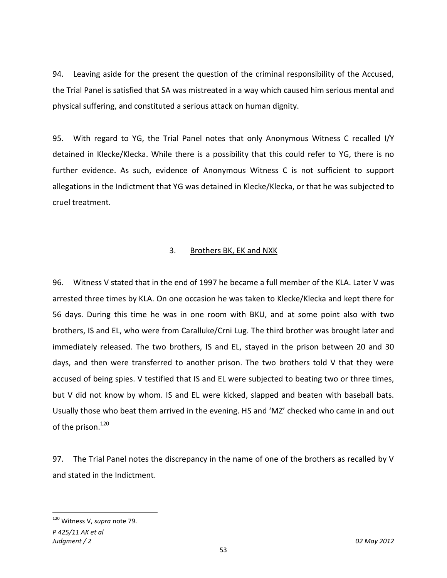94. Leaving aside for the present the question of the criminal responsibility of the Accused, the Trial Panel is satisfied that SA was mistreated in a way which caused him serious mental and physical suffering, and constituted a serious attack on human dignity.

95. With regard to YG, the Trial Panel notes that only Anonymous Witness C recalled I/Y detained in Klecke/Klecka. While there is a possibility that this could refer to YG, there is no further evidence. As such, evidence of Anonymous Witness C is not sufficient to support allegations in the Indictment that YG was detained in Klecke/Klecka, or that he was subjected to cruel treatment.

# 3. Brothers BK, EK and NXK

96. Witness V stated that in the end of 1997 he became a full member of the KLA. Later V was arrested three times by KLA. On one occasion he was taken to Klecke/Klecka and kept there for 56 days. During this time he was in one room with BKU, and at some point also with two brothers, IS and EL, who were from Caralluke/Crni Lug. The third brother was brought later and immediately released. The two brothers, IS and EL, stayed in the prison between 20 and 30 days, and then were transferred to another prison. The two brothers told V that they were accused of being spies. V testified that IS and EL were subjected to beating two or three times, but V did not know by whom. IS and EL were kicked, slapped and beaten with baseball bats. Usually those who beat them arrived in the evening. HS and 'MZ' checked who came in and out of the prison.<sup>120</sup>

97. The Trial Panel notes the discrepancy in the name of one of the brothers as recalled by V and stated in the Indictment.

<sup>120</sup> Witness V, *supra* note 79.

*P 425/11 AK et al*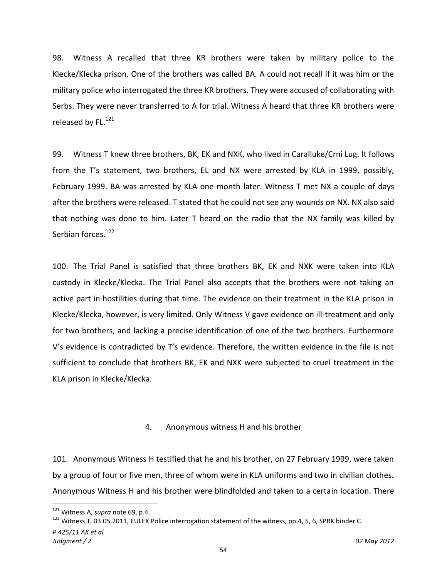98. Witness A recalled that three KR brothers were taken by military police to the Klecke/Klecka prison. One of the brothers was called BA. A could not recall if it was him or the military police who interrogated the three KR brothers. They were accused of collaborating with Serbs. They were never transferred to A for trial. Witness A heard that three KR brothers were released by FL.<sup>121</sup>

99. Witness T knew three brothers, BK, EK and NXK, who lived in Caralluke/Crni Lug. It follows from the T's statement, two brothers, EL and NX were arrested by KLA in 1999, possibly, February 1999. BA was arrested by KLA one month later. Witness T met NX a couple of days after the brothers were released. T stated that he could not see any wounds on NX. NX also said that nothing was done to him. Later T heard on the radio that the NX family was killed by Serbian forces.<sup>122</sup>

100. The Trial Panel is satisfied that three brothers BK, EK and NXK were taken into KLA custody in Klecke/Klecka. The Trial Panel also accepts that the brothers were not taking an active part in hostilities during that time. The evidence on their treatment in the KLA prison in Klecke/Klecka, however, is very limited. Only Witness V gave evidence on ill-treatment and only for two brothers, and lacking a precise identification of one of the two brothers. Furthermore V's evidence is contradicted by T's evidence. Therefore, the written evidence in the file is not sufficient to conclude that brothers BK, EK and NXK were subjected to cruel treatment in the KLA prison in Klecke/Klecka.

#### 4. Anonymous witness H and his brother

101. Anonymous Witness H testified that he and his brother, on 27 February 1999, were taken by a group of four or five men, three of whom were in KLA uniforms and two in civilian clothes. Anonymous Witness H and his brother were blindfolded and taken to a certain location. There

l

<sup>121</sup> Witness A, *supra* note 69, p.4.

<sup>&</sup>lt;sup>122</sup> Witness T, 03.05.2011, EULEX Police interrogation statement of the witness, pp.4, 5, 6, SPRK binder C.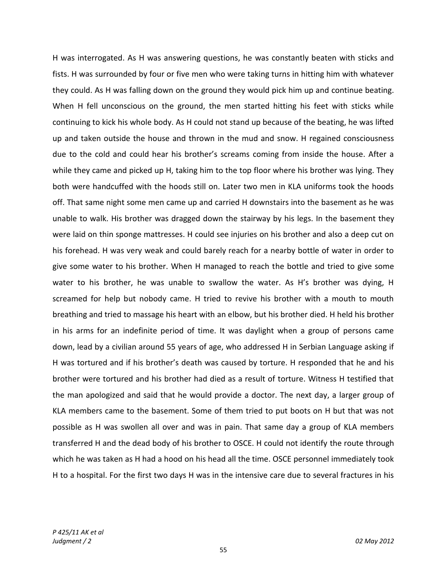H was interrogated. As H was answering questions, he was constantly beaten with sticks and fists. H was surrounded by four or five men who were taking turns in hitting him with whatever they could. As H was falling down on the ground they would pick him up and continue beating. When H fell unconscious on the ground, the men started hitting his feet with sticks while continuing to kick his whole body. As H could not stand up because of the beating, he was lifted up and taken outside the house and thrown in the mud and snow. H regained consciousness due to the cold and could hear his brother's screams coming from inside the house. After a while they came and picked up H, taking him to the top floor where his brother was lying. They both were handcuffed with the hoods still on. Later two men in KLA uniforms took the hoods off. That same night some men came up and carried H downstairs into the basement as he was unable to walk. His brother was dragged down the stairway by his legs. In the basement they were laid on thin sponge mattresses. H could see injuries on his brother and also a deep cut on his forehead. H was very weak and could barely reach for a nearby bottle of water in order to give some water to his brother. When H managed to reach the bottle and tried to give some water to his brother, he was unable to swallow the water. As H's brother was dying, H screamed for help but nobody came. H tried to revive his brother with a mouth to mouth breathing and tried to massage his heart with an elbow, but his brother died. H held his brother in his arms for an indefinite period of time. It was daylight when a group of persons came down, lead by a civilian around 55 years of age, who addressed H in Serbian Language asking if H was tortured and if his brother's death was caused by torture. H responded that he and his brother were tortured and his brother had died as a result of torture. Witness H testified that the man apologized and said that he would provide a doctor. The next day, a larger group of KLA members came to the basement. Some of them tried to put boots on H but that was not possible as H was swollen all over and was in pain. That same day a group of KLA members transferred H and the dead body of his brother to OSCE. H could not identify the route through which he was taken as H had a hood on his head all the time. OSCE personnel immediately took H to a hospital. For the first two days H was in the intensive care due to several fractures in his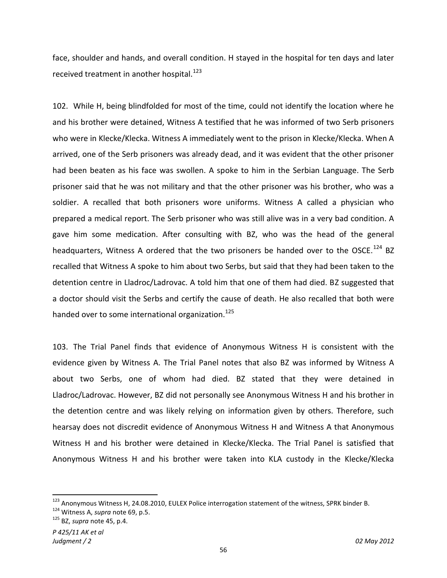face, shoulder and hands, and overall condition. H stayed in the hospital for ten days and later received treatment in another hospital. $^{123}$ 

102. While H, being blindfolded for most of the time, could not identify the location where he and his brother were detained, Witness A testified that he was informed of two Serb prisoners who were in Klecke/Klecka. Witness A immediately went to the prison in Klecke/Klecka. When A arrived, one of the Serb prisoners was already dead, and it was evident that the other prisoner had been beaten as his face was swollen. A spoke to him in the Serbian Language. The Serb prisoner said that he was not military and that the other prisoner was his brother, who was a soldier. A recalled that both prisoners wore uniforms. Witness A called a physician who prepared a medical report. The Serb prisoner who was still alive was in a very bad condition. A gave him some medication. After consulting with BZ, who was the head of the general headquarters, Witness A ordered that the two prisoners be handed over to the OSCE.<sup>124</sup> BZ recalled that Witness A spoke to him about two Serbs, but said that they had been taken to the detention centre in Lladroc/Ladrovac. A told him that one of them had died. BZ suggested that a doctor should visit the Serbs and certify the cause of death. He also recalled that both were handed over to some international organization.<sup>125</sup>

103. The Trial Panel finds that evidence of Anonymous Witness H is consistent with the evidence given by Witness A. The Trial Panel notes that also BZ was informed by Witness A about two Serbs, one of whom had died. BZ stated that they were detained in Lladroc/Ladrovac. However, BZ did not personally see Anonymous Witness H and his brother in the detention centre and was likely relying on information given by others. Therefore, such hearsay does not discredit evidence of Anonymous Witness H and Witness A that Anonymous Witness H and his brother were detained in Klecke/Klecka. The Trial Panel is satisfied that Anonymous Witness H and his brother were taken into KLA custody in the Klecke/Klecka

<sup>&</sup>lt;sup>123</sup> Anonymous Witness H, 24.08.2010, EULEX Police interrogation statement of the witness, SPRK binder B.

<sup>124</sup> Witness A, *supra* note 69, p.5.

<sup>125</sup> BZ, *supra* note 45, p.4.

*P 425/11 AK et al*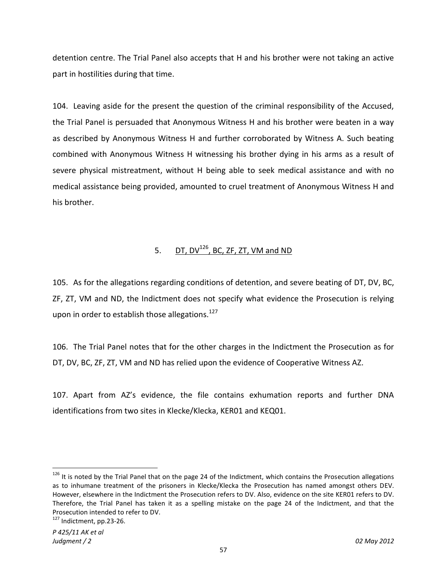detention centre. The Trial Panel also accepts that H and his brother were not taking an active part in hostilities during that time.

104. Leaving aside for the present the question of the criminal responsibility of the Accused, the Trial Panel is persuaded that Anonymous Witness H and his brother were beaten in a way as described by Anonymous Witness H and further corroborated by Witness A. Such beating combined with Anonymous Witness H witnessing his brother dying in his arms as a result of severe physical mistreatment, without H being able to seek medical assistance and with no medical assistance being provided, amounted to cruel treatment of Anonymous Witness H and his brother.

# 5.  $DT$ , DV<sup>126</sup>, BC, ZF, ZT, VM and ND

105. As for the allegations regarding conditions of detention, and severe beating of DT, DV, BC, ZF, ZT, VM and ND, the Indictment does not specify what evidence the Prosecution is relying upon in order to establish those allegations. $127$ 

106. The Trial Panel notes that for the other charges in the Indictment the Prosecution as for DT, DV, BC, ZF, ZT, VM and ND has relied upon the evidence of Cooperative Witness AZ.

107. Apart from AZ's evidence, the file contains exhumation reports and further DNA identifications from two sites in Klecke/Klecka, KER01 and KEQ01.

 $\overline{a}$ 

 $126$  It is noted by the Trial Panel that on the page 24 of the Indictment, which contains the Prosecution allegations as to inhumane treatment of the prisoners in Klecke/Klecka the Prosecution has named amongst others DEV. However, elsewhere in the Indictment the Prosecution refers to DV. Also, evidence on the site KER01 refers to DV. Therefore, the Trial Panel has taken it as a spelling mistake on the page 24 of the Indictment, and that the Prosecution intended to refer to DV.

 $127$  Indictment, pp. 23-26.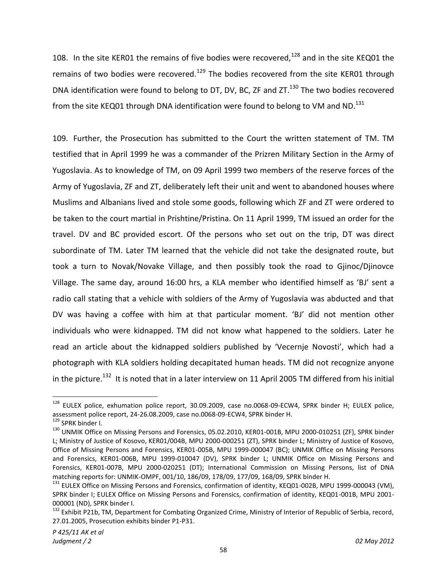108. In the site KER01 the remains of five bodies were recovered,<sup>128</sup> and in the site KEQ01 the remains of two bodies were recovered.<sup>129</sup> The bodies recovered from the site KER01 through DNA identification were found to belong to DT, DV, BC, ZF and ZT.<sup>130</sup> The two bodies recovered from the site KEQ01 through DNA identification were found to belong to VM and ND.<sup>131</sup>

109. Further, the Prosecution has submitted to the Court the written statement of TM. TM testified that in April 1999 he was a commander of the Prizren Military Section in the Army of Yugoslavia. As to knowledge of TM, on 09 April 1999 two members of the reserve forces of the Army of Yugoslavia, ZF and ZT, deliberately left their unit and went to abandoned houses where Muslims and Albanians lived and stole some goods, following which ZF and ZT were ordered to be taken to the court martial in Prishtine/Pristina. On 11 April 1999, TM issued an order for the travel. DV and BC provided escort. Of the persons who set out on the trip, DT was direct subordinate of TM. Later TM learned that the vehicle did not take the designated route, but took a turn to Novak/Novake Village, and then possibly took the road to Gjinoc/Djinovce Village. The same day, around 16:00 hrs, a KLA member who identified himself as 'BJ' sent a radio call stating that a vehicle with soldiers of the Army of Yugoslavia was abducted and that DV was having a coffee with him at that particular moment. 'BJ' did not mention other individuals who were kidnapped. TM did not know what happened to the soldiers. Later he read an article about the kidnapped soldiers published by 'Vecernje Novosti', which had a photograph with KLA soldiers holding decapitated human heads. TM did not recognize anyone in the picture.<sup>132</sup> It is noted that in a later interview on 11 April 2005 TM differed from his initial

<sup>&</sup>lt;sup>128</sup> EULEX police, exhumation police report, 30.09.2009, case no.0068-09-ECW4, SPRK binder H; EULEX police, assessment police report, 24-26.08.2009, case no.0068-09-ECW4, SPRK binder H.

<sup>&</sup>lt;sup>129</sup> SPRK binder I.

<sup>&</sup>lt;sup>130</sup> UNMIK Office on Missing Persons and Forensics, 05.02.2010, KER01-001B, MPU 2000-010251 (ZF), SPRK binder L; Ministry of Justice of Kosovo, KER01/004B, MPU 2000-000251 (ZT), SPRK binder L; Ministry of Justice of Kosovo, Office of Missing Persons and Forensics, KER01-005B, MPU 1999-000047 (BC); UNMIK Office on Missing Persons and Forensics, KER01-006B, MPU 1999-010047 (DV), SPRK binder L; UNMIK Office on Missing Persons and Forensics, KER01-007B, MPU 2000-020251 (DT); International Commission on Missing Persons, list of DNA matching reports for: UNMIK-OMPF, 001/10, 186/09, 178/09, 177/09, 168/09, SPRK binder H.

<sup>&</sup>lt;sup>131</sup> EULEX Office on Missing Persons and Forensics, confirmation of identity, KEQ01-002B, MPU 1999-000043 (VM), SPRK binder I; EULEX Office on Missing Persons and Forensics, confirmation of identity, KEQ01-001B, MPU 2001- 000001 (ND), SPRK binder I.

<sup>&</sup>lt;sup>132</sup> Exhibit P21b, TM, Department for Combating Organized Crime, Ministry of Interior of Republic of Serbia, record, 27.01.2005, Prosecution exhibits binder P1-P31.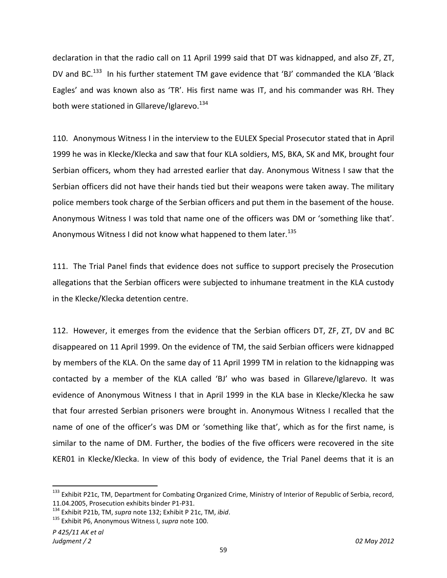declaration in that the radio call on 11 April 1999 said that DT was kidnapped, and also ZF, ZT, DV and BC.<sup>133</sup> In his further statement TM gave evidence that 'BJ' commanded the KLA 'Black Eagles' and was known also as 'TR'. His first name was IT, and his commander was RH. They both were stationed in Gllareve/Iglarevo.<sup>134</sup>

110. Anonymous Witness I in the interview to the EULEX Special Prosecutor stated that in April 1999 he was in Klecke/Klecka and saw that four KLA soldiers, MS, BKA, SK and MK, brought four Serbian officers, whom they had arrested earlier that day. Anonymous Witness I saw that the Serbian officers did not have their hands tied but their weapons were taken away. The military police members took charge of the Serbian officers and put them in the basement of the house. Anonymous Witness I was told that name one of the officers was DM or 'something like that'. Anonymous Witness I did not know what happened to them later.<sup>135</sup>

111. The Trial Panel finds that evidence does not suffice to support precisely the Prosecution allegations that the Serbian officers were subjected to inhumane treatment in the KLA custody in the Klecke/Klecka detention centre.

112. However, it emerges from the evidence that the Serbian officers DT, ZF, ZT, DV and BC disappeared on 11 April 1999. On the evidence of TM, the said Serbian officers were kidnapped by members of the KLA. On the same day of 11 April 1999 TM in relation to the kidnapping was contacted by a member of the KLA called 'BJ' who was based in Gllareve/Iglarevo. It was evidence of Anonymous Witness I that in April 1999 in the KLA base in Klecke/Klecka he saw that four arrested Serbian prisoners were brought in. Anonymous Witness I recalled that the name of one of the officer's was DM or 'something like that', which as for the first name, is similar to the name of DM. Further, the bodies of the five officers were recovered in the site KER01 in Klecke/Klecka. In view of this body of evidence, the Trial Panel deems that it is an

 $\overline{a}$ 

<sup>&</sup>lt;sup>133</sup> Exhibit P21c, TM, Department for Combating Organized Crime, Ministry of Interior of Republic of Serbia, record, 11.04.2005, Prosecution exhibits binder P1-P31.

<sup>134</sup> Exhibit P21b, TM, *supra* note 132; Exhibit P 21c, TM, *ibid*.

<sup>135</sup> Exhibit P6, Anonymous Witness I, *supra* note 100.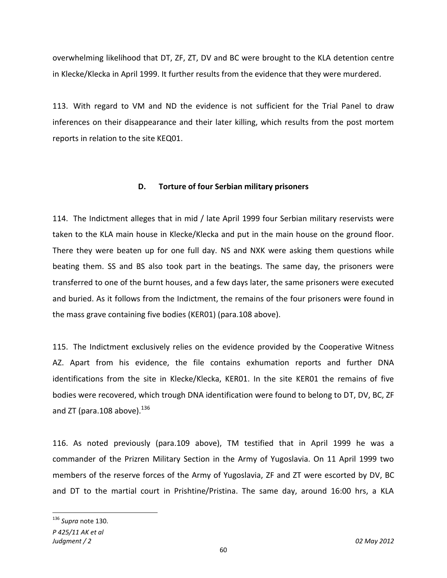overwhelming likelihood that DT, ZF, ZT, DV and BC were brought to the KLA detention centre in Klecke/Klecka in April 1999. It further results from the evidence that they were murdered.

113. With regard to VM and ND the evidence is not sufficient for the Trial Panel to draw inferences on their disappearance and their later killing, which results from the post mortem reports in relation to the site KEQ01.

#### **D. Torture of four Serbian military prisoners**

114. The Indictment alleges that in mid / late April 1999 four Serbian military reservists were taken to the KLA main house in Klecke/Klecka and put in the main house on the ground floor. There they were beaten up for one full day. NS and NXK were asking them questions while beating them. SS and BS also took part in the beatings. The same day, the prisoners were transferred to one of the burnt houses, and a few days later, the same prisoners were executed and buried. As it follows from the Indictment, the remains of the four prisoners were found in the mass grave containing five bodies (KER01) (para.108 above).

115. The Indictment exclusively relies on the evidence provided by the Cooperative Witness AZ. Apart from his evidence, the file contains exhumation reports and further DNA identifications from the site in Klecke/Klecka, KER01. In the site KER01 the remains of five bodies were recovered, which trough DNA identification were found to belong to DT, DV, BC, ZF and ZT (para.108 above). $^{136}$ 

116. As noted previously (para.109 above), TM testified that in April 1999 he was a commander of the Prizren Military Section in the Army of Yugoslavia. On 11 April 1999 two members of the reserve forces of the Army of Yugoslavia, ZF and ZT were escorted by DV, BC and DT to the martial court in Prishtine/Pristina. The same day, around 16:00 hrs, a KLA

<sup>136</sup> *Supra* note 130.

*P 425/11 AK et al*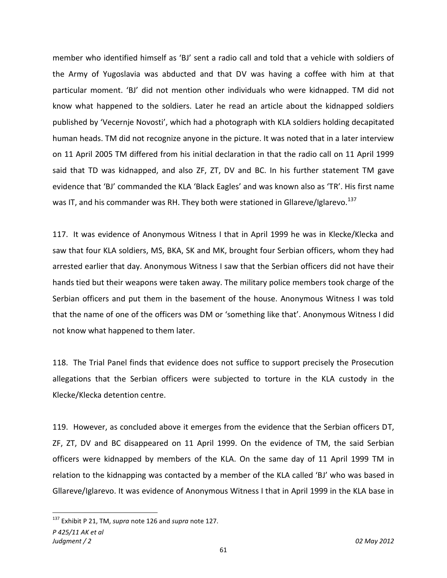member who identified himself as 'BJ' sent a radio call and told that a vehicle with soldiers of the Army of Yugoslavia was abducted and that DV was having a coffee with him at that particular moment. 'BJ' did not mention other individuals who were kidnapped. TM did not know what happened to the soldiers. Later he read an article about the kidnapped soldiers published by 'Vecernje Novosti', which had a photograph with KLA soldiers holding decapitated human heads. TM did not recognize anyone in the picture. It was noted that in a later interview on 11 April 2005 TM differed from his initial declaration in that the radio call on 11 April 1999 said that TD was kidnapped, and also ZF, ZT, DV and BC. In his further statement TM gave evidence that 'BJ' commanded the KLA 'Black Eagles' and was known also as 'TR'. His first name was IT, and his commander was RH. They both were stationed in Gllareve/Iglarevo.<sup>137</sup>

117. It was evidence of Anonymous Witness I that in April 1999 he was in Klecke/Klecka and saw that four KLA soldiers, MS, BKA, SK and MK, brought four Serbian officers, whom they had arrested earlier that day. Anonymous Witness I saw that the Serbian officers did not have their hands tied but their weapons were taken away. The military police members took charge of the Serbian officers and put them in the basement of the house. Anonymous Witness I was told that the name of one of the officers was DM or 'something like that'. Anonymous Witness I did not know what happened to them later.

118. The Trial Panel finds that evidence does not suffice to support precisely the Prosecution allegations that the Serbian officers were subjected to torture in the KLA custody in the Klecke/Klecka detention centre.

119. However, as concluded above it emerges from the evidence that the Serbian officers DT, ZF, ZT, DV and BC disappeared on 11 April 1999. On the evidence of TM, the said Serbian officers were kidnapped by members of the KLA. On the same day of 11 April 1999 TM in relation to the kidnapping was contacted by a member of the KLA called 'BJ' who was based in Gllareve/Iglarevo. It was evidence of Anonymous Witness I that in April 1999 in the KLA base in

<sup>137</sup> Exhibit P 21, TM, *supra* note 126 and *supra* note 127.

*P 425/11 AK et al*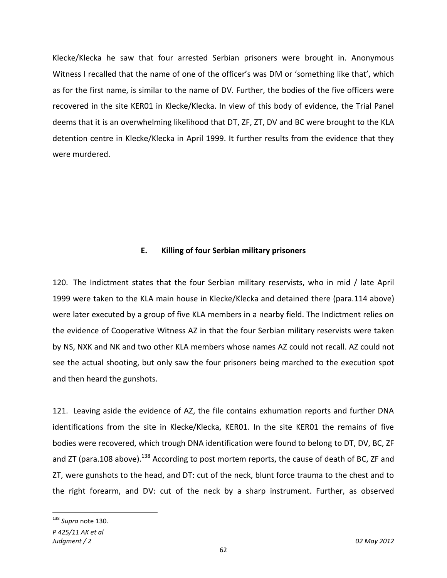Klecke/Klecka he saw that four arrested Serbian prisoners were brought in. Anonymous Witness I recalled that the name of one of the officer's was DM or 'something like that', which as for the first name, is similar to the name of DV. Further, the bodies of the five officers were recovered in the site KER01 in Klecke/Klecka. In view of this body of evidence, the Trial Panel deems that it is an overwhelming likelihood that DT, ZF, ZT, DV and BC were brought to the KLA detention centre in Klecke/Klecka in April 1999. It further results from the evidence that they were murdered.

#### **E. Killing of four Serbian military prisoners**

120. The Indictment states that the four Serbian military reservists, who in mid / late April 1999 were taken to the KLA main house in Klecke/Klecka and detained there (para.114 above) were later executed by a group of five KLA members in a nearby field. The Indictment relies on the evidence of Cooperative Witness AZ in that the four Serbian military reservists were taken by NS, NXK and NK and two other KLA members whose names AZ could not recall. AZ could not see the actual shooting, but only saw the four prisoners being marched to the execution spot and then heard the gunshots.

121. Leaving aside the evidence of AZ, the file contains exhumation reports and further DNA identifications from the site in Klecke/Klecka, KER01. In the site KER01 the remains of five bodies were recovered, which trough DNA identification were found to belong to DT, DV, BC, ZF and ZT (para.108 above).<sup>138</sup> According to post mortem reports, the cause of death of BC, ZF and ZT, were gunshots to the head, and DT: cut of the neck, blunt force trauma to the chest and to the right forearm, and DV: cut of the neck by a sharp instrument. Further, as observed

<sup>138</sup> *Supra* note 130.

*P 425/11 AK et al*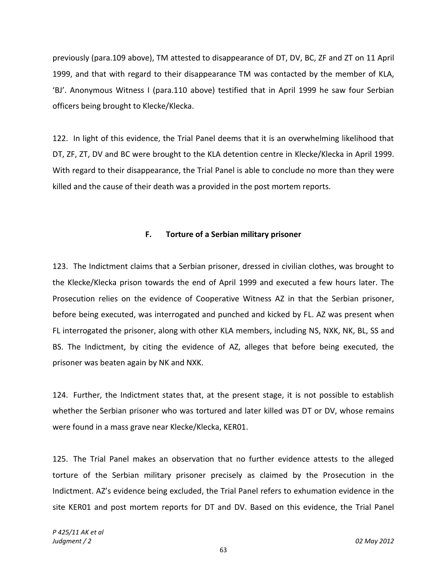previously (para.109 above), TM attested to disappearance of DT, DV, BC, ZF and ZT on 11 April 1999, and that with regard to their disappearance TM was contacted by the member of KLA, 'BJ'. Anonymous Witness I (para.110 above) testified that in April 1999 he saw four Serbian officers being brought to Klecke/Klecka.

122. In light of this evidence, the Trial Panel deems that it is an overwhelming likelihood that DT, ZF, ZT, DV and BC were brought to the KLA detention centre in Klecke/Klecka in April 1999. With regard to their disappearance, the Trial Panel is able to conclude no more than they were killed and the cause of their death was a provided in the post mortem reports.

# **F. Torture of a Serbian military prisoner**

123. The Indictment claims that a Serbian prisoner, dressed in civilian clothes, was brought to the Klecke/Klecka prison towards the end of April 1999 and executed a few hours later. The Prosecution relies on the evidence of Cooperative Witness AZ in that the Serbian prisoner, before being executed, was interrogated and punched and kicked by FL. AZ was present when FL interrogated the prisoner, along with other KLA members, including NS, NXK, NK, BL, SS and BS. The Indictment, by citing the evidence of AZ, alleges that before being executed, the prisoner was beaten again by NK and NXK.

124. Further, the Indictment states that, at the present stage, it is not possible to establish whether the Serbian prisoner who was tortured and later killed was DT or DV, whose remains were found in a mass grave near Klecke/Klecka, KER01.

125. The Trial Panel makes an observation that no further evidence attests to the alleged torture of the Serbian military prisoner precisely as claimed by the Prosecution in the Indictment. AZ's evidence being excluded, the Trial Panel refers to exhumation evidence in the site KER01 and post mortem reports for DT and DV. Based on this evidence, the Trial Panel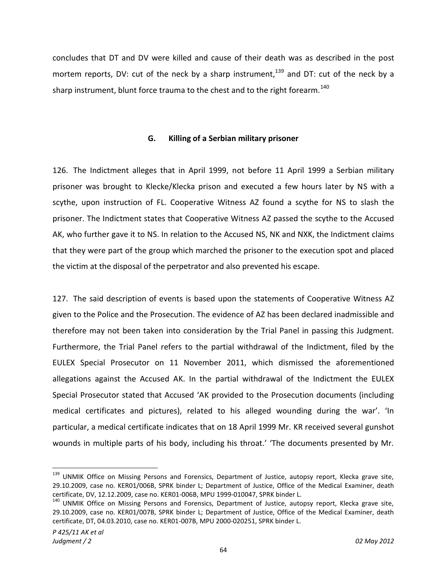concludes that DT and DV were killed and cause of their death was as described in the post mortem reports, DV: cut of the neck by a sharp instrument,  $139$  and DT: cut of the neck by a sharp instrument, blunt force trauma to the chest and to the right forearm.<sup>140</sup>

# **G. Killing of a Serbian military prisoner**

126. The Indictment alleges that in April 1999, not before 11 April 1999 a Serbian military prisoner was brought to Klecke/Klecka prison and executed a few hours later by NS with a scythe, upon instruction of FL. Cooperative Witness AZ found a scythe for NS to slash the prisoner. The Indictment states that Cooperative Witness AZ passed the scythe to the Accused AK, who further gave it to NS. In relation to the Accused NS, NK and NXK, the Indictment claims that they were part of the group which marched the prisoner to the execution spot and placed the victim at the disposal of the perpetrator and also prevented his escape.

127. The said description of events is based upon the statements of Cooperative Witness AZ given to the Police and the Prosecution. The evidence of AZ has been declared inadmissible and therefore may not been taken into consideration by the Trial Panel in passing this Judgment. Furthermore, the Trial Panel refers to the partial withdrawal of the Indictment, filed by the EULEX Special Prosecutor on 11 November 2011, which dismissed the aforementioned allegations against the Accused AK. In the partial withdrawal of the Indictment the EULEX Special Prosecutor stated that Accused 'AK provided to the Prosecution documents (including medical certificates and pictures), related to his alleged wounding during the war'. 'In particular, a medical certificate indicates that on 18 April 1999 Mr. KR received several gunshot wounds in multiple parts of his body, including his throat.' 'The documents presented by Mr.

 $\overline{a}$ 

<sup>&</sup>lt;sup>139</sup> UNMIK Office on Missing Persons and Forensics, Department of Justice, autopsy report, Klecka grave site, 29.10.2009, case no. KER01/006B, SPRK binder L; Department of Justice, Office of the Medical Examiner, death certificate, DV, 12.12.2009, case no. KER01-006B, MPU 1999-010047, SPRK binder L.

<sup>&</sup>lt;sup>140</sup> UNMIK Office on Missing Persons and Forensics, Department of Justice, autopsy report, Klecka grave site, 29.10.2009, case no. KER01/007B, SPRK binder L; Department of Justice, Office of the Medical Examiner, death certificate, DT, 04.03.2010, case no. KER01-007B, MPU 2000-020251, SPRK binder L.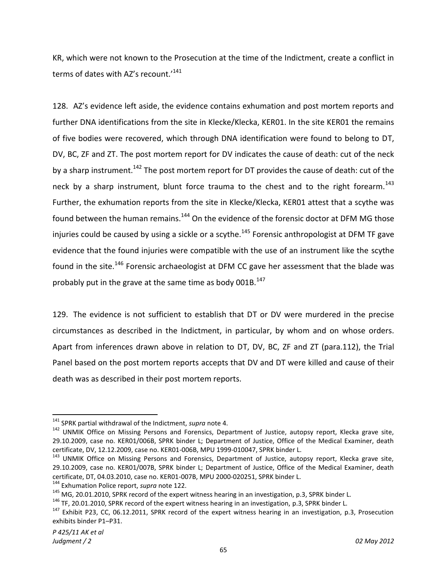KR, which were not known to the Prosecution at the time of the Indictment, create a conflict in terms of dates with AZ's recount.'<sup>141</sup>

128. AZ's evidence left aside, the evidence contains exhumation and post mortem reports and further DNA identifications from the site in Klecke/Klecka, KER01. In the site KER01 the remains of five bodies were recovered, which through DNA identification were found to belong to DT, DV, BC, ZF and ZT. The post mortem report for DV indicates the cause of death: cut of the neck by a sharp instrument.<sup>142</sup> The post mortem report for DT provides the cause of death: cut of the neck by a sharp instrument, blunt force trauma to the chest and to the right forearm.<sup>143</sup> Further, the exhumation reports from the site in Klecke/Klecka, KER01 attest that a scythe was found between the human remains.<sup>144</sup> On the evidence of the forensic doctor at DFM MG those injuries could be caused by using a sickle or a scythe.<sup>145</sup> Forensic anthropologist at DFM TF gave evidence that the found injuries were compatible with the use of an instrument like the scythe found in the site.<sup>146</sup> Forensic archaeologist at DFM CC gave her assessment that the blade was probably put in the grave at the same time as body  $001B$ .<sup>147</sup>

129. The evidence is not sufficient to establish that DT or DV were murdered in the precise circumstances as described in the Indictment, in particular, by whom and on whose orders. Apart from inferences drawn above in relation to DT, DV, BC, ZF and ZT (para.112), the Trial Panel based on the post mortem reports accepts that DV and DT were killed and cause of their death was as described in their post mortem reports.

<sup>141</sup> SPRK partial withdrawal of the Indictment, *supra* note 4.

<sup>&</sup>lt;sup>142</sup> UNMIK Office on Missing Persons and Forensics, Department of Justice, autopsy report, Klecka grave site, 29.10.2009, case no. KER01/006B, SPRK binder L; Department of Justice, Office of the Medical Examiner, death certificate, DV, 12.12.2009, case no. KER01-006B, MPU 1999-010047, SPRK binder L.

<sup>&</sup>lt;sup>143</sup> UNMIK Office on Missing Persons and Forensics, Department of Justice, autopsy report, Klecka grave site, 29.10.2009, case no. KER01/007B, SPRK binder L; Department of Justice, Office of the Medical Examiner, death certificate, DT, 04.03.2010, case no. KER01-007B, MPU 2000-020251, SPRK binder L.

<sup>144</sup> Exhumation Police report, *supra* note 122.

<sup>&</sup>lt;sup>145</sup> MG, 20.01.2010, SPRK record of the expert witness hearing in an investigation, p.3, SPRK binder L.

 $146$  TF, 20.01.2010, SPRK record of the expert witness hearing in an investigation, p.3, SPRK binder L.

 $147$  Exhibit P23, CC, 06.12.2011, SPRK record of the expert witness hearing in an investigation, p.3, Prosecution exhibits binder P1–P31.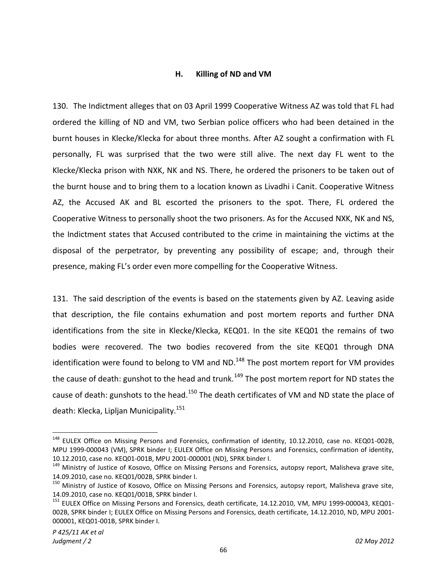### **H. Killing of ND and VM**

130. The Indictment alleges that on 03 April 1999 Cooperative Witness AZ was told that FL had ordered the killing of ND and VM, two Serbian police officers who had been detained in the burnt houses in Klecke/Klecka for about three months. After AZ sought a confirmation with FL personally, FL was surprised that the two were still alive. The next day FL went to the Klecke/Klecka prison with NXK, NK and NS. There, he ordered the prisoners to be taken out of the burnt house and to bring them to a location known as Livadhi i Canit. Cooperative Witness AZ, the Accused AK and BL escorted the prisoners to the spot. There, FL ordered the Cooperative Witness to personally shoot the two prisoners. As for the Accused NXK, NK and NS, the Indictment states that Accused contributed to the crime in maintaining the victims at the disposal of the perpetrator, by preventing any possibility of escape; and, through their presence, making FL's order even more compelling for the Cooperative Witness.

131. The said description of the events is based on the statements given by AZ. Leaving aside that description, the file contains exhumation and post mortem reports and further DNA identifications from the site in Klecke/Klecka, KEQ01. In the site KEQ01 the remains of two bodies were recovered. The two bodies recovered from the site KEQ01 through DNA identification were found to belong to VM and ND.<sup>148</sup> The post mortem report for VM provides the cause of death: gunshot to the head and trunk.<sup>149</sup> The post mortem report for ND states the cause of death: gunshots to the head.<sup>150</sup> The death certificates of VM and ND state the place of death: Klecka, Lipljan Municipality.<sup>151</sup>

<sup>&</sup>lt;sup>148</sup> EULEX Office on Missing Persons and Forensics, confirmation of identity, 10.12.2010, case no. KEQ01-002B, MPU 1999-000043 (VM), SPRK binder I; EULEX Office on Missing Persons and Forensics, confirmation of identity, 10.12.2010, case no. KEQ01-001B, MPU 2001-000001 (ND), SPRK binder I.

<sup>&</sup>lt;sup>149</sup> Ministry of Justice of Kosovo, Office on Missing Persons and Forensics, autopsy report, Malisheva grave site, 14.09.2010, case no. KEQ01/002B, SPRK binder I.

<sup>&</sup>lt;sup>150</sup> Ministry of Justice of Kosovo, Office on Missing Persons and Forensics, autopsy report, Malisheva grave site, 14.09.2010, case no. KEQ01/001B, SPRK binder I.

<sup>&</sup>lt;sup>151</sup> EULEX Office on Missing Persons and Forensics, death certificate, 14.12.2010, VM, MPU 1999-000043, KEQ01-002B, SPRK binder I; EULEX Office on Missing Persons and Forensics, death certificate, 14.12.2010, ND, MPU 2001- 000001, KEQ01-001B, SPRK binder I.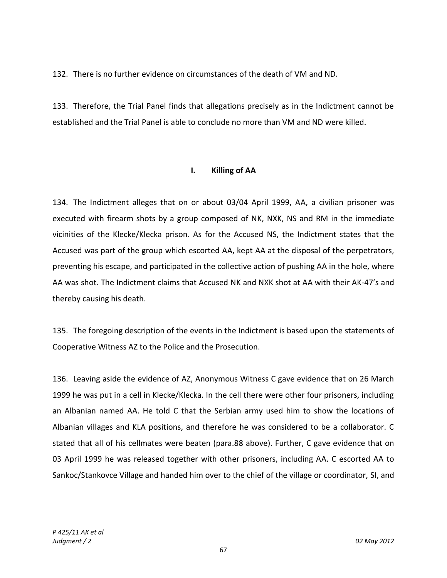132. There is no further evidence on circumstances of the death of VM and ND.

133. Therefore, the Trial Panel finds that allegations precisely as in the Indictment cannot be established and the Trial Panel is able to conclude no more than VM and ND were killed.

# **I. Killing of AA**

134. The Indictment alleges that on or about 03/04 April 1999, AA, a civilian prisoner was executed with firearm shots by a group composed of NK, NXK, NS and RM in the immediate vicinities of the Klecke/Klecka prison. As for the Accused NS, the Indictment states that the Accused was part of the group which escorted AA, kept AA at the disposal of the perpetrators, preventing his escape, and participated in the collective action of pushing AA in the hole, where AA was shot. The Indictment claims that Accused NK and NXK shot at AA with their AK-47's and thereby causing his death.

135. The foregoing description of the events in the Indictment is based upon the statements of Cooperative Witness AZ to the Police and the Prosecution.

136. Leaving aside the evidence of AZ, Anonymous Witness C gave evidence that on 26 March 1999 he was put in a cell in Klecke/Klecka. In the cell there were other four prisoners, including an Albanian named AA. He told C that the Serbian army used him to show the locations of Albanian villages and KLA positions, and therefore he was considered to be a collaborator. C stated that all of his cellmates were beaten (para.88 above). Further, C gave evidence that on 03 April 1999 he was released together with other prisoners, including AA. C escorted AA to Sankoc/Stankovce Village and handed him over to the chief of the village or coordinator, SI, and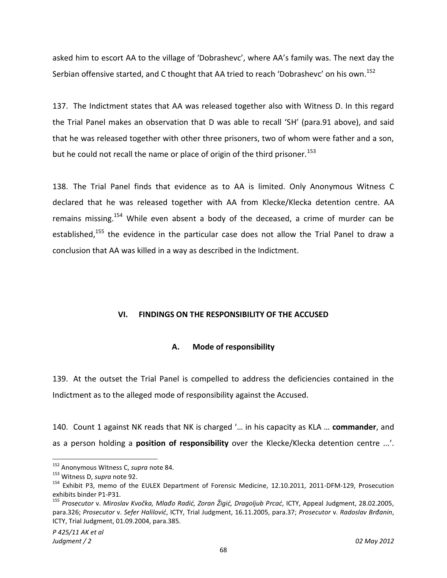asked him to escort AA to the village of 'Dobrashevc', where AA's family was. The next day the Serbian offensive started, and C thought that AA tried to reach 'Dobrashevc' on his own.<sup>152</sup>

137. The Indictment states that AA was released together also with Witness D. In this regard the Trial Panel makes an observation that D was able to recall 'SH' (para.91 above), and said that he was released together with other three prisoners, two of whom were father and a son, but he could not recall the name or place of origin of the third prisoner.<sup>153</sup>

138. The Trial Panel finds that evidence as to AA is limited. Only Anonymous Witness C declared that he was released together with AA from Klecke/Klecka detention centre. AA remains missing.<sup>154</sup> While even absent a body of the deceased, a crime of murder can be established,<sup>155</sup> the evidence in the particular case does not allow the Trial Panel to draw a conclusion that AA was killed in a way as described in the Indictment.

# **VI. FINDINGS ON THE RESPONSIBILITY OF THE ACCUSED**

# **A. Mode of responsibility**

139. At the outset the Trial Panel is compelled to address the deficiencies contained in the Indictment as to the alleged mode of responsibility against the Accused.

140. Count 1 against NK reads that NK is charged '… in his capacity as KLA … **commander**, and as a person holding a **position of responsibility** over the Klecke/Klecka detention centre ...'.

<sup>152</sup> Anonymous Witness C, *supra* note 84.

<sup>153</sup> Witness D, *supra* note 92.

<sup>&</sup>lt;sup>154</sup> Exhibit P3, memo of the EULEX Department of Forensic Medicine, 12.10.2011, 2011-DFM-129, Prosecution exhibits binder P1-P31.

<sup>155</sup> *Prosecutor* v. *Miroslav Kvočka, Mlađo Radić, Zoran Žigić, Dragoljub Prcać*, ICTY, Appeal Judgment, 28.02.2005, para.326; *Prosecutor* v. *Sefer Halilović*, ICTY, Trial Judgment, 16.11.2005, para.37; *Prosecutor* v. *Radoslav Brđanin*, ICTY, Trial Judgment, 01.09.2004, para.385.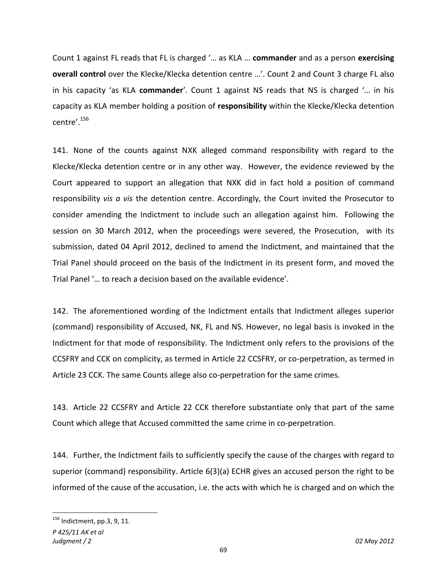Count 1 against FL reads that FL is charged '… as KLA … **commander** and as a person **exercising overall control** over the Klecke/Klecka detention centre …'. Count 2 and Count 3 charge FL also in his capacity 'as KLA **commander**'. Count 1 against NS reads that NS is charged '… in his capacity as KLA member holding a position of **responsibility** within the Klecke/Klecka detention centre'.<sup>156</sup>

141. None of the counts against NXK alleged command responsibility with regard to the Klecke/Klecka detention centre or in any other way. However, the evidence reviewed by the Court appeared to support an allegation that NXK did in fact hold a position of command responsibility *vis a vis* the detention centre. Accordingly, the Court invited the Prosecutor to consider amending the Indictment to include such an allegation against him. Following the session on 30 March 2012, when the proceedings were severed, the Prosecution, with its submission, dated 04 April 2012, declined to amend the Indictment, and maintained that the Trial Panel should proceed on the basis of the Indictment in its present form, and moved the Trial Panel '… to reach a decision based on the available evidence'.

142. The aforementioned wording of the Indictment entails that Indictment alleges superior (command) responsibility of Accused, NK, FL and NS. However, no legal basis is invoked in the Indictment for that mode of responsibility. The Indictment only refers to the provisions of the CCSFRY and CCK on complicity, as termed in Article 22 CCSFRY, or co-perpetration, as termed in Article 23 CCK. The same Counts allege also co-perpetration for the same crimes.

143. Article 22 CCSFRY and Article 22 CCK therefore substantiate only that part of the same Count which allege that Accused committed the same crime in co-perpetration.

144. Further, the Indictment fails to sufficiently specify the cause of the charges with regard to superior (command) responsibility. Article 6(3)(a) ECHR gives an accused person the right to be informed of the cause of the accusation, i.e. the acts with which he is charged and on which the

 $\overline{\phantom{a}}$  $156$  Indictment, pp.3, 9, 11.

*P 425/11 AK et al*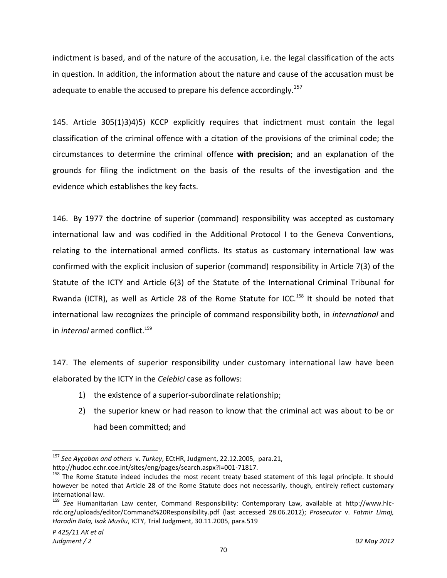indictment is based, and of the nature of the accusation, i.e. the legal classification of the acts in question. In addition, the information about the nature and cause of the accusation must be adequate to enable the accused to prepare his defence accordingly.<sup>157</sup>

145. Article 305(1)3)4)5) KCCP explicitly requires that indictment must contain the legal classification of the criminal offence with a citation of the provisions of the criminal code; the circumstances to determine the criminal offence **with precision**; and an explanation of the grounds for filing the indictment on the basis of the results of the investigation and the evidence which establishes the key facts.

146. By 1977 the doctrine of superior (command) responsibility was accepted as customary international law and was codified in the Additional Protocol I to the Geneva Conventions, relating to the international armed conflicts. Its status as customary international law was confirmed with the explicit inclusion of superior (command) responsibility in Article 7(3) of the Statute of the ICTY and Article 6(3) of the Statute of the International Criminal Tribunal for Rwanda (ICTR), as well as Article 28 of the Rome Statute for ICC.<sup>158</sup> It should be noted that international law recognizes the principle of command responsibility both, in *international* and in *internal* armed conflict.<sup>159</sup>

147. The elements of superior responsibility under customary international law have been elaborated by the ICTY in the *Celebici* case as follows:

- 1) the existence of a superior-subordinate relationship;
- 2) the superior knew or had reason to know that the criminal act was about to be or had been committed; and

 $\overline{\phantom{a}}$ <sup>157</sup> *See Ayçoban and others* v. *Turkey*, ECtHR, Judgment, 22.12.2005, para.21, http://hudoc.echr.coe.int/sites/eng/pages/search.aspx?i=001-71817.

<sup>&</sup>lt;sup>158</sup> The Rome Statute indeed includes the most recent treaty based statement of this legal principle. It should however be noted that Article 28 of the Rome Statute does not necessarily, though, entirely reflect customary international law.

<sup>159</sup> *See* Humanitarian Law center, Command Responsibility: Contemporary Law, available at [http://www.hlc](http://www.hlc-rdc.org/uploads/editor/Command%20Responsibility.pdf)[rdc.org/uploads/editor/Command%20Responsibility.pdf](http://www.hlc-rdc.org/uploads/editor/Command%20Responsibility.pdf) (last accessed 28.06.2012); *Prosecutor* v. *Fatmir Limaj, Haradin Bala, Isak Musliu*, ICTY, Trial Judgment, 30.11.2005, para.519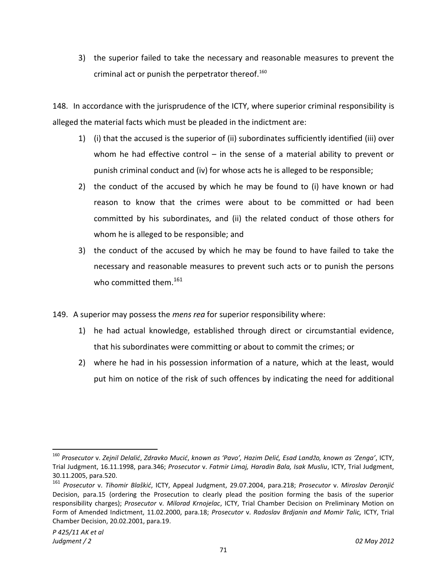3) the superior failed to take the necessary and reasonable measures to prevent the criminal act or punish the perpetrator thereof. $160$ 

148. In accordance with the jurisprudence of the ICTY, where superior criminal responsibility is alleged the material facts which must be pleaded in the indictment are:

- 1) (i) that the accused is the superior of (ii) subordinates sufficiently identified (iii) over whom he had effective control – in the sense of a material ability to prevent or punish criminal conduct and (iv) for whose acts he is alleged to be responsible;
- 2) the conduct of the accused by which he may be found to (i) have known or had reason to know that the crimes were about to be committed or had been committed by his subordinates, and (ii) the related conduct of those others for whom he is alleged to be responsible; and
- 3) the conduct of the accused by which he may be found to have failed to take the necessary and reasonable measures to prevent such acts or to punish the persons who committed them. $^{161}$
- 149. A superior may possess the *mens rea* for superior responsibility where:
	- 1) he had actual knowledge, established through direct or circumstantial evidence, that his subordinates were committing or about to commit the crimes; or
	- 2) where he had in his possession information of a nature, which at the least, would put him on notice of the risk of such offences by indicating the need for additional

 $\overline{\phantom{a}}$ <sup>160</sup> *Prosecutor* v. *Zejnil Delalić*, *Zdravko Mucić*, *known as 'Pavo', Hazim Delić, Esad LandŽo, known as 'Zenga'*, ICTY, Trial Judgment, 16.11.1998, para.346; *Prosecutor* v. *Fatmir Limaj, Haradin Bala, Isak Musliu*, ICTY, Trial Judgment, 30.11.2005, para.520.

<sup>161</sup> *Prosecutor* v. *Tihomir Blaškić*, ICTY, Appeal Judgment, 29.07.2004, para.218; *Prosecutor* v. *Miroslav Deronjić*  Decision, para.15 (ordering the Prosecution to clearly plead the position forming the basis of the superior responsibility charges); *Prosecutor* v. *Milorad Krnojelac*, ICTY, Trial Chamber Decision on Preliminary Motion on Form of Amended Indictment, 11.02.2000, para.18; *Prosecutor* v. *Radoslav Brdjanin and Momir Talic,* ICTY, Trial Chamber Decision, 20.02.2001, para.19.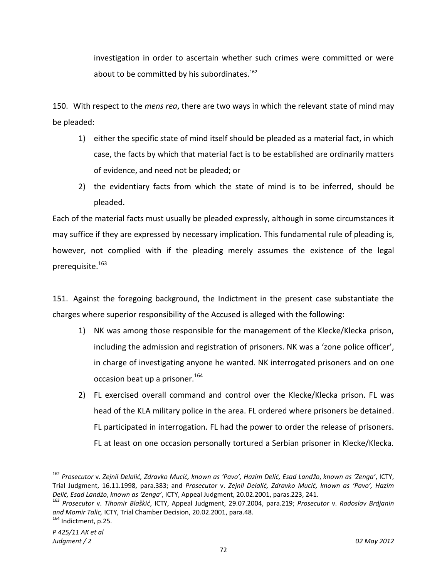investigation in order to ascertain whether such crimes were committed or were about to be committed by his subordinates. $162$ 

150. With respect to the *mens rea*, there are two ways in which the relevant state of mind may be pleaded:

- 1) either the specific state of mind itself should be pleaded as a material fact, in which case, the facts by which that material fact is to be established are ordinarily matters of evidence, and need not be pleaded; or
- 2) the evidentiary facts from which the state of mind is to be inferred, should be pleaded.

Each of the material facts must usually be pleaded expressly, although in some circumstances it may suffice if they are expressed by necessary implication. This fundamental rule of pleading is, however, not complied with if the pleading merely assumes the existence of the legal prerequisite.<sup>163</sup>

151. Against the foregoing background, the Indictment in the present case substantiate the charges where superior responsibility of the Accused is alleged with the following:

- 1) NK was among those responsible for the management of the Klecke/Klecka prison, including the admission and registration of prisoners. NK was a 'zone police officer', in charge of investigating anyone he wanted. NK interrogated prisoners and on one occasion beat up a prisoner.<sup>164</sup>
- 2) FL exercised overall command and control over the Klecke/Klecka prison. FL was head of the KLA military police in the area. FL ordered where prisoners be detained. FL participated in interrogation. FL had the power to order the release of prisoners. FL at least on one occasion personally tortured a Serbian prisoner in Klecke/Klecka.

 $\overline{a}$ 

<sup>162</sup> *Prosecutor* v. *Zejnil Delalić, Zdravko Mucić, known as 'Pavo', Hazim Delić, Esad LandŽo*, *known as 'Zenga'*, ICTY, Trial Judgment, 16.11.1998, para.383; and *Prosecutor* v. *Zejnil Delalić, Zdravko Mucić, known as 'Pavo', Hazim Delić, Esad LandŽo*, *known as 'Zenga'*, ICTY, Appeal Judgment, 20.02.2001, paras.223, 241.

<sup>163</sup> *Prosecutor* v. *Tihomir Blaškić*, ICTY, Appeal Judgment, 29.07.2004, para.219; *Prosecutor* v. *Radoslav Brdjanin and Momir Talic,* ICTY, Trial Chamber Decision, 20.02.2001, para.48.

 $164$  Indictment, p.25.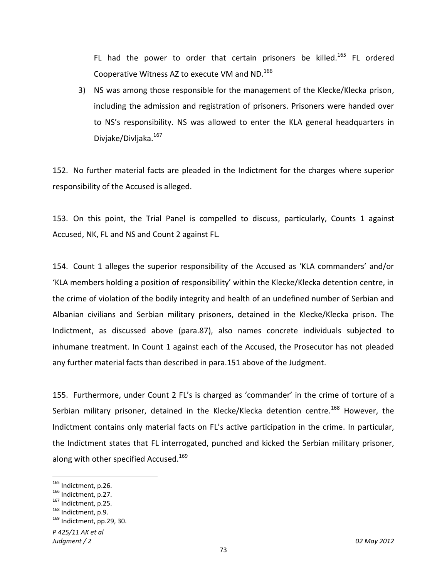FL had the power to order that certain prisoners be killed.<sup>165</sup> FL ordered Cooperative Witness AZ to execute VM and ND.<sup>166</sup>

3) NS was among those responsible for the management of the Klecke/Klecka prison, including the admission and registration of prisoners. Prisoners were handed over to NS's responsibility. NS was allowed to enter the KLA general headquarters in Divjake/Divljaka.<sup>167</sup>

152. No further material facts are pleaded in the Indictment for the charges where superior responsibility of the Accused is alleged.

153. On this point, the Trial Panel is compelled to discuss, particularly, Counts 1 against Accused, NK, FL and NS and Count 2 against FL.

154. Count 1 alleges the superior responsibility of the Accused as 'KLA commanders' and/or 'KLA members holding a position of responsibility' within the Klecke/Klecka detention centre, in the crime of violation of the bodily integrity and health of an undefined number of Serbian and Albanian civilians and Serbian military prisoners, detained in the Klecke/Klecka prison. The Indictment, as discussed above (para.87), also names concrete individuals subjected to inhumane treatment. In Count 1 against each of the Accused, the Prosecutor has not pleaded any further material facts than described in para.151 above of the Judgment.

155. Furthermore, under Count 2 FL's is charged as 'commander' in the crime of torture of a Serbian military prisoner, detained in the Klecke/Klecka detention centre.<sup>168</sup> However, the Indictment contains only material facts on FL's active participation in the crime. In particular, the Indictment states that FL interrogated, punched and kicked the Serbian military prisoner, along with other specified Accused.<sup>169</sup>

l

<sup>168</sup> Indictment, p.9.

<sup>&</sup>lt;sup>165</sup> Indictment, p.26.

 $166$  Indictment, p.27.

<sup>&</sup>lt;sup>167</sup> Indictment, p.25.

 $169$  Indictment, pp.29, 30.

*P 425/11 AK et al*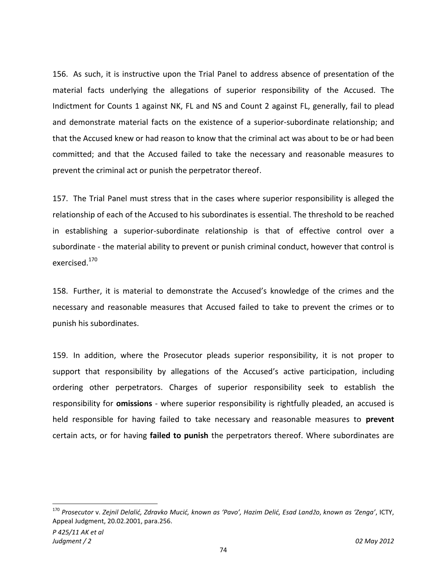156. As such, it is instructive upon the Trial Panel to address absence of presentation of the material facts underlying the allegations of superior responsibility of the Accused. The Indictment for Counts 1 against NK, FL and NS and Count 2 against FL, generally, fail to plead and demonstrate material facts on the existence of a superior-subordinate relationship; and that the Accused knew or had reason to know that the criminal act was about to be or had been committed; and that the Accused failed to take the necessary and reasonable measures to prevent the criminal act or punish the perpetrator thereof.

157. The Trial Panel must stress that in the cases where superior responsibility is alleged the relationship of each of the Accused to his subordinates is essential. The threshold to be reached in establishing a superior-subordinate relationship is that of effective control over a subordinate - the material ability to prevent or punish criminal conduct, however that control is exercised.<sup>170</sup>

158. Further, it is material to demonstrate the Accused's knowledge of the crimes and the necessary and reasonable measures that Accused failed to take to prevent the crimes or to punish his subordinates.

159. In addition, where the Prosecutor pleads superior responsibility, it is not proper to support that responsibility by allegations of the Accused's active participation, including ordering other perpetrators. Charges of superior responsibility seek to establish the responsibility for **omissions** - where superior responsibility is rightfully pleaded, an accused is held responsible for having failed to take necessary and reasonable measures to **prevent** certain acts, or for having **failed to punish** the perpetrators thereof. Where subordinates are

<sup>170</sup> *Prosecutor* v. *Zejnil Delalić, Zdravko Mucić, known as 'Pavo', Hazim Delić, Esad LandŽo*, *known as 'Zenga'*, ICTY, Appeal Judgment, 20.02.2001, para.256.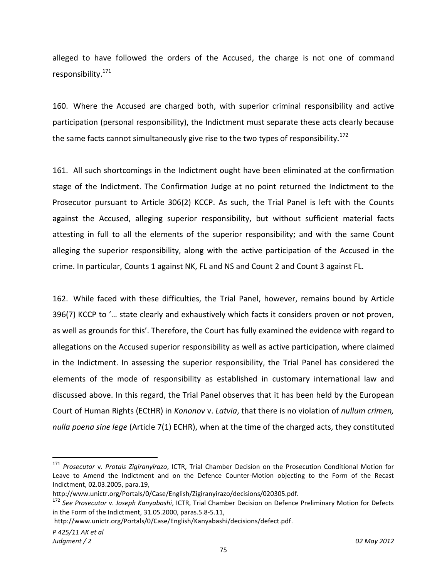alleged to have followed the orders of the Accused, the charge is not one of command responsibility. 171

160. Where the Accused are charged both, with superior criminal responsibility and active participation (personal responsibility), the Indictment must separate these acts clearly because the same facts cannot simultaneously give rise to the two types of responsibility.<sup>172</sup>

161. All such shortcomings in the Indictment ought have been eliminated at the confirmation stage of the Indictment. The Confirmation Judge at no point returned the Indictment to the Prosecutor pursuant to Article 306(2) KCCP. As such, the Trial Panel is left with the Counts against the Accused, alleging superior responsibility, but without sufficient material facts attesting in full to all the elements of the superior responsibility; and with the same Count alleging the superior responsibility, along with the active participation of the Accused in the crime. In particular, Counts 1 against NK, FL and NS and Count 2 and Count 3 against FL.

162. While faced with these difficulties, the Trial Panel, however, remains bound by Article 396(7) KCCP to '… state clearly and exhaustively which facts it considers proven or not proven, as well as grounds for this'. Therefore, the Court has fully examined the evidence with regard to allegations on the Accused superior responsibility as well as active participation, where claimed in the Indictment. In assessing the superior responsibility, the Trial Panel has considered the elements of the mode of responsibility as established in customary international law and discussed above. In this regard, the Trial Panel observes that it has been held by the European Court of Human Rights (ECtHR) in *Kononov* v. *Latvia*, that there is no violation of *nullum crimen, nulla poena sine lege* (Article 7(1) ECHR), when at the time of the charged acts, they constituted

<sup>171</sup> *Prosecutor* v. *Protais Zigiranyirazo*, ICTR, Trial Chamber Decision on the Prosecution Conditional Motion for Leave to Amend the Indictment and on the Defence Counter-Motion objecting to the Form of the Recast Indictment, 02.03.2005, para.19,

http://www.unictr.org/Portals/0/Case/English/Zigiranyirazo/decisions/020305.pdf.

<sup>172</sup> *See Prosecutor* v. *Joseph Kanyabashi*, ICTR, Trial Chamber Decision on Defence Preliminary Motion for Defects in the Form of the Indictment, 31.05.2000, paras.5.8-5.11,

[http://www.unictr.org/Portals/0/Case/English/Kanyabashi/decisions/defect.pdf.](http://www.unictr.org/Portals/0/Case/English/Kanyabashi/decisions/defect.pdf)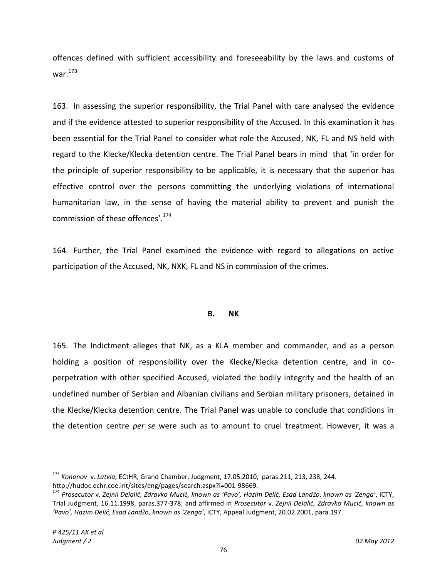offences defined with sufficient accessibility and foreseeability by the laws and customs of war.<sup>173</sup>

163. In assessing the superior responsibility, the Trial Panel with care analysed the evidence and if the evidence attested to superior responsibility of the Accused. In this examination it has been essential for the Trial Panel to consider what role the Accused, NK, FL and NS held with regard to the Klecke/Klecka detention centre. The Trial Panel bears in mind that 'in order for the principle of superior responsibility to be applicable, it is necessary that the superior has effective control over the persons committing the underlying violations of international humanitarian law, in the sense of having the material ability to prevent and punish the commission of these offences'. 174

164. Further, the Trial Panel examined the evidence with regard to allegations on active participation of the Accused, NK, NXK, FL and NS in commission of the crimes.

#### **B. NK**

165. The Indictment alleges that NK, as a KLA member and commander, and as a person holding a position of responsibility over the Klecke/Klecka detention centre, and in coperpetration with other specified Accused, violated the bodily integrity and the health of an undefined number of Serbian and Albanian civilians and Serbian military prisoners, detained in the Klecke/Klecka detention centre. The Trial Panel was unable to conclude that conditions in the detention centre *per se* were such as to amount to cruel treatment. However, it was a

<sup>173</sup> *Kononov* v. *Latvia*, ECtHR, Grand Chamber, Judgment, 17.05.2010, paras.211, 213, 238, 244. http://hudoc.echr.coe.int/sites/eng/pages/search.aspx?i=001-98669.

<sup>174</sup> *Prosecutor* v. *Zejnil Delalić, Zdravko Mucić, known as 'Pavo', Hazim Delić, Esad LandŽo*, *known as 'Zenga'*, ICTY, Trial Judgment, 16.11.1998, paras.377-378; and affirmed in *Prosecutor* v. *Zejnil Delalić, Zdravko Mucić, known as 'Pavo', Hazim Delić, Esad LandŽo*, *known as 'Zenga'*, ICTY, Appeal Judgment, 20.02.2001, para.197.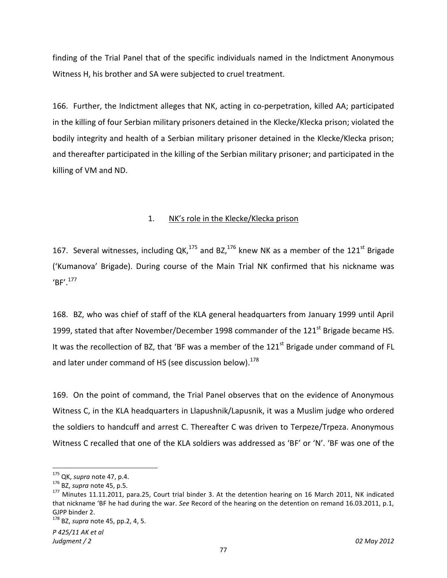finding of the Trial Panel that of the specific individuals named in the Indictment Anonymous Witness H, his brother and SA were subjected to cruel treatment.

166. Further, the Indictment alleges that NK, acting in co-perpetration, killed AA; participated in the killing of four Serbian military prisoners detained in the Klecke/Klecka prison; violated the bodily integrity and health of a Serbian military prisoner detained in the Klecke/Klecka prison; and thereafter participated in the killing of the Serbian military prisoner; and participated in the killing of VM and ND.

## 1. NK's role in the Klecke/Klecka prison

167. Several witnesses, including QK,<sup>175</sup> and BZ,<sup>176</sup> knew NK as a member of the 121<sup>st</sup> Brigade ('Kumanova' Brigade). During course of the Main Trial NK confirmed that his nickname was 'BF'.<sup>177</sup>

168. BZ, who was chief of staff of the KLA general headquarters from January 1999 until April 1999, stated that after November/December 1998 commander of the 121<sup>st</sup> Brigade became HS. It was the recollection of BZ, that 'BF was a member of the 121<sup>st</sup> Brigade under command of FL and later under command of HS (see discussion below). $178$ 

169. On the point of command, the Trial Panel observes that on the evidence of Anonymous Witness C, in the KLA headquarters in Llapushnik/Lapusnik, it was a Muslim judge who ordered the soldiers to handcuff and arrest C. Thereafter C was driven to Terpeze/Trpeza. Anonymous Witness C recalled that one of the KLA soldiers was addressed as 'BF' or 'N'. 'BF was one of the

<sup>175</sup> QK, *supra* note 47, p.4.

<sup>176</sup> BZ, *supra* note 45, p.5.

<sup>&</sup>lt;sup>177</sup> Minutes 11.11.2011, para.25, Court trial binder 3. At the detention hearing on 16 March 2011, NK indicated that nickname 'BF he had during the war. *See* Record of the hearing on the detention on remand 16.03.2011, p.1, GJPP binder 2.

<sup>178</sup> BZ, *supra* note 45, pp.2, 4, 5.

*P 425/11 AK et al Judgment / 2 02 May 2012*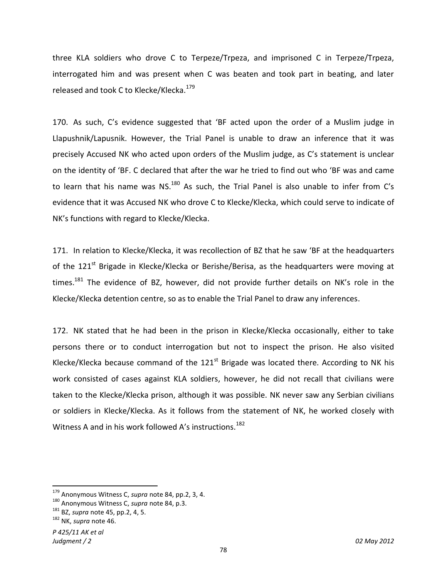three KLA soldiers who drove C to Terpeze/Trpeza, and imprisoned C in Terpeze/Trpeza, interrogated him and was present when C was beaten and took part in beating, and later released and took C to Klecke/Klecka.<sup>179</sup>

170. As such, C's evidence suggested that 'BF acted upon the order of a Muslim judge in Llapushnik/Lapusnik. However, the Trial Panel is unable to draw an inference that it was precisely Accused NK who acted upon orders of the Muslim judge, as C's statement is unclear on the identity of 'BF. C declared that after the war he tried to find out who 'BF was and came to learn that his name was NS. $^{180}$  As such, the Trial Panel is also unable to infer from C's evidence that it was Accused NK who drove C to Klecke/Klecka, which could serve to indicate of NK's functions with regard to Klecke/Klecka.

171. In relation to Klecke/Klecka, it was recollection of BZ that he saw 'BF at the headquarters of the 121<sup>st</sup> Brigade in Klecke/Klecka or Berishe/Berisa, as the headquarters were moving at times.<sup>181</sup> The evidence of BZ, however, did not provide further details on NK's role in the Klecke/Klecka detention centre, so as to enable the Trial Panel to draw any inferences.

172. NK stated that he had been in the prison in Klecke/Klecka occasionally, either to take persons there or to conduct interrogation but not to inspect the prison. He also visited Klecke/Klecka because command of the  $121<sup>st</sup>$  Brigade was located there. According to NK his work consisted of cases against KLA soldiers, however, he did not recall that civilians were taken to the Klecke/Klecka prison, although it was possible. NK never saw any Serbian civilians or soldiers in Klecke/Klecka. As it follows from the statement of NK, he worked closely with Witness A and in his work followed A's instructions.<sup>182</sup>

<sup>179</sup> Anonymous Witness C, *supra* note 84, pp.2, 3, 4.

<sup>180</sup> Anonymous Witness C, *supra* note 84, p.3.

<sup>181</sup> BZ, *supra* note 45, pp.2, 4, 5.

<sup>182</sup> NK, *supra* note 46.

*P 425/11 AK et al Judgment / 2 02 May 2012*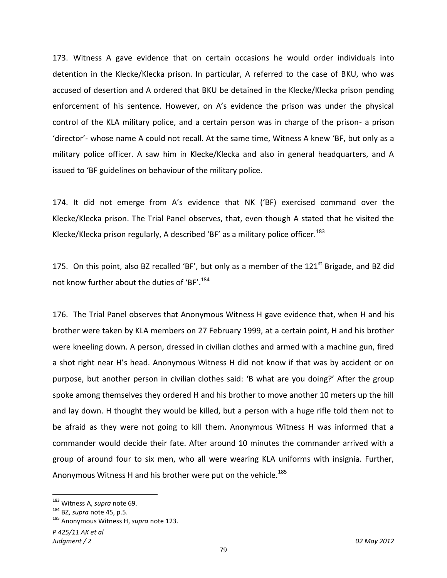173. Witness A gave evidence that on certain occasions he would order individuals into detention in the Klecke/Klecka prison. In particular, A referred to the case of BKU, who was accused of desertion and A ordered that BKU be detained in the Klecke/Klecka prison pending enforcement of his sentence. However, on A's evidence the prison was under the physical control of the KLA military police, and a certain person was in charge of the prison- a prison 'director'- whose name A could not recall. At the same time, Witness A knew 'BF, but only as a military police officer. A saw him in Klecke/Klecka and also in general headquarters, and A issued to 'BF guidelines on behaviour of the military police.

174. It did not emerge from A's evidence that NK ('BF) exercised command over the Klecke/Klecka prison. The Trial Panel observes, that, even though A stated that he visited the Klecke/Klecka prison regularly, A described 'BF' as a military police officer.<sup>183</sup>

175. On this point, also BZ recalled 'BF', but only as a member of the  $121<sup>st</sup>$  Brigade, and BZ did not know further about the duties of 'BF'.<sup>184</sup>

176. The Trial Panel observes that Anonymous Witness H gave evidence that, when H and his brother were taken by KLA members on 27 February 1999, at a certain point, H and his brother were kneeling down. A person, dressed in civilian clothes and armed with a machine gun, fired a shot right near H's head. Anonymous Witness H did not know if that was by accident or on purpose, but another person in civilian clothes said: 'B what are you doing?' After the group spoke among themselves they ordered H and his brother to move another 10 meters up the hill and lay down. H thought they would be killed, but a person with a huge rifle told them not to be afraid as they were not going to kill them. Anonymous Witness H was informed that a commander would decide their fate. After around 10 minutes the commander arrived with a group of around four to six men, who all were wearing KLA uniforms with insignia. Further, Anonymous Witness H and his brother were put on the vehicle.<sup>185</sup>

<sup>183</sup> Witness A, *supra* note 69.

<sup>184</sup> BZ, *supra* note 45, p.5.

<sup>185</sup> Anonymous Witness H, *supra* note 123.

*P 425/11 AK et al*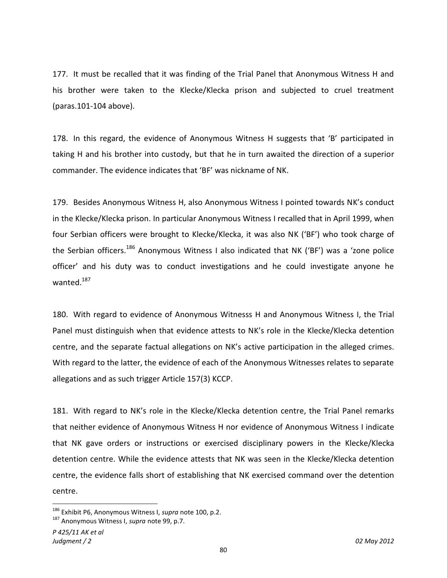177. It must be recalled that it was finding of the Trial Panel that Anonymous Witness H and his brother were taken to the Klecke/Klecka prison and subjected to cruel treatment (paras.101-104 above).

178. In this regard, the evidence of Anonymous Witness H suggests that 'B' participated in taking H and his brother into custody, but that he in turn awaited the direction of a superior commander. The evidence indicates that 'BF' was nickname of NK.

179. Besides Anonymous Witness H, also Anonymous Witness I pointed towards NK's conduct in the Klecke/Klecka prison. In particular Anonymous Witness I recalled that in April 1999, when four Serbian officers were brought to Klecke/Klecka, it was also NK ('BF') who took charge of the Serbian officers.<sup>186</sup> Anonymous Witness I also indicated that NK ('BF') was a 'zone police officer' and his duty was to conduct investigations and he could investigate anyone he wanted.<sup>187</sup>

180. With regard to evidence of Anonymous Witnesss H and Anonymous Witness I, the Trial Panel must distinguish when that evidence attests to NK's role in the Klecke/Klecka detention centre, and the separate factual allegations on NK's active participation in the alleged crimes. With regard to the latter, the evidence of each of the Anonymous Witnesses relates to separate allegations and as such trigger Article 157(3) KCCP.

181. With regard to NK's role in the Klecke/Klecka detention centre, the Trial Panel remarks that neither evidence of Anonymous Witness H nor evidence of Anonymous Witness I indicate that NK gave orders or instructions or exercised disciplinary powers in the Klecke/Klecka detention centre. While the evidence attests that NK was seen in the Klecke/Klecka detention centre, the evidence falls short of establishing that NK exercised command over the detention centre.

<sup>186</sup> Exhibit P6, Anonymous Witness I, *supra* note 100, p.2.

<sup>187</sup> Anonymous Witness I, *supra* note 99, p.7.

*P 425/11 AK et al Judgment / 2 02 May 2012*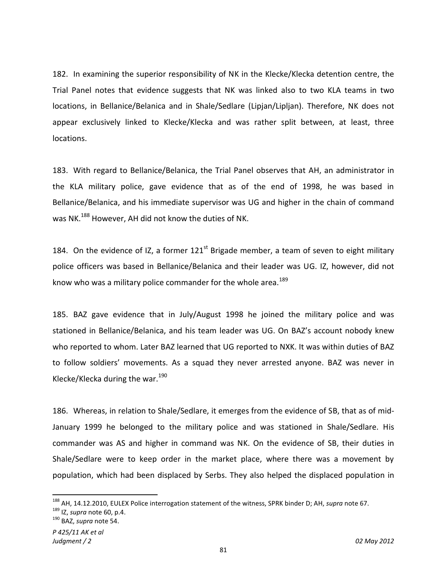182. In examining the superior responsibility of NK in the Klecke/Klecka detention centre, the Trial Panel notes that evidence suggests that NK was linked also to two KLA teams in two locations, in Bellanice/Belanica and in Shale/Sedlare (Lipjan/Lipljan). Therefore, NK does not appear exclusively linked to Klecke/Klecka and was rather split between, at least, three locations.

183. With regard to Bellanice/Belanica, the Trial Panel observes that AH, an administrator in the KLA military police, gave evidence that as of the end of 1998, he was based in Bellanice/Belanica, and his immediate supervisor was UG and higher in the chain of command was NK.<sup>188</sup> However, AH did not know the duties of NK.

184. On the evidence of IZ, a former  $121<sup>st</sup>$  Brigade member, a team of seven to eight military police officers was based in Bellanice/Belanica and their leader was UG. IZ, however, did not know who was a military police commander for the whole area.<sup>189</sup>

185. BAZ gave evidence that in July/August 1998 he joined the military police and was stationed in Bellanice/Belanica, and his team leader was UG. On BAZ's account nobody knew who reported to whom. Later BAZ learned that UG reported to NXK. It was within duties of BAZ to follow soldiers' movements. As a squad they never arrested anyone. BAZ was never in Klecke/Klecka during the war.<sup>190</sup>

186. Whereas, in relation to Shale/Sedlare, it emerges from the evidence of SB, that as of mid-January 1999 he belonged to the military police and was stationed in Shale/Sedlare. His commander was AS and higher in command was NK. On the evidence of SB, their duties in Shale/Sedlare were to keep order in the market place, where there was a movement by population, which had been displaced by Serbs. They also helped the displaced population in

<sup>188</sup> AH, 14.12.2010, EULEX Police interrogation statement of the witness, SPRK binder D; AH, *supra* note 67.

<sup>189</sup> IZ, *supra* note 60, p.4.

<sup>190</sup> BAZ, *supra* note 54.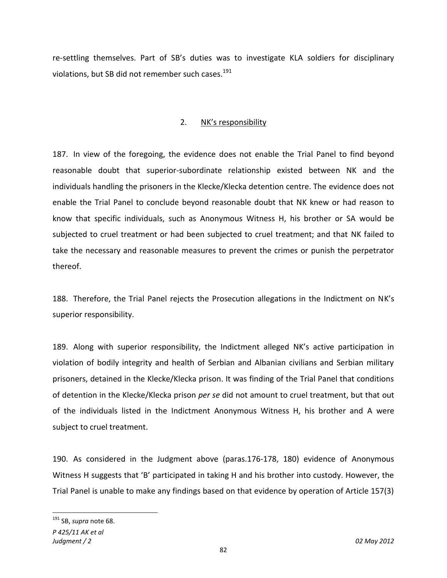re-settling themselves. Part of SB's duties was to investigate KLA soldiers for disciplinary violations, but SB did not remember such cases.<sup>191</sup>

#### 2. NK's responsibility

187. In view of the foregoing, the evidence does not enable the Trial Panel to find beyond reasonable doubt that superior-subordinate relationship existed between NK and the individuals handling the prisoners in the Klecke/Klecka detention centre. The evidence does not enable the Trial Panel to conclude beyond reasonable doubt that NK knew or had reason to know that specific individuals, such as Anonymous Witness H, his brother or SA would be subjected to cruel treatment or had been subjected to cruel treatment; and that NK failed to take the necessary and reasonable measures to prevent the crimes or punish the perpetrator thereof.

188. Therefore, the Trial Panel rejects the Prosecution allegations in the Indictment on NK's superior responsibility.

189. Along with superior responsibility, the Indictment alleged NK's active participation in violation of bodily integrity and health of Serbian and Albanian civilians and Serbian military prisoners, detained in the Klecke/Klecka prison. It was finding of the Trial Panel that conditions of detention in the Klecke/Klecka prison *per se* did not amount to cruel treatment, but that out of the individuals listed in the Indictment Anonymous Witness H, his brother and A were subject to cruel treatment.

190. As considered in the Judgment above (paras.176-178, 180) evidence of Anonymous Witness H suggests that 'B' participated in taking H and his brother into custody. However, the Trial Panel is unable to make any findings based on that evidence by operation of Article 157(3)

 $\overline{\phantom{a}}$ <sup>191</sup> SB, *supra* note 68.

*P 425/11 AK et al*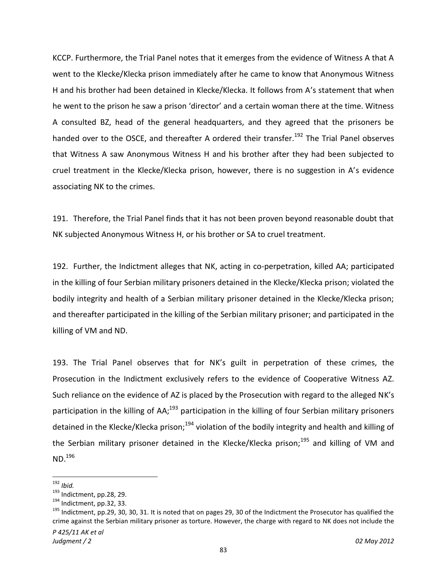KCCP. Furthermore, the Trial Panel notes that it emerges from the evidence of Witness A that A went to the Klecke/Klecka prison immediately after he came to know that Anonymous Witness H and his brother had been detained in Klecke/Klecka. It follows from A's statement that when he went to the prison he saw a prison 'director' and a certain woman there at the time. Witness A consulted BZ, head of the general headquarters, and they agreed that the prisoners be handed over to the OSCE, and thereafter A ordered their transfer.<sup>192</sup> The Trial Panel observes that Witness A saw Anonymous Witness H and his brother after they had been subjected to cruel treatment in the Klecke/Klecka prison, however, there is no suggestion in A's evidence associating NK to the crimes.

191. Therefore, the Trial Panel finds that it has not been proven beyond reasonable doubt that NK subjected Anonymous Witness H, or his brother or SA to cruel treatment.

192. Further, the Indictment alleges that NK, acting in co-perpetration, killed AA; participated in the killing of four Serbian military prisoners detained in the Klecke/Klecka prison; violated the bodily integrity and health of a Serbian military prisoner detained in the Klecke/Klecka prison; and thereafter participated in the killing of the Serbian military prisoner; and participated in the killing of VM and ND.

193. The Trial Panel observes that for NK's guilt in perpetration of these crimes, the Prosecution in the Indictment exclusively refers to the evidence of Cooperative Witness AZ. Such reliance on the evidence of AZ is placed by the Prosecution with regard to the alleged NK's participation in the killing of AA;<sup>193</sup> participation in the killing of four Serbian military prisoners detained in the Klecke/Klecka prison;<sup>194</sup> violation of the bodily integrity and health and killing of the Serbian military prisoner detained in the Klecke/Klecka prison; $195$  and killing of VM and ND. 196

<sup>192</sup> *Ibid.*

<sup>193</sup> Indictment, pp.28, 29.

<sup>194</sup> Indictment, pp.32, 33.

<sup>&</sup>lt;sup>195</sup> Indictment, pp.29, 30, 30, 31. It is noted that on pages 29, 30 of the Indictment the Prosecutor has qualified the crime against the Serbian military prisoner as torture. However, the charge with regard to NK does not include the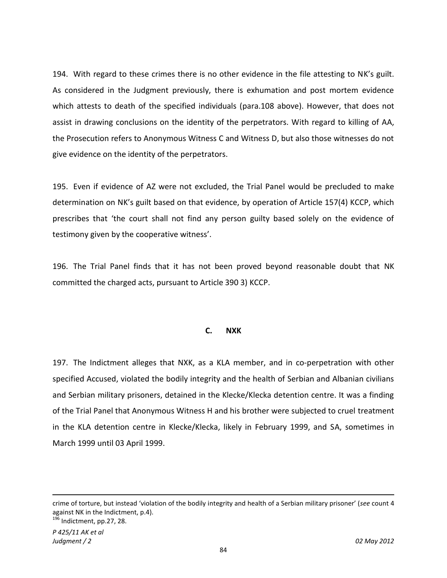194. With regard to these crimes there is no other evidence in the file attesting to NK's guilt. As considered in the Judgment previously, there is exhumation and post mortem evidence which attests to death of the specified individuals (para.108 above). However, that does not assist in drawing conclusions on the identity of the perpetrators. With regard to killing of AA, the Prosecution refers to Anonymous Witness C and Witness D, but also those witnesses do not give evidence on the identity of the perpetrators.

195. Even if evidence of AZ were not excluded, the Trial Panel would be precluded to make determination on NK's guilt based on that evidence, by operation of Article 157(4) KCCP, which prescribes that 'the court shall not find any person guilty based solely on the evidence of testimony given by the cooperative witness'.

196. The Trial Panel finds that it has not been proved beyond reasonable doubt that NK committed the charged acts, pursuant to Article 390 3) KCCP.

# **C. NXK**

197. The Indictment alleges that NXK, as a KLA member, and in co-perpetration with other specified Accused, violated the bodily integrity and the health of Serbian and Albanian civilians and Serbian military prisoners, detained in the Klecke/Klecka detention centre. It was a finding of the Trial Panel that Anonymous Witness H and his brother were subjected to cruel treatment in the KLA detention centre in Klecke/Klecka, likely in February 1999, and SA, sometimes in March 1999 until 03 April 1999.

 $196$  Indictment, pp.27, 28.

crime of torture, but instead 'violation of the bodily integrity and health of a Serbian military prisoner' (*see* count 4 against NK in the Indictment, p.4).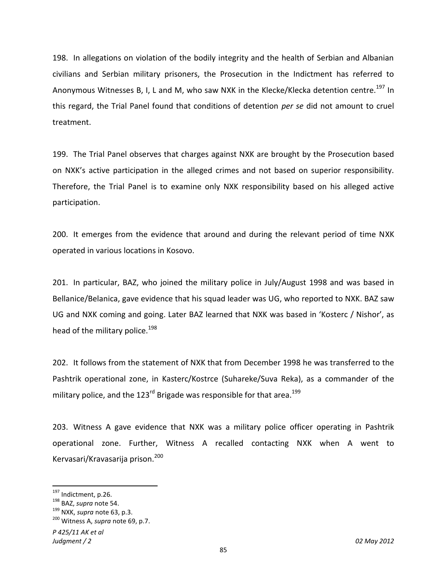198. In allegations on violation of the bodily integrity and the health of Serbian and Albanian civilians and Serbian military prisoners, the Prosecution in the Indictment has referred to Anonymous Witnesses B, I, L and M, who saw NXK in the Klecke/Klecka detention centre.<sup>197</sup> In this regard, the Trial Panel found that conditions of detention *per se* did not amount to cruel treatment.

199. The Trial Panel observes that charges against NXK are brought by the Prosecution based on NXK's active participation in the alleged crimes and not based on superior responsibility. Therefore, the Trial Panel is to examine only NXK responsibility based on his alleged active participation.

200. It emerges from the evidence that around and during the relevant period of time NXK operated in various locations in Kosovo.

201. In particular, BAZ, who joined the military police in July/August 1998 and was based in Bellanice/Belanica, gave evidence that his squad leader was UG, who reported to NXK. BAZ saw UG and NXK coming and going. Later BAZ learned that NXK was based in 'Kosterc / Nishor', as head of the military police.<sup>198</sup>

202. It follows from the statement of NXK that from December 1998 he was transferred to the Pashtrik operational zone, in Kasterc/Kostrce (Suhareke/Suva Reka), as a commander of the military police, and the 123<sup>rd</sup> Brigade was responsible for that area.<sup>199</sup>

203. Witness A gave evidence that NXK was a military police officer operating in Pashtrik operational zone. Further, Witness A recalled contacting NXK when A went to Kervasari/Kravasarija prison.<sup>200</sup>

<sup>&</sup>lt;sup>197</sup> Indictment, p.26.

<sup>198</sup> BAZ, *supra* note 54.

<sup>199</sup> NXK, *supra* note 63, p.3.

<sup>200</sup> Witness A, *supra* note 69, p.7.

*P 425/11 AK et al*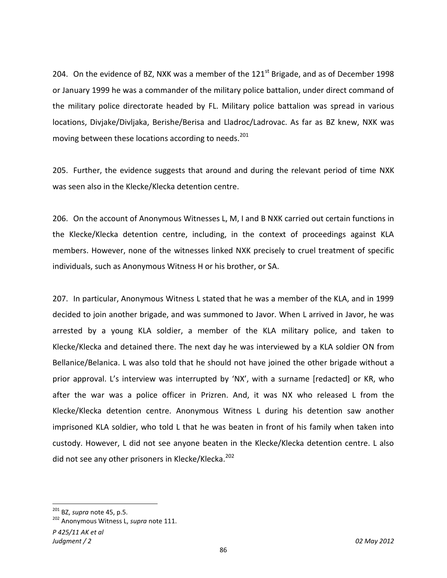204. On the evidence of BZ, NXK was a member of the  $121<sup>st</sup>$  Brigade, and as of December 1998 or January 1999 he was a commander of the military police battalion, under direct command of the military police directorate headed by FL. Military police battalion was spread in various locations, Divjake/Divljaka, Berishe/Berisa and Lladroc/Ladrovac. As far as BZ knew, NXK was moving between these locations according to needs.<sup>201</sup>

205. Further, the evidence suggests that around and during the relevant period of time NXK was seen also in the Klecke/Klecka detention centre.

206. On the account of Anonymous Witnesses L, M, I and B NXK carried out certain functions in the Klecke/Klecka detention centre, including, in the context of proceedings against KLA members. However, none of the witnesses linked NXK precisely to cruel treatment of specific individuals, such as Anonymous Witness H or his brother, or SA.

207. In particular, Anonymous Witness L stated that he was a member of the KLA, and in 1999 decided to join another brigade, and was summoned to Javor. When L arrived in Javor, he was arrested by a young KLA soldier, a member of the KLA military police, and taken to Klecke/Klecka and detained there. The next day he was interviewed by a KLA soldier ON from Bellanice/Belanica. L was also told that he should not have joined the other brigade without a prior approval. L's interview was interrupted by 'NX', with a surname [redacted] or KR, who after the war was a police officer in Prizren. And, it was NX who released L from the Klecke/Klecka detention centre. Anonymous Witness L during his detention saw another imprisoned KLA soldier, who told L that he was beaten in front of his family when taken into custody. However, L did not see anyone beaten in the Klecke/Klecka detention centre. L also did not see any other prisoners in Klecke/Klecka.<sup>202</sup>

<sup>201</sup> BZ, *supra* note 45, p.5.

<sup>202</sup> Anonymous Witness L, *supra* note 111.

*P 425/11 AK et al*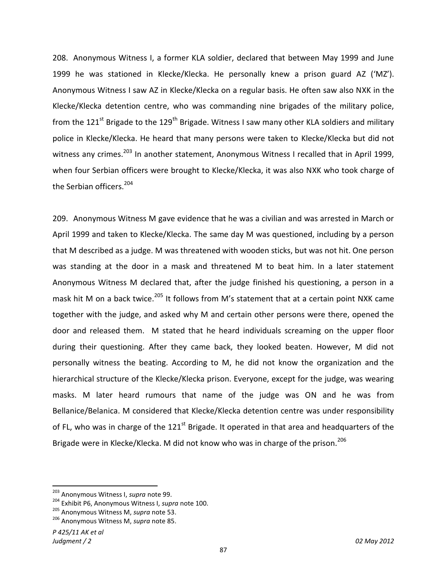208. Anonymous Witness I, a former KLA soldier, declared that between May 1999 and June 1999 he was stationed in Klecke/Klecka. He personally knew a prison guard AZ ('MZ'). Anonymous Witness I saw AZ in Klecke/Klecka on a regular basis. He often saw also NXK in the Klecke/Klecka detention centre, who was commanding nine brigades of the military police, from the 121<sup>st</sup> Brigade to the 129<sup>th</sup> Brigade. Witness I saw many other KLA soldiers and military police in Klecke/Klecka. He heard that many persons were taken to Klecke/Klecka but did not witness any crimes.<sup>203</sup> In another statement, Anonymous Witness I recalled that in April 1999, when four Serbian officers were brought to Klecke/Klecka, it was also NXK who took charge of the Serbian officers.<sup>204</sup>

209. Anonymous Witness M gave evidence that he was a civilian and was arrested in March or April 1999 and taken to Klecke/Klecka. The same day M was questioned, including by a person that M described as a judge. M was threatened with wooden sticks, but was not hit. One person was standing at the door in a mask and threatened M to beat him. In a later statement Anonymous Witness M declared that, after the judge finished his questioning, a person in a mask hit M on a back twice.<sup>205</sup> It follows from M's statement that at a certain point NXK came together with the judge, and asked why M and certain other persons were there, opened the door and released them. M stated that he heard individuals screaming on the upper floor during their questioning. After they came back, they looked beaten. However, M did not personally witness the beating. According to M, he did not know the organization and the hierarchical structure of the Klecke/Klecka prison. Everyone, except for the judge, was wearing masks. M later heard rumours that name of the judge was ON and he was from Bellanice/Belanica. M considered that Klecke/Klecka detention centre was under responsibility of FL, who was in charge of the  $121<sup>st</sup>$  Brigade. It operated in that area and headquarters of the Brigade were in Klecke/Klecka. M did not know who was in charge of the prison.<sup>206</sup>

<sup>203</sup> Anonymous Witness I, *supra* note 99.

<sup>204</sup> Exhibit P6, Anonymous Witness I, *supra* note 100.

<sup>205</sup> Anonymous Witness M, *supra* note 53.

<sup>206</sup> Anonymous Witness M, *supra* note 85.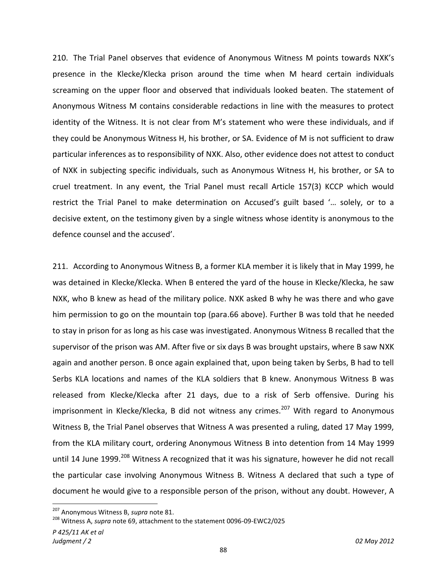210. The Trial Panel observes that evidence of Anonymous Witness M points towards NXK's presence in the Klecke/Klecka prison around the time when M heard certain individuals screaming on the upper floor and observed that individuals looked beaten. The statement of Anonymous Witness M contains considerable redactions in line with the measures to protect identity of the Witness. It is not clear from M's statement who were these individuals, and if they could be Anonymous Witness H, his brother, or SA. Evidence of M is not sufficient to draw particular inferences as to responsibility of NXK. Also, other evidence does not attest to conduct of NXK in subjecting specific individuals, such as Anonymous Witness H, his brother, or SA to cruel treatment. In any event, the Trial Panel must recall Article 157(3) KCCP which would restrict the Trial Panel to make determination on Accused's guilt based '… solely, or to a decisive extent, on the testimony given by a single witness whose identity is anonymous to the defence counsel and the accused'.

211. According to Anonymous Witness B, a former KLA member it is likely that in May 1999, he was detained in Klecke/Klecka. When B entered the yard of the house in Klecke/Klecka, he saw NXK, who B knew as head of the military police. NXK asked B why he was there and who gave him permission to go on the mountain top (para.66 above). Further B was told that he needed to stay in prison for as long as his case was investigated. Anonymous Witness B recalled that the supervisor of the prison was AM. After five or six days B was brought upstairs, where B saw NXK again and another person. B once again explained that, upon being taken by Serbs, B had to tell Serbs KLA locations and names of the KLA soldiers that B knew. Anonymous Witness B was released from Klecke/Klecka after 21 days, due to a risk of Serb offensive. During his imprisonment in Klecke/Klecka, B did not witness any crimes.<sup>207</sup> With regard to Anonymous Witness B, the Trial Panel observes that Witness A was presented a ruling, dated 17 May 1999, from the KLA military court, ordering Anonymous Witness B into detention from 14 May 1999 until 14 June 1999.<sup>208</sup> Witness A recognized that it was his signature, however he did not recall the particular case involving Anonymous Witness B. Witness A declared that such a type of document he would give to a responsible person of the prison, without any doubt. However, A

<sup>207</sup> Anonymous Witness B, *supra* note 81.

<sup>208</sup> Witness A, *supra* note 69, attachment to the statement 0096-09-EWC2/025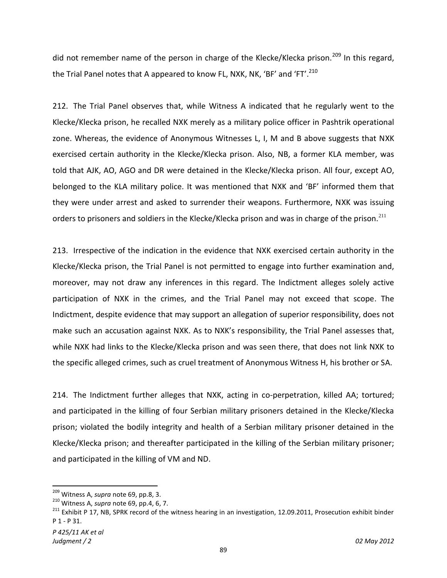did not remember name of the person in charge of the Klecke/Klecka prison.<sup>209</sup> In this regard, the Trial Panel notes that A appeared to know FL, NXK, NK, 'BF' and 'FT'.<sup>210</sup>

212. The Trial Panel observes that, while Witness A indicated that he regularly went to the Klecke/Klecka prison, he recalled NXK merely as a military police officer in Pashtrik operational zone. Whereas, the evidence of Anonymous Witnesses L, I, M and B above suggests that NXK exercised certain authority in the Klecke/Klecka prison. Also, NB, a former KLA member, was told that AJK, AO, AGO and DR were detained in the Klecke/Klecka prison. All four, except AO, belonged to the KLA military police. It was mentioned that NXK and 'BF' informed them that they were under arrest and asked to surrender their weapons. Furthermore, NXK was issuing orders to prisoners and soldiers in the Klecke/Klecka prison and was in charge of the prison.<sup>211</sup>

213. Irrespective of the indication in the evidence that NXK exercised certain authority in the Klecke/Klecka prison, the Trial Panel is not permitted to engage into further examination and, moreover, may not draw any inferences in this regard. The Indictment alleges solely active participation of NXK in the crimes, and the Trial Panel may not exceed that scope. The Indictment, despite evidence that may support an allegation of superior responsibility, does not make such an accusation against NXK. As to NXK's responsibility, the Trial Panel assesses that, while NXK had links to the Klecke/Klecka prison and was seen there, that does not link NXK to the specific alleged crimes, such as cruel treatment of Anonymous Witness H, his brother or SA.

214. The Indictment further alleges that NXK, acting in co-perpetration, killed AA; tortured; and participated in the killing of four Serbian military prisoners detained in the Klecke/Klecka prison; violated the bodily integrity and health of a Serbian military prisoner detained in the Klecke/Klecka prison; and thereafter participated in the killing of the Serbian military prisoner; and participated in the killing of VM and ND.

<sup>209</sup> Witness A, *supra* note 69, pp.8, 3.

<sup>210</sup> Witness A, *supra* note 69, pp.4, 6, 7.

<sup>&</sup>lt;sup>211</sup> Exhibit P 17, NB, SPRK record of the witness hearing in an investigation, 12.09.2011, Prosecution exhibit binder P 1 - P 31.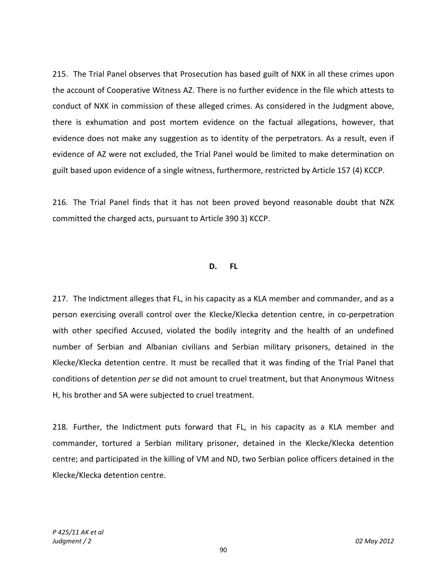215. The Trial Panel observes that Prosecution has based guilt of NXK in all these crimes upon the account of Cooperative Witness AZ. There is no further evidence in the file which attests to conduct of NXK in commission of these alleged crimes. As considered in the Judgment above, there is exhumation and post mortem evidence on the factual allegations, however, that evidence does not make any suggestion as to identity of the perpetrators. As a result, even if evidence of AZ were not excluded, the Trial Panel would be limited to make determination on guilt based upon evidence of a single witness, furthermore, restricted by Article 157 (4) KCCP.

216. The Trial Panel finds that it has not been proved beyond reasonable doubt that NZK committed the charged acts, pursuant to Article 390 3) KCCP.

#### **D. FL**

217. The Indictment alleges that FL, in his capacity as a KLA member and commander, and as a person exercising overall control over the Klecke/Klecka detention centre, in co-perpetration with other specified Accused, violated the bodily integrity and the health of an undefined number of Serbian and Albanian civilians and Serbian military prisoners, detained in the Klecke/Klecka detention centre. It must be recalled that it was finding of the Trial Panel that conditions of detention *per se* did not amount to cruel treatment, but that Anonymous Witness H, his brother and SA were subjected to cruel treatment.

218. Further, the Indictment puts forward that FL, in his capacity as a KLA member and commander, tortured a Serbian military prisoner, detained in the Klecke/Klecka detention centre; and participated in the killing of VM and ND, two Serbian police officers detained in the Klecke/Klecka detention centre.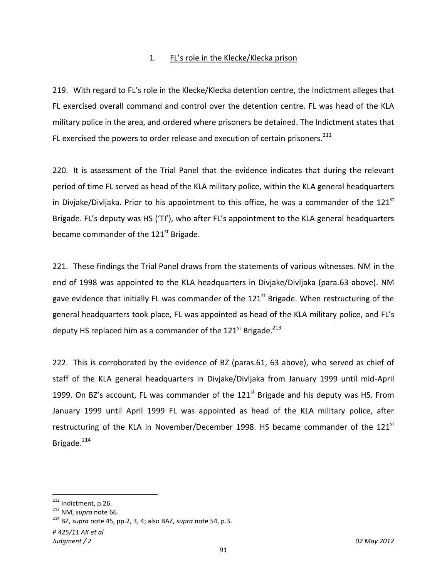## 1. FL's role in the Klecke/Klecka prison

219. With regard to FL's role in the Klecke/Klecka detention centre, the Indictment alleges that FL exercised overall command and control over the detention centre. FL was head of the KLA military police in the area, and ordered where prisoners be detained. The Indictment states that FL exercised the powers to order release and execution of certain prisoners.<sup>212</sup>

220. It is assessment of the Trial Panel that the evidence indicates that during the relevant period of time FL served as head of the KLA military police, within the KLA general headquarters in Divjake/Divljaka. Prior to his appointment to this office, he was a commander of the  $121<sup>st</sup>$ Brigade. FL's deputy was HS ('TI'), who after FL's appointment to the KLA general headquarters became commander of the 121<sup>st</sup> Brigade.

221. These findings the Trial Panel draws from the statements of various witnesses. NM in the end of 1998 was appointed to the KLA headquarters in Divjake/Divljaka (para.63 above). NM gave evidence that initially FL was commander of the 121<sup>st</sup> Brigade. When restructuring of the general headquarters took place, FL was appointed as head of the KLA military police, and FL's deputy HS replaced him as a commander of the  $121<sup>st</sup>$  Brigade.<sup>213</sup>

222. This is corroborated by the evidence of BZ (paras.61, 63 above), who served as chief of staff of the KLA general headquarters in Divjake/Divljaka from January 1999 until mid-April 1999. On BZ's account, FL was commander of the  $121<sup>st</sup>$  Brigade and his deputy was HS. From January 1999 until April 1999 FL was appointed as head of the KLA military police, after restructuring of the KLA in November/December 1998. HS became commander of the 121<sup>st</sup> Brigade. $^{214}$ 

<sup>&</sup>lt;sup>212</sup> Indictment, p.26.

<sup>213</sup> NM, *supra* note 66.

<sup>214</sup> BZ, *supra* note 45, pp.2, 3, 4; also BAZ, *supra* note 54, p.3.

*P 425/11 AK et al*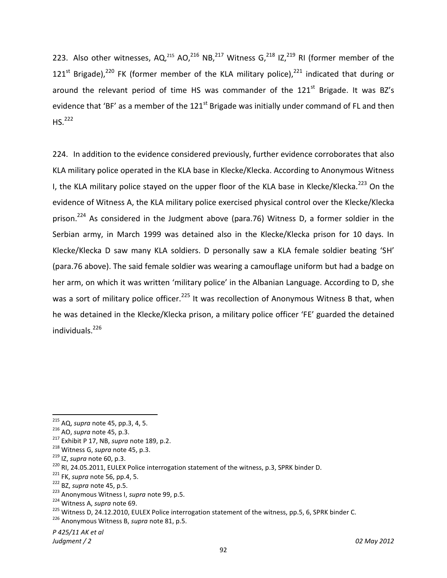223. Also other witnesses, AQ,<sup>215</sup> AO,<sup>216</sup> NB,<sup>217</sup> Witness G,<sup>218</sup> IZ,<sup>219</sup> RI (former member of the 121<sup>st</sup> Brigade),<sup>220</sup> FK (former member of the KLA military police),<sup>221</sup> indicated that during or around the relevant period of time HS was commander of the  $121<sup>st</sup>$  Brigade. It was BZ's evidence that 'BF' as a member of the  $121<sup>st</sup>$  Brigade was initially under command of FL and then  $HS.<sup>222</sup>$ 

224. In addition to the evidence considered previously, further evidence corroborates that also KLA military police operated in the KLA base in Klecke/Klecka. According to Anonymous Witness I, the KLA military police stayed on the upper floor of the KLA base in Klecke/Klecka.<sup>223</sup> On the evidence of Witness A, the KLA military police exercised physical control over the Klecke/Klecka prison.<sup>224</sup> As considered in the Judgment above (para.76) Witness D, a former soldier in the Serbian army, in March 1999 was detained also in the Klecke/Klecka prison for 10 days. In Klecke/Klecka D saw many KLA soldiers. D personally saw a KLA female soldier beating 'SH' (para.76 above). The said female soldier was wearing a camouflage uniform but had a badge on her arm, on which it was written 'military police' in the Albanian Language. According to D, she was a sort of military police officer.<sup>225</sup> It was recollection of Anonymous Witness B that, when he was detained in the Klecke/Klecka prison, a military police officer 'FE' guarded the detained individuals. $226$ 

 $\overline{\phantom{a}}$ 

*P 425/11 AK et al Judgment / 2 02 May 2012*

<sup>215</sup> AQ, *supra* note 45, pp.3, 4, 5.

<sup>216</sup> AO, *supra* note 45, p.3.

<sup>217</sup> Exhibit P 17, NB, *supra* note 189, p.2.

<sup>218</sup> Witness G, *supra* note 45, p.3.

<sup>219</sup> IZ, *supra* note 60, p.3.

 $^{220}$  RI, 24.05.2011, EULEX Police interrogation statement of the witness, p.3, SPRK binder D.

<sup>221</sup> FK, *supra* note 56, pp.4, 5.

<sup>222</sup> BZ, *supra* note 45, p.5.

<sup>223</sup> Anonymous Witness I, *supra* note 99, p.5.

<sup>224</sup> Witness A, *supra* note 69.

 $^{225}$  Witness D, 24.12.2010, EULEX Police interrogation statement of the witness, pp.5, 6, SPRK binder C.

<sup>226</sup> Anonymous Witness B, *supra* note 81, p.5.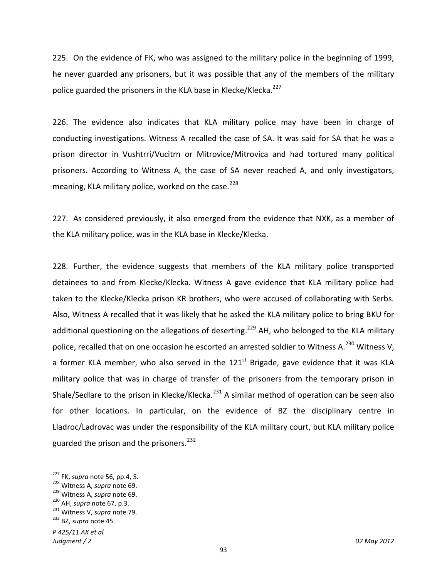225. On the evidence of FK, who was assigned to the military police in the beginning of 1999, he never guarded any prisoners, but it was possible that any of the members of the military police guarded the prisoners in the KLA base in Klecke/Klecka.<sup>227</sup>

226. The evidence also indicates that KLA military police may have been in charge of conducting investigations. Witness A recalled the case of SA. It was said for SA that he was a prison director in Vushtrri/Vucitrn or Mitrovice/Mitrovica and had tortured many political prisoners. According to Witness A, the case of SA never reached A, and only investigators, meaning, KLA military police, worked on the case. $228$ 

227. As considered previously, it also emerged from the evidence that NXK, as a member of the KLA military police, was in the KLA base in Klecke/Klecka.

228. Further, the evidence suggests that members of the KLA military police transported detainees to and from Klecke/Klecka. Witness A gave evidence that KLA military police had taken to the Klecke/Klecka prison KR brothers, who were accused of collaborating with Serbs. Also, Witness A recalled that it was likely that he asked the KLA military police to bring BKU for additional questioning on the allegations of deserting.<sup>229</sup> AH, who belonged to the KLA military police, recalled that on one occasion he escorted an arrested soldier to Witness A.<sup>230</sup> Witness V, a former KLA member, who also served in the  $121<sup>st</sup>$  Brigade, gave evidence that it was KLA military police that was in charge of transfer of the prisoners from the temporary prison in Shale/Sedlare to the prison in Klecke/Klecka.<sup>231</sup> A similar method of operation can be seen also for other locations. In particular, on the evidence of BZ the disciplinary centre in Lladroc/Ladrovac was under the responsibility of the KLA military court, but KLA military police guarded the prison and the prisoners.<sup>232</sup>

<sup>227</sup> FK, *supra* note 56, pp.4, 5.

<sup>228</sup> Witness A, *supra* note 69.

<sup>229</sup> Witness A, *supra* note 69.

<sup>230</sup> AH, *supra* note 67, p.3.

<sup>231</sup> Witness V, *supra* note 79.

<sup>232</sup> BZ, *supra* note 45.

*P 425/11 AK et al Judgment / 2 02 May 2012*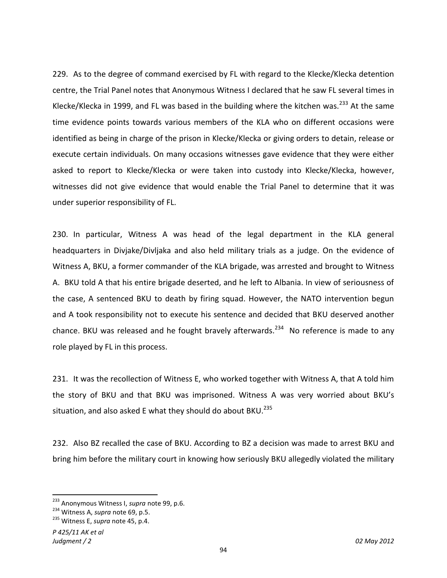229. As to the degree of command exercised by FL with regard to the Klecke/Klecka detention centre, the Trial Panel notes that Anonymous Witness I declared that he saw FL several times in Klecke/Klecka in 1999, and FL was based in the building where the kitchen was.<sup>233</sup> At the same time evidence points towards various members of the KLA who on different occasions were identified as being in charge of the prison in Klecke/Klecka or giving orders to detain, release or execute certain individuals. On many occasions witnesses gave evidence that they were either asked to report to Klecke/Klecka or were taken into custody into Klecke/Klecka, however, witnesses did not give evidence that would enable the Trial Panel to determine that it was under superior responsibility of FL.

230. In particular, Witness A was head of the legal department in the KLA general headquarters in Divjake/Divljaka and also held military trials as a judge. On the evidence of Witness A, BKU, a former commander of the KLA brigade, was arrested and brought to Witness A. BKU told A that his entire brigade deserted, and he left to Albania. In view of seriousness of the case, A sentenced BKU to death by firing squad. However, the NATO intervention begun and A took responsibility not to execute his sentence and decided that BKU deserved another chance. BKU was released and he fought bravely afterwards.<sup>234</sup> No reference is made to any role played by FL in this process.

231. It was the recollection of Witness E, who worked together with Witness A, that A told him the story of BKU and that BKU was imprisoned. Witness A was very worried about BKU's situation, and also asked E what they should do about BKU. $^{235}$ 

232. Also BZ recalled the case of BKU. According to BZ a decision was made to arrest BKU and bring him before the military court in knowing how seriously BKU allegedly violated the military

<sup>233</sup> Anonymous Witness I, *supra* note 99, p.6.

<sup>234</sup> Witness A, *supra* note 69, p.5.

<sup>235</sup> Witness E, *supra* note 45, p.4.

*P 425/11 AK et al Judgment / 2 02 May 2012*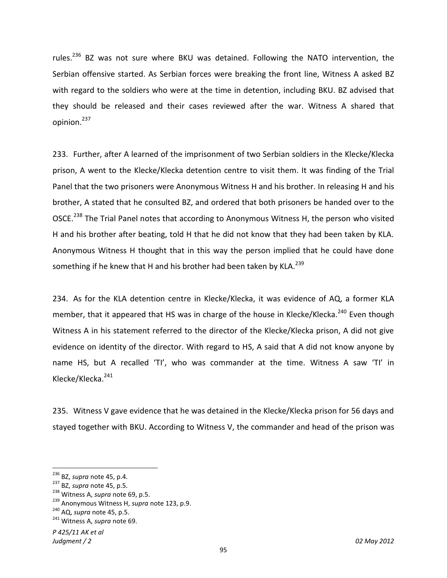rules.<sup>236</sup> BZ was not sure where BKU was detained. Following the NATO intervention, the Serbian offensive started. As Serbian forces were breaking the front line, Witness A asked BZ with regard to the soldiers who were at the time in detention, including BKU. BZ advised that they should be released and their cases reviewed after the war. Witness A shared that opinion. 237

233. Further, after A learned of the imprisonment of two Serbian soldiers in the Klecke/Klecka prison, A went to the Klecke/Klecka detention centre to visit them. It was finding of the Trial Panel that the two prisoners were Anonymous Witness H and his brother. In releasing H and his brother, A stated that he consulted BZ, and ordered that both prisoners be handed over to the OSCE.<sup>238</sup> The Trial Panel notes that according to Anonymous Witness H, the person who visited H and his brother after beating, told H that he did not know that they had been taken by KLA. Anonymous Witness H thought that in this way the person implied that he could have done something if he knew that H and his brother had been taken by KLA.<sup>239</sup>

234. As for the KLA detention centre in Klecke/Klecka, it was evidence of AQ, a former KLA member, that it appeared that HS was in charge of the house in Klecke/Klecka.<sup>240</sup> Even though Witness A in his statement referred to the director of the Klecke/Klecka prison, A did not give evidence on identity of the director. With regard to HS, A said that A did not know anyone by name HS, but A recalled 'TI', who was commander at the time. Witness A saw 'TI' in Klecke/Klecka.<sup>241</sup>

235. Witness V gave evidence that he was detained in the Klecke/Klecka prison for 56 days and stayed together with BKU. According to Witness V, the commander and head of the prison was

<sup>236</sup> BZ, *supra* note 45, p.4.

<sup>237</sup> BZ, *supra* note 45, p.5.

<sup>238</sup> Witness A, *supra* note 69, p.5.

<sup>239</sup> Anonymous Witness H, *supra* note 123, p.9.

<sup>240</sup> AQ, *supra* note 45, p.5.

<sup>241</sup> Witness A, *supra* note 69.

*P 425/11 AK et al Judgment / 2 02 May 2012*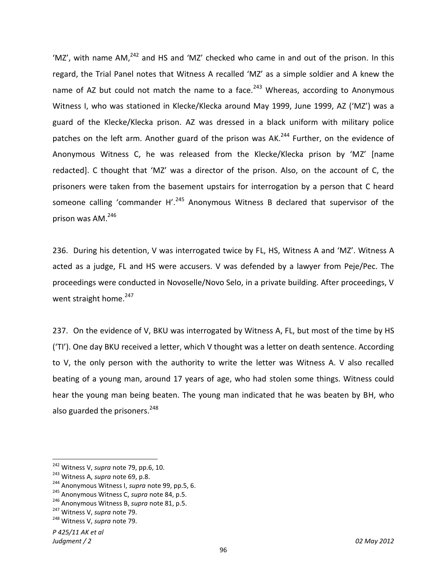'MZ', with name  $AM$ , $^{242}$  and HS and 'MZ' checked who came in and out of the prison. In this regard, the Trial Panel notes that Witness A recalled 'MZ' as a simple soldier and A knew the name of AZ but could not match the name to a face.<sup>243</sup> Whereas, according to Anonymous Witness I, who was stationed in Klecke/Klecka around May 1999, June 1999, AZ ('MZ') was a guard of the Klecke/Klecka prison. AZ was dressed in a black uniform with military police patches on the left arm. Another guard of the prison was AK.<sup>244</sup> Further, on the evidence of Anonymous Witness C, he was released from the Klecke/Klecka prison by 'MZ' [name redacted]. C thought that 'MZ' was a director of the prison. Also, on the account of C, the prisoners were taken from the basement upstairs for interrogation by a person that C heard someone calling 'commander  $H'.^{245}$  Anonymous Witness B declared that supervisor of the prison was AM. 246

236. During his detention, V was interrogated twice by FL, HS, Witness A and 'MZ'. Witness A acted as a judge, FL and HS were accusers. V was defended by a lawyer from Peje/Pec. The proceedings were conducted in Novoselle/Novo Selo, in a private building. After proceedings, V went straight home.<sup>247</sup>

237. On the evidence of V, BKU was interrogated by Witness A, FL, but most of the time by HS ('TI'). One day BKU received a letter, which V thought was a letter on death sentence. According to V, the only person with the authority to write the letter was Witness A. V also recalled beating of a young man, around 17 years of age, who had stolen some things. Witness could hear the young man being beaten. The young man indicated that he was beaten by BH, who also guarded the prisoners.<sup>248</sup>

<sup>242</sup> Witness V, *supra* note 79, pp.6, 10.

<sup>243</sup> Witness A, *supra* note 69, p.8.

<sup>244</sup> Anonymous Witness I, *supra* note 99, pp.5, 6.

<sup>245</sup> Anonymous Witness C, *supra* note 84, p.5.

<sup>246</sup> Anonymous Witness B, *supra* note 81, p.5.

<sup>247</sup> Witness V, *supra* note 79.

<sup>248</sup> Witness V, *supra* note 79.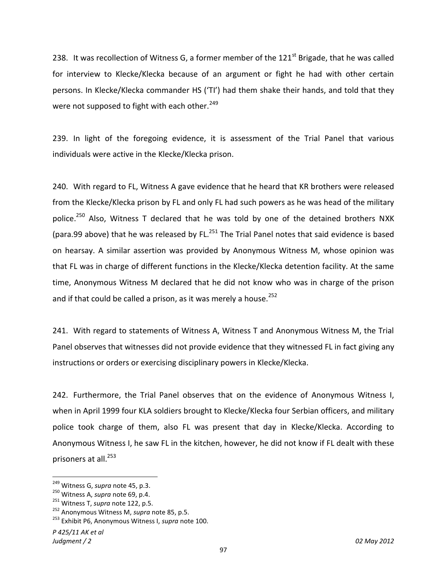238. It was recollection of Witness G, a former member of the  $121<sup>st</sup>$  Brigade, that he was called for interview to Klecke/Klecka because of an argument or fight he had with other certain persons. In Klecke/Klecka commander HS ('TI') had them shake their hands, and told that they were not supposed to fight with each other.<sup>249</sup>

239. In light of the foregoing evidence, it is assessment of the Trial Panel that various individuals were active in the Klecke/Klecka prison.

240. With regard to FL, Witness A gave evidence that he heard that KR brothers were released from the Klecke/Klecka prison by FL and only FL had such powers as he was head of the military police.<sup>250</sup> Also, Witness T declared that he was told by one of the detained brothers NXK (para.99 above) that he was released by FL. $^{251}$  The Trial Panel notes that said evidence is based on hearsay. A similar assertion was provided by Anonymous Witness M, whose opinion was that FL was in charge of different functions in the Klecke/Klecka detention facility. At the same time, Anonymous Witness M declared that he did not know who was in charge of the prison and if that could be called a prison, as it was merely a house.<sup>252</sup>

241. With regard to statements of Witness A, Witness T and Anonymous Witness M, the Trial Panel observes that witnesses did not provide evidence that they witnessed FL in fact giving any instructions or orders or exercising disciplinary powers in Klecke/Klecka.

242. Furthermore, the Trial Panel observes that on the evidence of Anonymous Witness I, when in April 1999 four KLA soldiers brought to Klecke/Klecka four Serbian officers, and military police took charge of them, also FL was present that day in Klecke/Klecka. According to Anonymous Witness I, he saw FL in the kitchen, however, he did not know if FL dealt with these prisoners at all.<sup>253</sup>

<sup>249</sup> Witness G, *supra* note 45, p.3.

<sup>250</sup> Witness A, *supra* note 69, p.4.

<sup>251</sup> Witness T, *supra* note 122, p.5.

<sup>252</sup> Anonymous Witness M, *supra* note 85, p.5.

<sup>253</sup> Exhibit P6, Anonymous Witness I, *supra* note 100.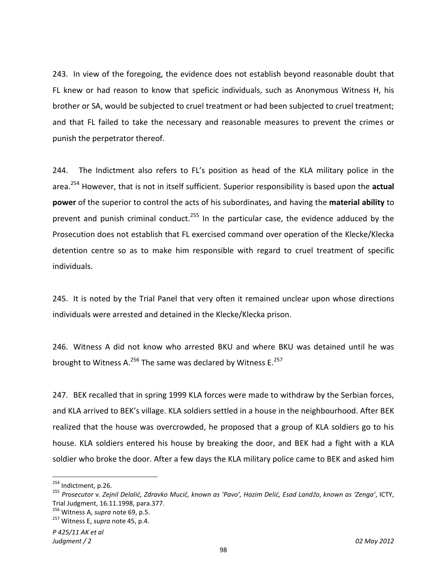243. In view of the foregoing, the evidence does not establish beyond reasonable doubt that FL knew or had reason to know that speficic individuals, such as Anonymous Witness H, his brother or SA, would be subjected to cruel treatment or had been subjected to cruel treatment; and that FL failed to take the necessary and reasonable measures to prevent the crimes or punish the perpetrator thereof.

244. The Indictment also refers to FL's position as head of the KLA military police in the area.<sup>254</sup> However, that is not in itself sufficient. Superior responsibility is based upon the **actual power** of the superior to control the acts of his subordinates, and having the **material ability** to prevent and punish criminal conduct.<sup>255</sup> In the particular case, the evidence adduced by the Prosecution does not establish that FL exercised command over operation of the Klecke/Klecka detention centre so as to make him responsible with regard to cruel treatment of specific individuals.

245. It is noted by the Trial Panel that very often it remained unclear upon whose directions individuals were arrested and detained in the Klecke/Klecka prison.

246. Witness A did not know who arrested BKU and where BKU was detained until he was brought to Witness A. $^{256}$  The same was declared by Witness E. $^{257}$ 

247. BEK recalled that in spring 1999 KLA forces were made to withdraw by the Serbian forces, and KLA arrived to BEK's village. KLA soldiers settled in a house in the neighbourhood. After BEK realized that the house was overcrowded, he proposed that a group of KLA soldiers go to his house. KLA soldiers entered his house by breaking the door, and BEK had a fight with a KLA soldier who broke the door. After a few days the KLA military police came to BEK and asked him

l

<sup>256</sup> Witness A, *supra* note 69, p.5.

 $254$  Indictment, p.26.

<sup>255</sup> *Prosecutor* v. *Zejnil Delalić, Zdravko Mucić, known as 'Pavo', Hazim Delić, Esad LandŽo*, *known as 'Zenga'*, ICTY, Trial Judgment, 16.11.1998, para.377.

<sup>257</sup> Witness E, *supra* note 45, p.4.

*P 425/11 AK et al*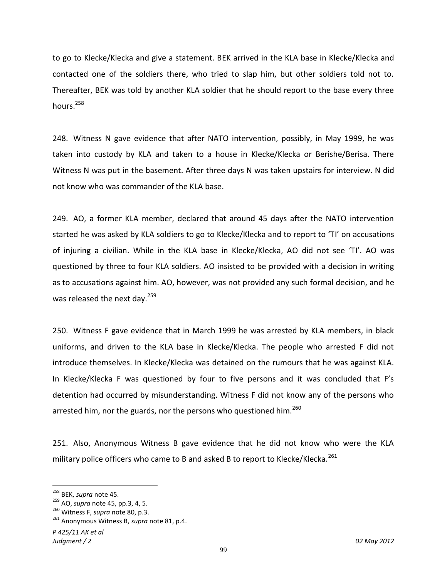to go to Klecke/Klecka and give a statement. BEK arrived in the KLA base in Klecke/Klecka and contacted one of the soldiers there, who tried to slap him, but other soldiers told not to. Thereafter, BEK was told by another KLA soldier that he should report to the base every three hours.<sup>258</sup>

248. Witness N gave evidence that after NATO intervention, possibly, in May 1999, he was taken into custody by KLA and taken to a house in Klecke/Klecka or Berishe/Berisa. There Witness N was put in the basement. After three days N was taken upstairs for interview. N did not know who was commander of the KLA base.

249. AO, a former KLA member, declared that around 45 days after the NATO intervention started he was asked by KLA soldiers to go to Klecke/Klecka and to report to 'TI' on accusations of injuring a civilian. While in the KLA base in Klecke/Klecka, AO did not see 'TI'. AO was questioned by three to four KLA soldiers. AO insisted to be provided with a decision in writing as to accusations against him. AO, however, was not provided any such formal decision, and he was released the next day.<sup>259</sup>

250. Witness F gave evidence that in March 1999 he was arrested by KLA members, in black uniforms, and driven to the KLA base in Klecke/Klecka. The people who arrested F did not introduce themselves. In Klecke/Klecka was detained on the rumours that he was against KLA. In Klecke/Klecka F was questioned by four to five persons and it was concluded that F's detention had occurred by misunderstanding. Witness F did not know any of the persons who arrested him, nor the guards, nor the persons who questioned him.<sup>260</sup>

251. Also, Anonymous Witness B gave evidence that he did not know who were the KLA military police officers who came to B and asked B to report to Klecke/Klecka.<sup>261</sup>

<sup>258</sup> BEK, *supra* note 45.

<sup>259</sup> AO, *supra* note 45, pp.3, 4, 5.

<sup>260</sup> Witness F, *supra* note 80, p.3.

<sup>261</sup> Anonymous Witness B, *supra* note 81, p.4.

*P 425/11 AK et al*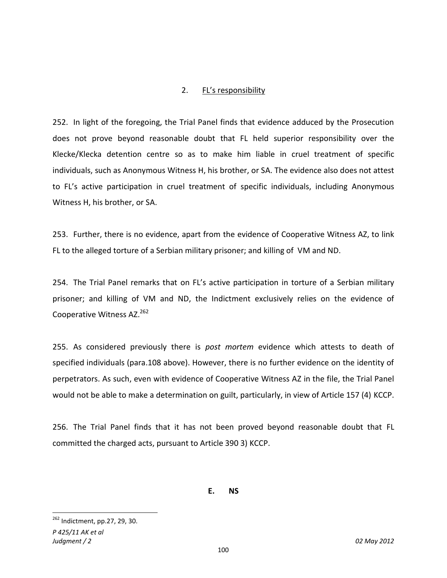## 2. FL's responsibility

252. In light of the foregoing, the Trial Panel finds that evidence adduced by the Prosecution does not prove beyond reasonable doubt that FL held superior responsibility over the Klecke/Klecka detention centre so as to make him liable in cruel treatment of specific individuals, such as Anonymous Witness H, his brother, or SA. The evidence also does not attest to FL's active participation in cruel treatment of specific individuals, including Anonymous Witness H, his brother, or SA.

253. Further, there is no evidence, apart from the evidence of Cooperative Witness AZ, to link FL to the alleged torture of a Serbian military prisoner; and killing of VM and ND.

254. The Trial Panel remarks that on FL's active participation in torture of a Serbian military prisoner; and killing of VM and ND, the Indictment exclusively relies on the evidence of Cooperative Witness AZ.<sup>262</sup>

255. As considered previously there is *post mortem* evidence which attests to death of specified individuals (para.108 above). However, there is no further evidence on the identity of perpetrators. As such, even with evidence of Cooperative Witness AZ in the file, the Trial Panel would not be able to make a determination on guilt, particularly, in view of Article 157 (4) KCCP.

256. The Trial Panel finds that it has not been proved beyond reasonable doubt that FL committed the charged acts, pursuant to Article 390 3) KCCP.

**E. NS**

<sup>262</sup> Indictment, pp.27, 29, 30.

*P 425/11 AK et al Judgment / 2 02 May 2012*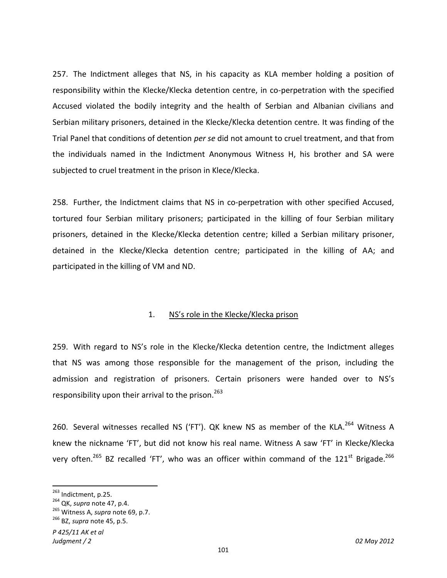257. The Indictment alleges that NS, in his capacity as KLA member holding a position of responsibility within the Klecke/Klecka detention centre, in co-perpetration with the specified Accused violated the bodily integrity and the health of Serbian and Albanian civilians and Serbian military prisoners, detained in the Klecke/Klecka detention centre. It was finding of the Trial Panel that conditions of detention *per se* did not amount to cruel treatment, and that from the individuals named in the Indictment Anonymous Witness H, his brother and SA were subjected to cruel treatment in the prison in Klece/Klecka.

258. Further, the Indictment claims that NS in co-perpetration with other specified Accused, tortured four Serbian military prisoners; participated in the killing of four Serbian military prisoners, detained in the Klecke/Klecka detention centre; killed a Serbian military prisoner, detained in the Klecke/Klecka detention centre; participated in the killing of AA; and participated in the killing of VM and ND.

#### 1. NS's role in the Klecke/Klecka prison

259. With regard to NS's role in the Klecke/Klecka detention centre, the Indictment alleges that NS was among those responsible for the management of the prison, including the admission and registration of prisoners. Certain prisoners were handed over to NS's responsibility upon their arrival to the prison.<sup>263</sup>

260. Several witnesses recalled NS ('FT'). QK knew NS as member of the KLA.<sup>264</sup> Witness A knew the nickname 'FT', but did not know his real name. Witness A saw 'FT' in Klecke/Klecka very often.<sup>265</sup> BZ recalled 'FT', who was an officer within command of the 121<sup>st</sup> Brigade.<sup>266</sup>

<sup>&</sup>lt;sup>263</sup> Indictment, p.25.

<sup>264</sup> QK, *supra* note 47, p.4.

<sup>265</sup> Witness A, *supra* note 69, p.7.

<sup>266</sup> BZ, *supra* note 45, p.5.

*P 425/11 AK et al*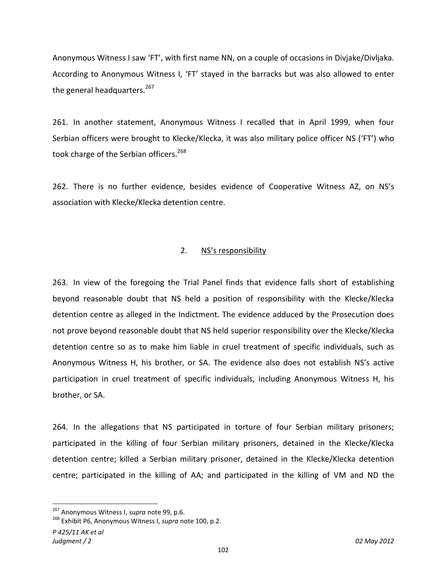Anonymous Witness I saw 'FT', with first name NN, on a couple of occasions in Divjake/Divljaka. According to Anonymous Witness I, 'FT' stayed in the barracks but was also allowed to enter the general headquarters.<sup>267</sup>

261. In another statement, Anonymous Witness I recalled that in April 1999, when four Serbian officers were brought to Klecke/Klecka, it was also military police officer NS ('FT') who took charge of the Serbian officers.<sup>268</sup>

262. There is no further evidence, besides evidence of Cooperative Witness AZ, on NS's association with Klecke/Klecka detention centre.

# 2. NS's responsibility

263. In view of the foregoing the Trial Panel finds that evidence falls short of establishing beyond reasonable doubt that NS held a position of responsibility with the Klecke/Klecka detention centre as alleged in the Indictment. The evidence adduced by the Prosecution does not prove beyond reasonable doubt that NS held superior responsibility over the Klecke/Klecka detention centre so as to make him liable in cruel treatment of specific individuals, such as Anonymous Witness H, his brother, or SA. The evidence also does not establish NS's active participation in cruel treatment of specific individuals, including Anonymous Witness H, his brother, or SA.

264. In the allegations that NS participated in torture of four Serbian military prisoners; participated in the killing of four Serbian military prisoners, detained in the Klecke/Klecka detention centre; killed a Serbian military prisoner, detained in the Klecke/Klecka detention centre; participated in the killing of AA; and participated in the killing of VM and ND the

<sup>267</sup> Anonymous Witness I, *supra* note 99, p.6.

<sup>268</sup> Exhibit P6, Anonymous Witness I, *supra* note 100, p.2.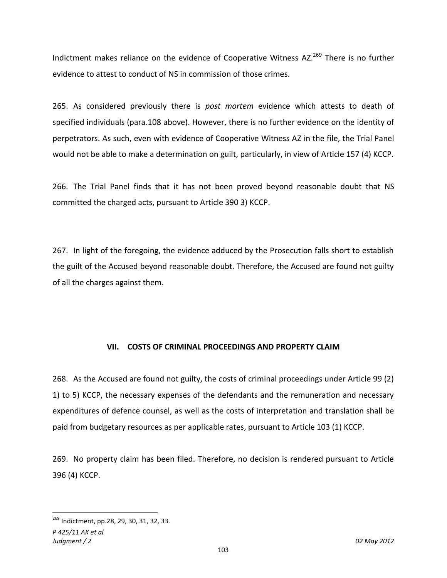Indictment makes reliance on the evidence of Cooperative Witness AZ.<sup>269</sup> There is no further evidence to attest to conduct of NS in commission of those crimes.

265. As considered previously there is *post mortem* evidence which attests to death of specified individuals (para.108 above). However, there is no further evidence on the identity of perpetrators. As such, even with evidence of Cooperative Witness AZ in the file, the Trial Panel would not be able to make a determination on guilt, particularly, in view of Article 157 (4) KCCP.

266. The Trial Panel finds that it has not been proved beyond reasonable doubt that NS committed the charged acts, pursuant to Article 390 3) KCCP.

267. In light of the foregoing, the evidence adduced by the Prosecution falls short to establish the guilt of the Accused beyond reasonable doubt. Therefore, the Accused are found not guilty of all the charges against them.

# **VII. COSTS OF CRIMINAL PROCEEDINGS AND PROPERTY CLAIM**

268. As the Accused are found not guilty, the costs of criminal proceedings under Article 99 (2) 1) to 5) KCCP, the necessary expenses of the defendants and the remuneration and necessary expenditures of defence counsel, as well as the costs of interpretation and translation shall be paid from budgetary resources as per applicable rates, pursuant to Article 103 (1) KCCP.

269. No property claim has been filed. Therefore, no decision is rendered pursuant to Article 396 (4) KCCP.

<sup>&</sup>lt;sup>269</sup> Indictment, pp.28, 29, 30, 31, 32, 33.

*P 425/11 AK et al*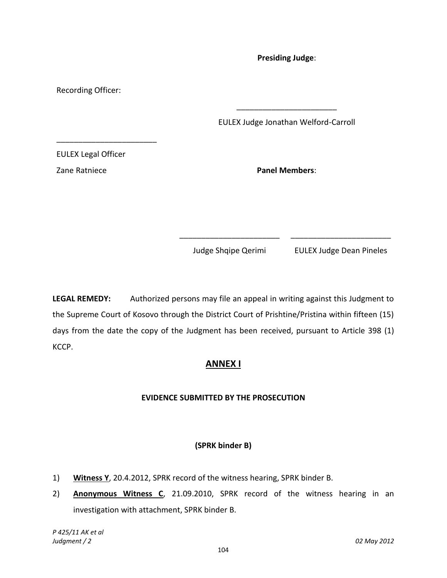**Presiding Judge**:

Recording Officer:

EULEX Judge Jonathan Welford-Carroll

\_\_\_\_\_\_\_\_\_\_\_\_\_\_\_\_\_\_\_\_\_\_\_

EULEX Legal Officer Zane Ratniece

\_\_\_\_\_\_\_\_\_\_\_\_\_\_\_\_\_\_\_\_\_\_\_

**Panel Members**:

\_\_\_\_\_\_\_\_\_\_\_\_\_\_\_\_\_\_\_\_\_\_\_

Judge Shqipe Qerimi EULEX Judge Dean Pineles

**LEGAL REMEDY:** Authorized persons may file an appeal in writing against this Judgment to the Supreme Court of Kosovo through the District Court of Prishtine/Pristina within fifteen (15) days from the date the copy of the Judgment has been received, pursuant to Article 398 (1) KCCP.

\_\_\_\_\_\_\_\_\_\_\_\_\_\_\_\_\_\_\_\_\_\_\_

# **ANNEX I**

# **EVIDENCE SUBMITTED BY THE PROSECUTION**

# **(SPRK binder B)**

- 1) **Witness Y**, 20.4.2012, SPRK record of the witness hearing, SPRK binder B.
- 2) **Anonymous Witness C**, 21.09.2010, SPRK record of the witness hearing in an investigation with attachment, SPRK binder B.

*P 425/11 AK et al Judgment / 2 02 May 2012*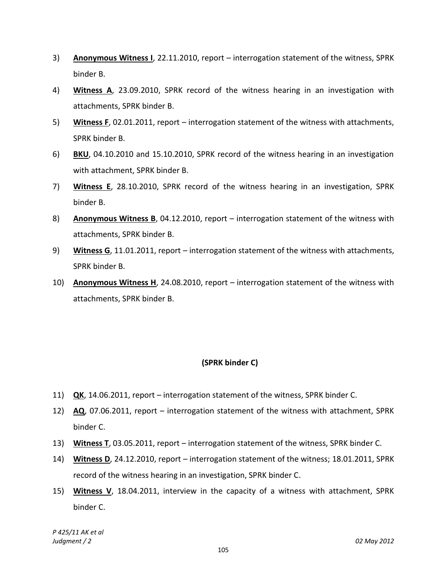- 3) **Anonymous Witness I**, 22.11.2010, report interrogation statement of the witness, SPRK binder B.
- 4) **Witness A**, 23.09.2010, SPRK record of the witness hearing in an investigation with attachments, SPRK binder B.
- 5) **Witness F**, 02.01.2011, report interrogation statement of the witness with attachments, SPRK binder B.
- 6) **BKU**, 04.10.2010 and 15.10.2010, SPRK record of the witness hearing in an investigation with attachment, SPRK binder B.
- 7) **Witness E**, 28.10.2010, SPRK record of the witness hearing in an investigation, SPRK binder B.
- 8) **Anonymous Witness B**, 04.12.2010, report interrogation statement of the witness with attachments, SPRK binder B.
- 9) **Witness G**, 11.01.2011, report interrogation statement of the witness with attachments, SPRK binder B.
- 10) **Anonymous Witness H**, 24.08.2010, report interrogation statement of the witness with attachments, SPRK binder B.

# **(SPRK binder C)**

- 11) **QK**, 14.06.2011, report interrogation statement of the witness, SPRK binder C.
- 12) **AQ**, 07.06.2011, report interrogation statement of the witness with attachment, SPRK binder C.
- 13) **Witness T**, 03.05.2011, report interrogation statement of the witness, SPRK binder C.
- 14) **Witness D**, 24.12.2010, report interrogation statement of the witness; 18.01.2011, SPRK record of the witness hearing in an investigation, SPRK binder C.
- 15) **Witness V**, 18.04.2011, interview in the capacity of a witness with attachment, SPRK binder C.

*P 425/11 AK et al Judgment / 2 02 May 2012*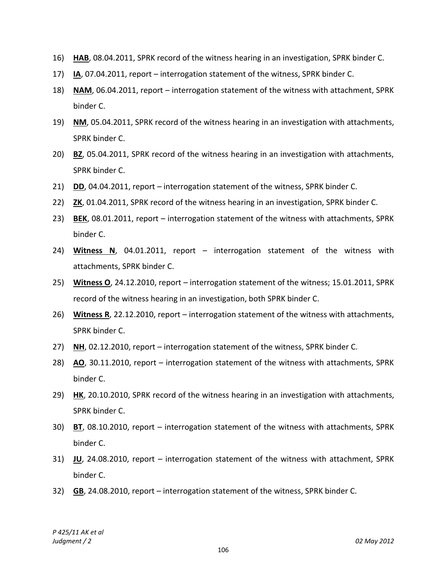- 16) **HAB**, 08.04.2011, SPRK record of the witness hearing in an investigation, SPRK binder C.
- 17) **IA**, 07.04.2011, report interrogation statement of the witness, SPRK binder C.
- 18) **NAM**, 06.04.2011, report interrogation statement of the witness with attachment, SPRK binder C.
- 19) **NM**, 05.04.2011, SPRK record of the witness hearing in an investigation with attachments, SPRK binder C.
- 20) **BZ**, 05.04.2011, SPRK record of the witness hearing in an investigation with attachments, SPRK binder C.
- 21) **DD**, 04.04.2011, report interrogation statement of the witness, SPRK binder C.
- 22) **ZK**, 01.04.2011, SPRK record of the witness hearing in an investigation, SPRK binder C.
- 23) **BEK**, 08.01.2011, report interrogation statement of the witness with attachments, SPRK binder C.
- 24) **Witness N**, 04.01.2011, report interrogation statement of the witness with attachments, SPRK binder C.
- 25) **Witness O**, 24.12.2010, report interrogation statement of the witness; 15.01.2011, SPRK record of the witness hearing in an investigation, both SPRK binder C.
- 26) **Witness R**, 22.12.2010, report interrogation statement of the witness with attachments, SPRK binder C.
- 27) **NH**, 02.12.2010, report interrogation statement of the witness, SPRK binder C.
- 28) **AO**, 30.11.2010, report interrogation statement of the witness with attachments, SPRK binder C.
- 29) **HK**, 20.10.2010, SPRK record of the witness hearing in an investigation with attachments, SPRK binder C.
- 30) **BT**, 08.10.2010, report interrogation statement of the witness with attachments, SPRK binder C.
- 31) **JU**, 24.08.2010, report interrogation statement of the witness with attachment, SPRK binder C.
- 32) **GB**, 24.08.2010, report interrogation statement of the witness, SPRK binder C.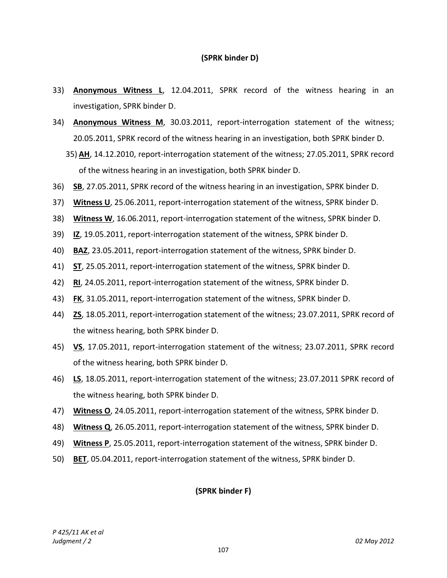#### **(SPRK binder D)**

- 33) **Anonymous Witness L**, 12.04.2011, SPRK record of the witness hearing in an investigation, SPRK binder D.
- 34) **Anonymous Witness M**, 30.03.2011, report-interrogation statement of the witness; 20.05.2011, SPRK record of the witness hearing in an investigation, both SPRK binder D.
	- 35) **AH**, 14.12.2010, report-interrogation statement of the witness; 27.05.2011, SPRK record of the witness hearing in an investigation, both SPRK binder D.
- 36) **SB**, 27.05.2011, SPRK record of the witness hearing in an investigation, SPRK binder D.
- 37) **Witness U**, 25.06.2011, report-interrogation statement of the witness, SPRK binder D.
- 38) **Witness W**, 16.06.2011, report-interrogation statement of the witness, SPRK binder D.
- 39) **IZ**, 19.05.2011, report-interrogation statement of the witness, SPRK binder D.
- 40) **BAZ**, 23.05.2011, report-interrogation statement of the witness, SPRK binder D.
- 41) **ST**, 25.05.2011, report-interrogation statement of the witness, SPRK binder D.
- 42) **RI**, 24.05.2011, report-interrogation statement of the witness, SPRK binder D.
- 43) **FK**, 31.05.2011, report-interrogation statement of the witness, SPRK binder D.
- 44) **ZS**, 18.05.2011, report-interrogation statement of the witness; 23.07.2011, SPRK record of the witness hearing, both SPRK binder D.
- 45) **VS**, 17.05.2011, report-interrogation statement of the witness; 23.07.2011, SPRK record of the witness hearing, both SPRK binder D.
- 46) **LS**, 18.05.2011, report-interrogation statement of the witness; 23.07.2011 SPRK record of the witness hearing, both SPRK binder D.
- 47) **Witness O**, 24.05.2011, report-interrogation statement of the witness, SPRK binder D.
- 48) **Witness Q**, 26.05.2011, report-interrogation statement of the witness, SPRK binder D.
- 49) **Witness P**, 25.05.2011, report-interrogation statement of the witness, SPRK binder D.
- 50) **BET**, 05.04.2011, report-interrogation statement of the witness, SPRK binder D.

# **(SPRK binder F)**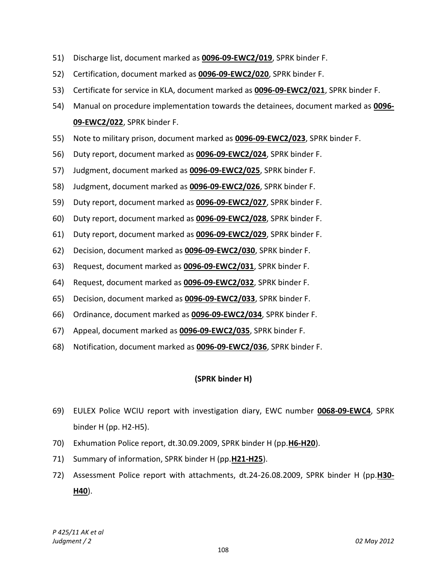- 51) Discharge list, document marked as **0096-09-EWC2/019**, SPRK binder F.
- 52) Certification, document marked as **0096-09-EWC2/020**, SPRK binder F.
- 53) Certificate for service in KLA, document marked as **0096-09-EWC2/021**, SPRK binder F.
- 54) Manual on procedure implementation towards the detainees, document marked as **0096- 09-EWC2/022**, SPRK binder F.
- 55) Note to military prison, document marked as **0096-09-EWC2/023**, SPRK binder F.
- 56) Duty report, document marked as **0096-09-EWC2/024**, SPRK binder F.
- 57) Judgment, document marked as **0096-09-EWC2/025**, SPRK binder F.
- 58) Judgment, document marked as **0096-09-EWC2/026**, SPRK binder F.
- 59) Duty report, document marked as **0096-09-EWC2/027**, SPRK binder F.
- 60) Duty report, document marked as **0096-09-EWC2/028**, SPRK binder F.
- 61) Duty report, document marked as **0096-09-EWC2/029**, SPRK binder F.
- 62) Decision, document marked as **0096-09-EWC2/030**, SPRK binder F.
- 63) Request, document marked as **0096-09-EWC2/031**, SPRK binder F.
- 64) Request, document marked as **0096-09-EWC2/032**, SPRK binder F.
- 65) Decision, document marked as **0096-09-EWC2/033**, SPRK binder F.
- 66) Ordinance, document marked as **0096-09-EWC2/034**, SPRK binder F.
- 67) Appeal, document marked as **0096-09-EWC2/035**, SPRK binder F.
- 68) Notification, document marked as **0096-09-EWC2/036**, SPRK binder F.

#### **(SPRK binder H)**

- 69) EULEX Police WCIU report with investigation diary, EWC number **0068-09-EWC4**, SPRK binder H (pp. H2-H5).
- 70) Exhumation Police report, dt.30.09.2009, SPRK binder H (pp.**H6-H20**).
- 71) Summary of information, SPRK binder H (pp.**H21-H25**).
- 72) Assessment Police report with attachments, dt.24-26.08.2009, SPRK binder H (pp.**H30- H40**).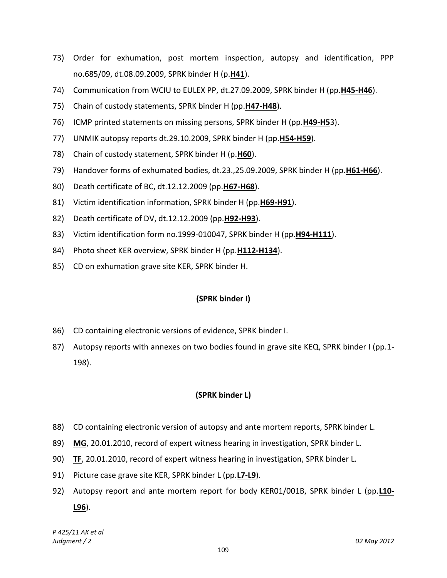- 73) Order for exhumation, post mortem inspection, autopsy and identification, PPP no.685/09, dt.08.09.2009, SPRK binder H (p.**H41**).
- 74) Communication from WCIU to EULEX PP, dt.27.09.2009, SPRK binder H (pp.**H45-H46**).
- 75) Chain of custody statements, SPRK binder H (pp.**H47-H48**).
- 76) ICMP printed statements on missing persons, SPRK binder H (pp.**H49-H5**3).
- 77) UNMIK autopsy reports dt.29.10.2009, SPRK binder H (pp.**H54-H59**).
- 78) Chain of custody statement, SPRK binder H (p.**H60**).
- 79) Handover forms of exhumated bodies, dt.23.,25.09.2009, SPRK binder H (pp.**H61-H66**).
- 80) Death certificate of BC, dt.12.12.2009 (pp.**H67-H68**).
- 81) Victim identification information, SPRK binder H (pp.**H69-H91**).
- 82) Death certificate of DV, dt.12.12.2009 (pp.**H92-H93**).
- 83) Victim identification form no.1999-010047, SPRK binder H (pp.**H94-H111**).
- 84) Photo sheet KER overview, SPRK binder H (pp.**H112-H134**).
- 85) CD on exhumation grave site KER, SPRK binder H.

#### **(SPRK binder I)**

- 86) CD containing electronic versions of evidence, SPRK binder I.
- 87) Autopsy reports with annexes on two bodies found in grave site KEQ, SPRK binder I (pp.1-198).

### **(SPRK binder L)**

- 88) CD containing electronic version of autopsy and ante mortem reports, SPRK binder L.
- 89) **MG**, 20.01.2010, record of expert witness hearing in investigation, SPRK binder L.
- 90) **TF**, 20.01.2010, record of expert witness hearing in investigation, SPRK binder L.
- 91) Picture case grave site KER, SPRK binder L (pp.**L7-L9**).
- 92) Autopsy report and ante mortem report for body KER01/001B, SPRK binder L (pp.**L10- L96**).

*P 425/11 AK et al Judgment / 2 02 May 2012*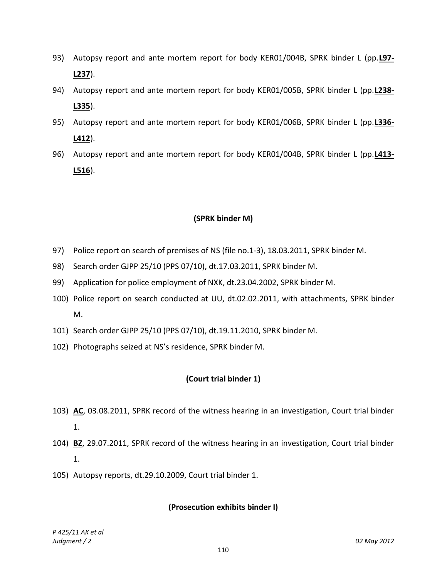- 93) Autopsy report and ante mortem report for body KER01/004B, SPRK binder L (pp.**L97- L237**).
- 94) Autopsy report and ante mortem report for body KER01/005B, SPRK binder L (pp.**L238- L335**).
- 95) Autopsy report and ante mortem report for body KER01/006B, SPRK binder L (pp.**L336- L412**).
- 96) Autopsy report and ante mortem report for body KER01/004B, SPRK binder L (pp.**L413- L516**).

### **(SPRK binder M)**

- 97) Police report on search of premises of NS (file no.1-3), 18.03.2011, SPRK binder M.
- 98) Search order GJPP 25/10 (PPS 07/10), dt.17.03.2011, SPRK binder M.
- 99) Application for police employment of NXK, dt.23.04.2002, SPRK binder M.
- 100) Police report on search conducted at UU, dt.02.02.2011, with attachments, SPRK binder M.
- 101) Search order GJPP 25/10 (PPS 07/10), dt.19.11.2010, SPRK binder M.
- 102) Photographs seized at NS's residence, SPRK binder M.

### **(Court trial binder 1)**

- 103) **AC**, 03.08.2011, SPRK record of the witness hearing in an investigation, Court trial binder 1.
- 104) **BZ**, 29.07.2011, SPRK record of the witness hearing in an investigation, Court trial binder 1.
- 105) Autopsy reports, dt.29.10.2009, Court trial binder 1.

### **(Prosecution exhibits binder I)**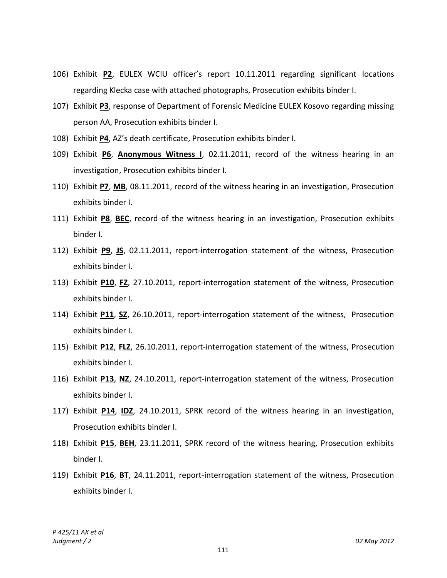- 106) Exhibit **P2**, EULEX WCIU officer's report 10.11.2011 regarding significant locations regarding Klecka case with attached photographs, Prosecution exhibits binder I.
- 107) Exhibit **P3**, response of Department of Forensic Medicine EULEX Kosovo regarding missing person AA, Prosecution exhibits binder I.
- 108) Exhibit **P4**, AZ's death certificate, Prosecution exhibits binder I.
- 109) Exhibit **P6**, **Anonymous Witness I**, 02.11.2011, record of the witness hearing in an investigation, Prosecution exhibits binder I.
- 110) Exhibit **P7**, **MB**, 08.11.2011, record of the witness hearing in an investigation, Prosecution exhibits binder I.
- 111) Exhibit **P8**, **BEC**, record of the witness hearing in an investigation, Prosecution exhibits binder I.
- 112) Exhibit **P9**, **JS**, 02.11.2011, report-interrogation statement of the witness, Prosecution exhibits binder I.
- 113) Exhibit **P10**, **FZ**, 27.10.2011, report-interrogation statement of the witness, Prosecution exhibits binder I.
- 114) Exhibit **P11**, **SZ**, 26.10.2011, report-interrogation statement of the witness, Prosecution exhibits binder I.
- 115) Exhibit **P12**, **FLZ**, 26.10.2011, report-interrogation statement of the witness, Prosecution exhibits binder I.
- 116) Exhibit **P13**, **NZ**, 24.10.2011, report-interrogation statement of the witness, Prosecution exhibits binder I.
- 117) Exhibit **P14**, **IDZ**, 24.10.2011, SPRK record of the witness hearing in an investigation, Prosecution exhibits binder I.
- 118) Exhibit **P15**, **BEH**, 23.11.2011, SPRK record of the witness hearing, Prosecution exhibits binder I.
- 119) Exhibit **P16**, **BT**, 24.11.2011, report-interrogation statement of the witness, Prosecution exhibits binder I.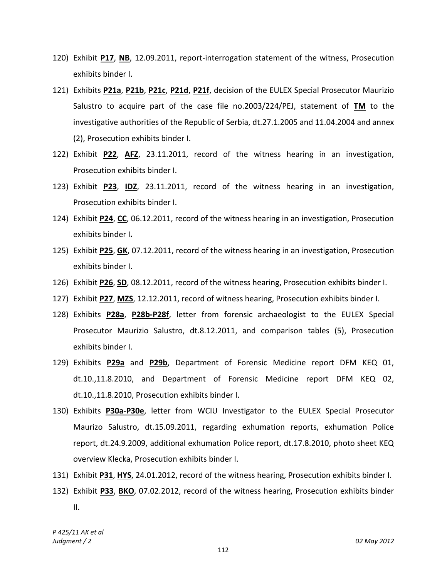- 120) Exhibit **P17**, **NB**, 12.09.2011, report-interrogation statement of the witness, Prosecution exhibits binder I.
- 121) Exhibits **P21a**, **P21b**, **P21c**, **P21d**, **P21f**, decision of the EULEX Special Prosecutor Maurizio Salustro to acquire part of the case file no.2003/224/PEJ, statement of **TM** to the investigative authorities of the Republic of Serbia, dt.27.1.2005 and 11.04.2004 and annex (2), Prosecution exhibits binder I.
- 122) Exhibit **P22**, **AFZ**, 23.11.2011, record of the witness hearing in an investigation, Prosecution exhibits binder I.
- 123) Exhibit **P23**, **IDZ**, 23.11.2011, record of the witness hearing in an investigation, Prosecution exhibits binder I.
- 124) Exhibit **P24**, **CC**, 06.12.2011, record of the witness hearing in an investigation, Prosecution exhibits binder I**.**
- 125) Exhibit **P25**, **GK**, 07.12.2011, record of the witness hearing in an investigation, Prosecution exhibits binder I.
- 126) Exhibit **P26**, **SD**, 08.12.2011, record of the witness hearing, Prosecution exhibits binder I.
- 127) Exhibit **P27**, **MZS**, 12.12.2011, record of witness hearing, Prosecution exhibits binder I.
- 128) Exhibits **P28a**, **P28b-P28f**, letter from forensic archaeologist to the EULEX Special Prosecutor Maurizio Salustro, dt.8.12.2011, and comparison tables (5), Prosecution exhibits binder I.
- 129) Exhibits **P29a** and **P29b**, Department of Forensic Medicine report DFM KEQ 01, dt.10.,11.8.2010, and Department of Forensic Medicine report DFM KEQ 02, dt.10.,11.8.2010, Prosecution exhibits binder I.
- 130) Exhibits **P30a-P30e**, letter from WCIU Investigator to the EULEX Special Prosecutor Maurizo Salustro, dt.15.09.2011, regarding exhumation reports, exhumation Police report, dt.24.9.2009, additional exhumation Police report, dt.17.8.2010, photo sheet KEQ overview Klecka, Prosecution exhibits binder I.
- 131) Exhibit **P31**, **HYS**, 24.01.2012, record of the witness hearing, Prosecution exhibits binder I.
- 132) Exhibit **P33**, **BKO**, 07.02.2012, record of the witness hearing, Prosecution exhibits binder II.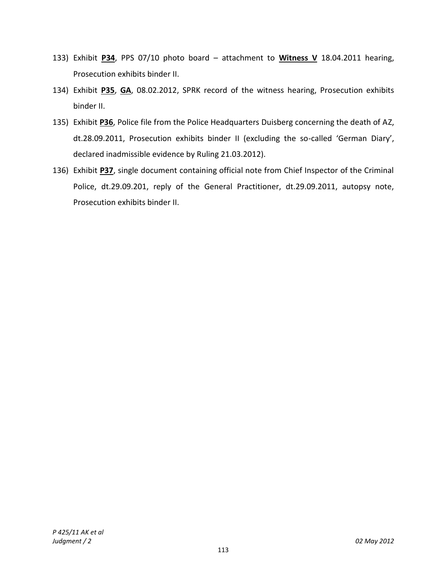- 133) Exhibit **P34**, PPS 07/10 photo board attachment to **Witness V** 18.04.2011 hearing, Prosecution exhibits binder II.
- 134) Exhibit **P35**, **GA**, 08.02.2012, SPRK record of the witness hearing, Prosecution exhibits binder II.
- 135) Exhibit **P36**, Police file from the Police Headquarters Duisberg concerning the death of AZ, dt.28.09.2011, Prosecution exhibits binder II (excluding the so-called 'German Diary', declared inadmissible evidence by Ruling 21.03.2012).
- 136) Exhibit **P37**, single document containing official note from Chief Inspector of the Criminal Police, dt.29.09.201, reply of the General Practitioner, dt.29.09.2011, autopsy note, Prosecution exhibits binder II.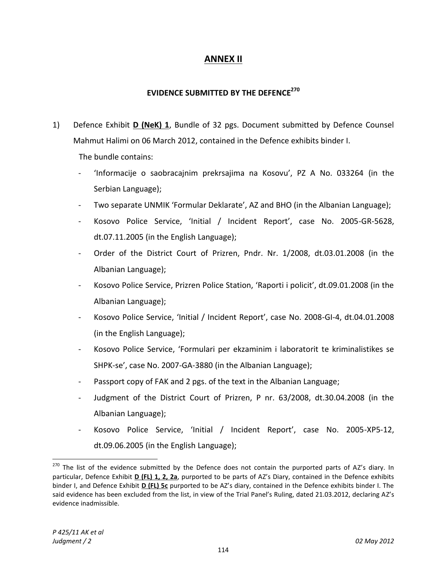## **ANNEX II**

### **EVIDENCE SUBMITTED BY THE DEFENCE<sup>270</sup>**

- 1) Defence Exhibit **D (NeK) 1**, Bundle of 32 pgs. Document submitted by Defence Counsel Mahmut Halimi on 06 March 2012, contained in the Defence exhibits binder I. The bundle contains:
	- 'Informacije o saobracajnim prekrsajima na Kosovu', PZ A No. 033264 (in the Serbian Language);
	- Two separate UNMIK 'Formular Deklarate', AZ and BHO (in the Albanian Language);
	- Kosovo Police Service, 'Initial / Incident Report', case No. 2005-GR-5628, dt.07.11.2005 (in the English Language);
	- Order of the District Court of Prizren, Pndr. Nr. 1/2008, dt.03.01.2008 (in the Albanian Language);
	- Kosovo Police Service, Prizren Police Station, 'Raporti i policit', dt.09.01.2008 (in the Albanian Language);
	- Kosovo Police Service, 'Initial / Incident Report', case No. 2008-GI-4, dt.04.01.2008 (in the English Language);
	- Kosovo Police Service, 'Formulari per ekzaminim i laboratorit te kriminalistikes se SHPK-se', case No. 2007-GA-3880 (in the Albanian Language);
	- Passport copy of FAK and 2 pgs. of the text in the Albanian Language;
	- Judgment of the District Court of Prizren, P nr. 63/2008, dt.30.04.2008 (in the Albanian Language);
	- Kosovo Police Service, 'Initial / Incident Report', case No. 2005-XP5-12, dt.09.06.2005 (in the English Language);

 $\overline{\phantom{a}}$ 

 $^{270}$  The list of the evidence submitted by the Defence does not contain the purported parts of AZ's diary. In particular, Defence Exhibit **D (FL) 1, 2, 2a**, purported to be parts of AZ's Diary, contained in the Defence exhibits binder I, and Defence Exhibit **D (FL) 5c** purported to be AZ's diary, contained in the Defence exhibits binder I. The said evidence has been excluded from the list, in view of the Trial Panel's Ruling, dated 21.03.2012, declaring AZ's evidence inadmissible.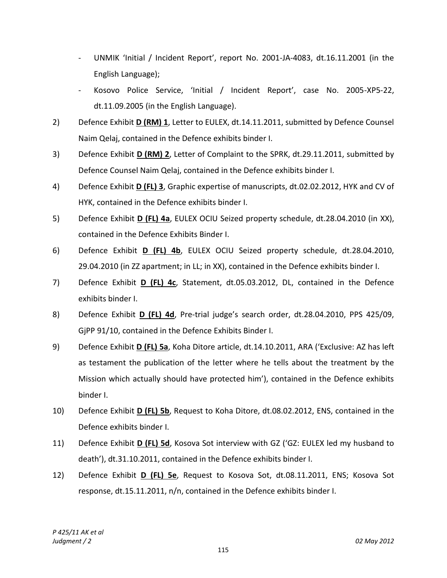- UNMIK 'Initial / Incident Report', report No. 2001-JA-4083, dt.16.11.2001 (in the English Language);
- Kosovo Police Service, 'Initial / Incident Report', case No. 2005-XP5-22, dt.11.09.2005 (in the English Language).
- 2) Defence Exhibit **D (RM) 1**, Letter to EULEX, dt.14.11.2011, submitted by Defence Counsel Naim Qelaj, contained in the Defence exhibits binder I.
- 3) Defence Exhibit **D (RM) 2**, Letter of Complaint to the SPRK, dt.29.11.2011, submitted by Defence Counsel Naim Qelaj, contained in the Defence exhibits binder I.
- 4) Defence Exhibit **D (FL) 3**, Graphic expertise of manuscripts, dt.02.02.2012, HYK and CV of HYK, contained in the Defence exhibits binder I.
- 5) Defence Exhibit **D (FL) 4a**, EULEX OCIU Seized property schedule, dt.28.04.2010 (in XX), contained in the Defence Exhibits Binder I.
- 6) Defence Exhibit **D (FL) 4b**, EULEX OCIU Seized property schedule, dt.28.04.2010, 29.04.2010 (in ZZ apartment; in LL; in XX), contained in the Defence exhibits binder I.
- 7) Defence Exhibit **D (FL) 4c**, Statement, dt.05.03.2012, DL, contained in the Defence exhibits binder I.
- 8) Defence Exhibit **D (FL) 4d**, Pre-trial judge's search order, dt.28.04.2010, PPS 425/09, GjPP 91/10, contained in the Defence Exhibits Binder I.
- 9) Defence Exhibit **D (FL) 5a**, Koha Ditore article, dt.14.10.2011, ARA ('Exclusive: AZ has left as testament the publication of the letter where he tells about the treatment by the Mission which actually should have protected him'), contained in the Defence exhibits binder I.
- 10) Defence Exhibit **D (FL) 5b**, Request to Koha Ditore, dt.08.02.2012, ENS, contained in the Defence exhibits binder I.
- 11) Defence Exhibit **D (FL) 5d**, Kosova Sot interview with GZ ('GZ: EULEX led my husband to death'), dt.31.10.2011, contained in the Defence exhibits binder I.
- 12) Defence Exhibit **D (FL) 5e**, Request to Kosova Sot, dt.08.11.2011, ENS; Kosova Sot response, dt.15.11.2011, n/n, contained in the Defence exhibits binder I.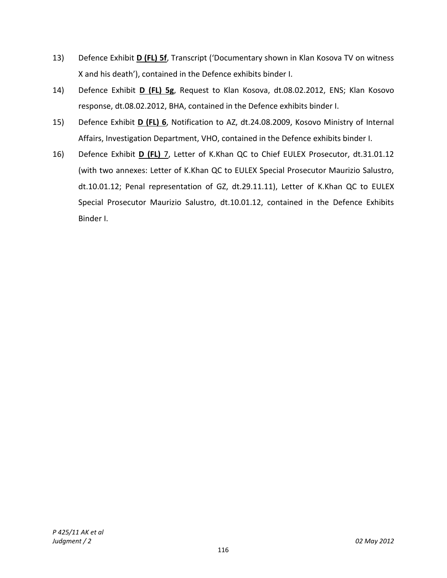- 13) Defence Exhibit **D (FL) 5f**, Transcript ('Documentary shown in Klan Kosova TV on witness X and his death'), contained in the Defence exhibits binder I.
- 14) Defence Exhibit **D (FL) 5g**, Request to Klan Kosova, dt.08.02.2012, ENS; Klan Kosovo response, dt.08.02.2012, BHA, contained in the Defence exhibits binder I.
- 15) Defence Exhibit **D (FL) 6**, Notification to AZ, dt.24.08.2009, Kosovo Ministry of Internal Affairs, Investigation Department, VHO, contained in the Defence exhibits binder I.
- 16) Defence Exhibit **D (FL)** 7, Letter of K.Khan QC to Chief EULEX Prosecutor, dt.31.01.12 (with two annexes: Letter of K.Khan QC to EULEX Special Prosecutor Maurizio Salustro, dt.10.01.12; Penal representation of GZ, dt.29.11.11), Letter of K.Khan QC to EULEX Special Prosecutor Maurizio Salustro, dt.10.01.12, contained in the Defence Exhibits Binder I.